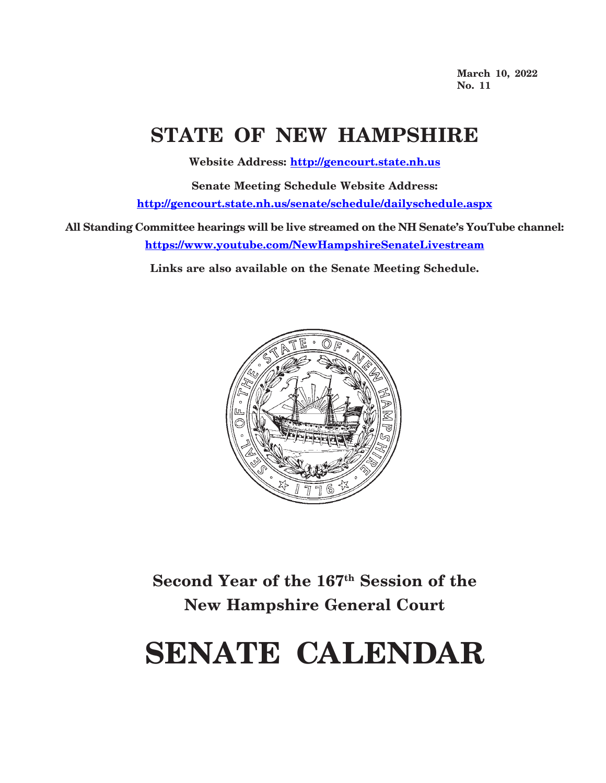**March 10, 2022 No. 11**

## **STATE OF NEW HAMPSHIRE**

**Website Address: http://gencourt.state.nh.us**

**Senate Meeting Schedule Website Address: http://gencourt.state.nh.us/senate/schedule/dailyschedule.aspx**

**All Standing Committee hearings will be live streamed on the NH Senate's YouTube channel: https://www.youtube.com/NewHampshireSenateLivestream**

**Links are also available on the Senate Meeting Schedule.**



**Second Year of the 167th Session of the New Hampshire General Court**

# **SENATE CALENDAR**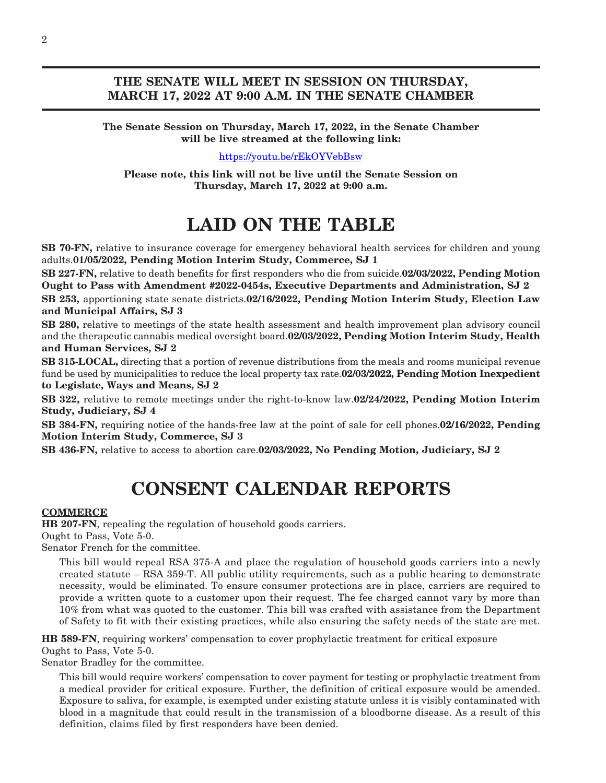### **THE SENATE WILL MEET IN SESSION ON THURSDAY, MARCH 17, 2022 AT 9:00 A.M. IN THE SENATE CHAMBER**

**The Senate Session on Thursday, March 17, 2022, in the Senate Chamber will be live streamed at the following link:**

[https://youtu.be/rEkOYVebBsw](https://us-east-2.protection.sophos.com?d=youtu.be&u=aHR0cHM6Ly95b3V0dS5iZS9yRWtPWVZlYkJzdw==&i=NWRlZTRlM2YzYjRhNTgwZDk2OTJkMTkz&t=U3JzOVlGTy9pWUZRVTZmaU1zbGY0SW5uVGNjeGl3RE0rbjd6VWYrbWswTT0=&h=827cfb35f7ee49a8abc2ed9c73042325)

**Please note, this link will not be live until the Senate Session on Thursday, March 17, 2022 at 9:00 a.m.**

## **LAID ON THE TABLE**

**SB 70-FN,** relative to insurance coverage for emergency behavioral health services for children and young adults.**01/05/2022, Pending Motion Interim Study, Commerce, SJ 1**

**SB 227-FN,** relative to death benefits for first responders who die from suicide.**02/03/2022, Pending Motion Ought to Pass with Amendment #2022-0454s, Executive Departments and Administration, SJ 2**

**SB 253,** apportioning state senate districts.**02/16/2022, Pending Motion Interim Study, Election Law and Municipal Affairs, SJ 3**

**SB 280,** relative to meetings of the state health assessment and health improvement plan advisory council and the therapeutic cannabis medical oversight board.**02/03/2022, Pending Motion Interim Study, Health and Human Services, SJ 2**

**SB 315-LOCAL,** directing that a portion of revenue distributions from the meals and rooms municipal revenue fund be used by municipalities to reduce the local property tax rate.**02/03/2022, Pending Motion Inexpedient to Legislate, Ways and Means, SJ 2**

**SB 322,** relative to remote meetings under the right-to-know law.**02/24/2022, Pending Motion Interim Study, Judiciary, SJ 4**

**SB 384-FN,** requiring notice of the hands-free law at the point of sale for cell phones.**02/16/2022, Pending Motion Interim Study, Commerce, SJ 3**

**SB 436-FN,** relative to access to abortion care.**02/03/2022, No Pending Motion, Judiciary, SJ 2**

## **CONSENT CALENDAR REPORTS**

#### **COMMERCE**

**HB 207-FN**, repealing the regulation of household goods carriers. Ought to Pass, Vote 5-0.

Senator French for the committee.

This bill would repeal RSA 375-A and place the regulation of household goods carriers into a newly created statute – RSA 359-T. All public utility requirements, such as a public hearing to demonstrate necessity, would be eliminated. To ensure consumer protections are in place, carriers are required to provide a written quote to a customer upon their request. The fee charged cannot vary by more than 10% from what was quoted to the customer. This bill was crafted with assistance from the Department of Safety to fit with their existing practices, while also ensuring the safety needs of the state are met.

**HB 589-FN**, requiring workers' compensation to cover prophylactic treatment for critical exposure Ought to Pass, Vote 5-0.

Senator Bradley for the committee.

This bill would require workers' compensation to cover payment for testing or prophylactic treatment from a medical provider for critical exposure. Further, the definition of critical exposure would be amended. Exposure to saliva, for example, is exempted under existing statute unless it is visibly contaminated with blood in a magnitude that could result in the transmission of a bloodborne disease. As a result of this definition, claims filed by first responders have been denied.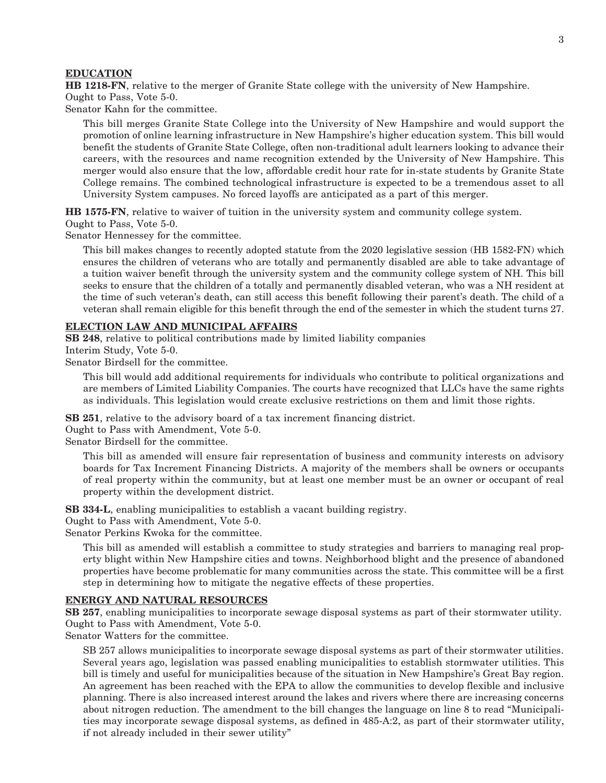#### **EDUCATION**

**HB 1218-FN**, relative to the merger of Granite State college with the university of New Hampshire. Ought to Pass, Vote 5-0.

Senator Kahn for the committee.

This bill merges Granite State College into the University of New Hampshire and would support the promotion of online learning infrastructure in New Hampshire's higher education system. This bill would benefit the students of Granite State College, often non-traditional adult learners looking to advance their careers, with the resources and name recognition extended by the University of New Hampshire. This merger would also ensure that the low, affordable credit hour rate for in-state students by Granite State College remains. The combined technological infrastructure is expected to be a tremendous asset to all University System campuses. No forced layoffs are anticipated as a part of this merger.

**HB 1575-FN**, relative to waiver of tuition in the university system and community college system.

Ought to Pass, Vote 5-0.

Senator Hennessey for the committee.

This bill makes changes to recently adopted statute from the 2020 legislative session (HB 1582-FN) which ensures the children of veterans who are totally and permanently disabled are able to take advantage of a tuition waiver benefit through the university system and the community college system of NH. This bill seeks to ensure that the children of a totally and permanently disabled veteran, who was a NH resident at the time of such veteran's death, can still access this benefit following their parent's death. The child of a veteran shall remain eligible for this benefit through the end of the semester in which the student turns 27.

#### **ELECTION LAW AND MUNICIPAL AFFAIRS**

**SB 248**, relative to political contributions made by limited liability companies Interim Study, Vote 5-0.

Senator Birdsell for the committee.

This bill would add additional requirements for individuals who contribute to political organizations and are members of Limited Liability Companies. The courts have recognized that LLCs have the same rights as individuals. This legislation would create exclusive restrictions on them and limit those rights.

**SB 251**, relative to the advisory board of a tax increment financing district.

Ought to Pass with Amendment, Vote 5-0.

Senator Birdsell for the committee.

This bill as amended will ensure fair representation of business and community interests on advisory boards for Tax Increment Financing Districts. A majority of the members shall be owners or occupants of real property within the community, but at least one member must be an owner or occupant of real property within the development district.

**SB 334-L**, enabling municipalities to establish a vacant building registry.

Ought to Pass with Amendment, Vote 5-0.

Senator Perkins Kwoka for the committee.

This bill as amended will establish a committee to study strategies and barriers to managing real property blight within New Hampshire cities and towns. Neighborhood blight and the presence of abandoned properties have become problematic for many communities across the state. This committee will be a first step in determining how to mitigate the negative effects of these properties.

#### **ENERGY AND NATURAL RESOURCES**

**SB 257**, enabling municipalities to incorporate sewage disposal systems as part of their stormwater utility. Ought to Pass with Amendment, Vote 5-0.

Senator Watters for the committee.

SB 257 allows municipalities to incorporate sewage disposal systems as part of their stormwater utilities. Several years ago, legislation was passed enabling municipalities to establish stormwater utilities. This bill is timely and useful for municipalities because of the situation in New Hampshire's Great Bay region. An agreement has been reached with the EPA to allow the communities to develop flexible and inclusive planning. There is also increased interest around the lakes and rivers where there are increasing concerns about nitrogen reduction. The amendment to the bill changes the language on line 8 to read "Municipalities may incorporate sewage disposal systems, as defined in 485-A:2, as part of their stormwater utility, if not already included in their sewer utility"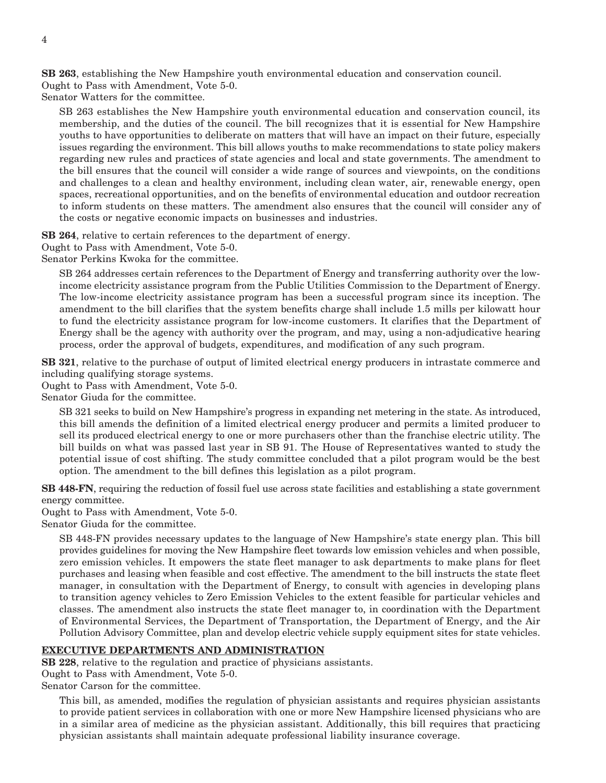**SB 263**, establishing the New Hampshire youth environmental education and conservation council. Ought to Pass with Amendment, Vote 5-0.

Senator Watters for the committee.

SB 263 establishes the New Hampshire youth environmental education and conservation council, its membership, and the duties of the council. The bill recognizes that it is essential for New Hampshire youths to have opportunities to deliberate on matters that will have an impact on their future, especially issues regarding the environment. This bill allows youths to make recommendations to state policy makers regarding new rules and practices of state agencies and local and state governments. The amendment to the bill ensures that the council will consider a wide range of sources and viewpoints, on the conditions and challenges to a clean and healthy environment, including clean water, air, renewable energy, open spaces, recreational opportunities, and on the benefits of environmental education and outdoor recreation to inform students on these matters. The amendment also ensures that the council will consider any of the costs or negative economic impacts on businesses and industries.

**SB 264**, relative to certain references to the department of energy.

Ought to Pass with Amendment, Vote 5-0.

Senator Perkins Kwoka for the committee.

SB 264 addresses certain references to the Department of Energy and transferring authority over the lowincome electricity assistance program from the Public Utilities Commission to the Department of Energy. The low-income electricity assistance program has been a successful program since its inception. The amendment to the bill clarifies that the system benefits charge shall include 1.5 mills per kilowatt hour to fund the electricity assistance program for low-income customers. It clarifies that the Department of Energy shall be the agency with authority over the program, and may, using a non-adjudicative hearing process, order the approval of budgets, expenditures, and modification of any such program.

**SB 321**, relative to the purchase of output of limited electrical energy producers in intrastate commerce and including qualifying storage systems.

Ought to Pass with Amendment, Vote 5-0.

Senator Giuda for the committee.

SB 321 seeks to build on New Hampshire's progress in expanding net metering in the state. As introduced, this bill amends the definition of a limited electrical energy producer and permits a limited producer to sell its produced electrical energy to one or more purchasers other than the franchise electric utility. The bill builds on what was passed last year in SB 91. The House of Representatives wanted to study the potential issue of cost shifting. The study committee concluded that a pilot program would be the best option. The amendment to the bill defines this legislation as a pilot program.

**SB 448-FN**, requiring the reduction of fossil fuel use across state facilities and establishing a state government energy committee.

Ought to Pass with Amendment, Vote 5-0.

Senator Giuda for the committee.

SB 448-FN provides necessary updates to the language of New Hampshire's state energy plan. This bill provides guidelines for moving the New Hampshire fleet towards low emission vehicles and when possible, zero emission vehicles. It empowers the state fleet manager to ask departments to make plans for fleet purchases and leasing when feasible and cost effective. The amendment to the bill instructs the state fleet manager, in consultation with the Department of Energy, to consult with agencies in developing plans to transition agency vehicles to Zero Emission Vehicles to the extent feasible for particular vehicles and classes. The amendment also instructs the state fleet manager to, in coordination with the Department of Environmental Services, the Department of Transportation, the Department of Energy, and the Air Pollution Advisory Committee, plan and develop electric vehicle supply equipment sites for state vehicles.

#### **EXECUTIVE DEPARTMENTS AND ADMINISTRATION**

**SB 228**, relative to the regulation and practice of physicians assistants.

Ought to Pass with Amendment, Vote 5-0.

Senator Carson for the committee.

This bill, as amended, modifies the regulation of physician assistants and requires physician assistants to provide patient services in collaboration with one or more New Hampshire licensed physicians who are in a similar area of medicine as the physician assistant. Additionally, this bill requires that practicing physician assistants shall maintain adequate professional liability insurance coverage.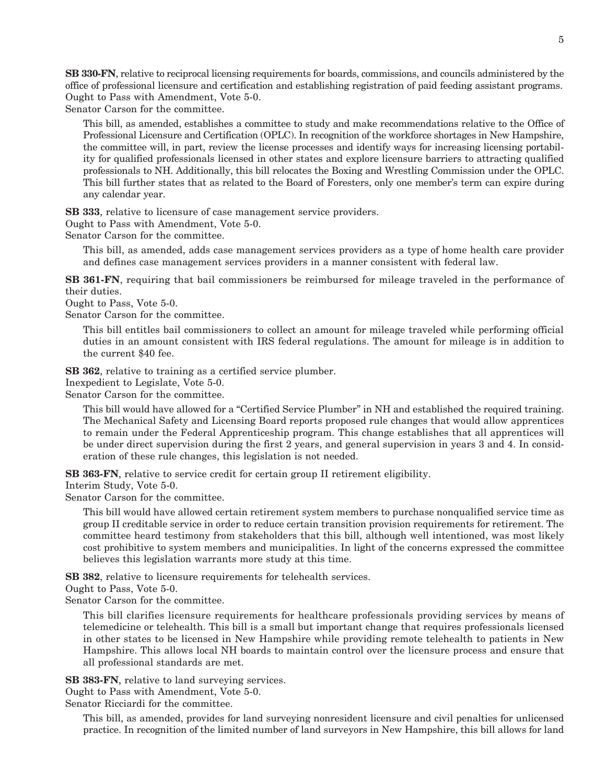**SB 330-FN**, relative to reciprocal licensing requirements for boards, commissions, and councils administered by the office of professional licensure and certification and establishing registration of paid feeding assistant programs. Ought to Pass with Amendment, Vote 5-0.

Senator Carson for the committee.

This bill, as amended, establishes a committee to study and make recommendations relative to the Office of Professional Licensure and Certification (OPLC). In recognition of the workforce shortages in New Hampshire, the committee will, in part, review the license processes and identify ways for increasing licensing portability for qualified professionals licensed in other states and explore licensure barriers to attracting qualified professionals to NH. Additionally, this bill relocates the Boxing and Wrestling Commission under the OPLC. This bill further states that as related to the Board of Foresters, only one member's term can expire during any calendar year.

**SB 333**, relative to licensure of case management service providers.

Ought to Pass with Amendment, Vote 5-0.

Senator Carson for the committee.

This bill, as amended, adds case management services providers as a type of home health care provider and defines case management services providers in a manner consistent with federal law.

**SB 361-FN**, requiring that bail commissioners be reimbursed for mileage traveled in the performance of their duties.

Ought to Pass, Vote 5-0.

Senator Carson for the committee.

This bill entitles bail commissioners to collect an amount for mileage traveled while performing official duties in an amount consistent with IRS federal regulations. The amount for mileage is in addition to the current \$40 fee.

**SB 362**, relative to training as a certified service plumber.

Inexpedient to Legislate, Vote 5-0.

Senator Carson for the committee.

This bill would have allowed for a "Certified Service Plumber" in NH and established the required training. The Mechanical Safety and Licensing Board reports proposed rule changes that would allow apprentices to remain under the Federal Apprenticeship program. This change establishes that all apprentices will be under direct supervision during the first 2 years, and general supervision in years 3 and 4. In consideration of these rule changes, this legislation is not needed.

**SB 363-FN**, relative to service credit for certain group II retirement eligibility.

Interim Study, Vote 5-0.

Senator Carson for the committee.

This bill would have allowed certain retirement system members to purchase nonqualified service time as group II creditable service in order to reduce certain transition provision requirements for retirement. The committee heard testimony from stakeholders that this bill, although well intentioned, was most likely cost prohibitive to system members and municipalities. In light of the concerns expressed the committee believes this legislation warrants more study at this time.

**SB 382**, relative to licensure requirements for telehealth services.

Ought to Pass, Vote 5-0.

Senator Carson for the committee.

This bill clarifies licensure requirements for healthcare professionals providing services by means of telemedicine or telehealth. This bill is a small but important change that requires professionals licensed in other states to be licensed in New Hampshire while providing remote telehealth to patients in New Hampshire. This allows local NH boards to maintain control over the licensure process and ensure that all professional standards are met.

**SB 383-FN**, relative to land surveying services.

Ought to Pass with Amendment, Vote 5-0.

Senator Ricciardi for the committee.

This bill, as amended, provides for land surveying nonresident licensure and civil penalties for unlicensed practice. In recognition of the limited number of land surveyors in New Hampshire, this bill allows for land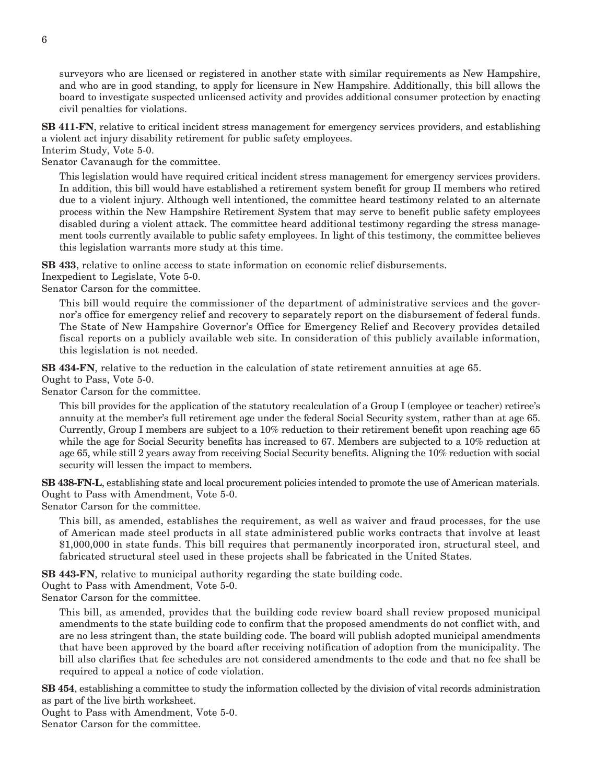surveyors who are licensed or registered in another state with similar requirements as New Hampshire, and who are in good standing, to apply for licensure in New Hampshire. Additionally, this bill allows the board to investigate suspected unlicensed activity and provides additional consumer protection by enacting civil penalties for violations.

**SB 411-FN**, relative to critical incident stress management for emergency services providers, and establishing a violent act injury disability retirement for public safety employees.

Interim Study, Vote 5-0.

Senator Cavanaugh for the committee.

This legislation would have required critical incident stress management for emergency services providers. In addition, this bill would have established a retirement system benefit for group II members who retired due to a violent injury. Although well intentioned, the committee heard testimony related to an alternate process within the New Hampshire Retirement System that may serve to benefit public safety employees disabled during a violent attack. The committee heard additional testimony regarding the stress management tools currently available to public safety employees. In light of this testimony, the committee believes this legislation warrants more study at this time.

**SB 433**, relative to online access to state information on economic relief disbursements.

Inexpedient to Legislate, Vote 5-0.

Senator Carson for the committee.

This bill would require the commissioner of the department of administrative services and the governor's office for emergency relief and recovery to separately report on the disbursement of federal funds. The State of New Hampshire Governor's Office for Emergency Relief and Recovery provides detailed fiscal reports on a publicly available web site. In consideration of this publicly available information, this legislation is not needed.

**SB 434-FN**, relative to the reduction in the calculation of state retirement annuities at age 65.

Ought to Pass, Vote 5-0.

Senator Carson for the committee.

This bill provides for the application of the statutory recalculation of a Group I (employee or teacher) retiree's annuity at the member's full retirement age under the federal Social Security system, rather than at age 65. Currently, Group I members are subject to a 10% reduction to their retirement benefit upon reaching age 65 while the age for Social Security benefits has increased to 67. Members are subjected to a 10% reduction at age 65, while still 2 years away from receiving Social Security benefits. Aligning the 10% reduction with social security will lessen the impact to members.

**SB 438-FN-L**, establishing state and local procurement policies intended to promote the use of American materials. Ought to Pass with Amendment, Vote 5-0.

Senator Carson for the committee.

This bill, as amended, establishes the requirement, as well as waiver and fraud processes, for the use of American made steel products in all state administered public works contracts that involve at least \$1,000,000 in state funds. This bill requires that permanently incorporated iron, structural steel, and fabricated structural steel used in these projects shall be fabricated in the United States.

**SB 443-FN**, relative to municipal authority regarding the state building code.

Ought to Pass with Amendment, Vote 5-0.

Senator Carson for the committee.

This bill, as amended, provides that the building code review board shall review proposed municipal amendments to the state building code to confirm that the proposed amendments do not conflict with, and are no less stringent than, the state building code. The board will publish adopted municipal amendments that have been approved by the board after receiving notification of adoption from the municipality. The bill also clarifies that fee schedules are not considered amendments to the code and that no fee shall be required to appeal a notice of code violation.

**SB 454**, establishing a committee to study the information collected by the division of vital records administration as part of the live birth worksheet.

Ought to Pass with Amendment, Vote 5-0.

Senator Carson for the committee.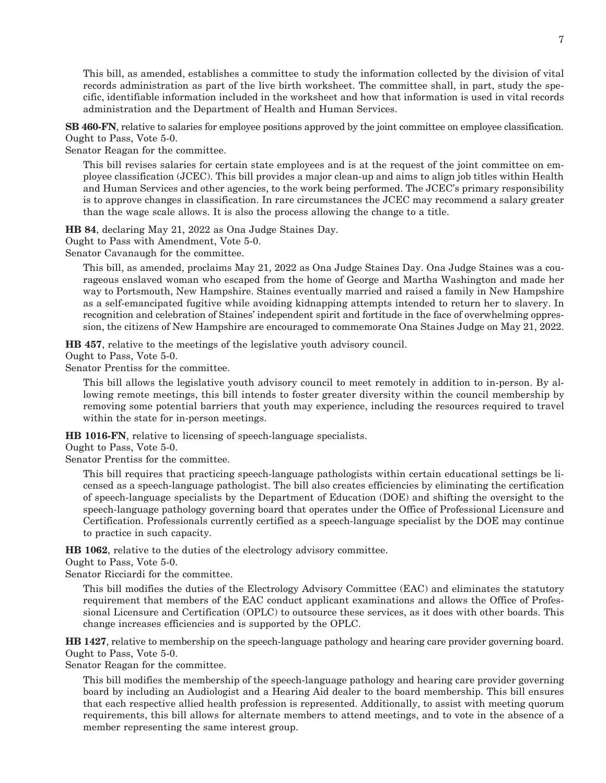This bill, as amended, establishes a committee to study the information collected by the division of vital records administration as part of the live birth worksheet. The committee shall, in part, study the specific, identifiable information included in the worksheet and how that information is used in vital records administration and the Department of Health and Human Services.

**SB 460-FN**, relative to salaries for employee positions approved by the joint committee on employee classification. Ought to Pass, Vote 5-0.

Senator Reagan for the committee.

This bill revises salaries for certain state employees and is at the request of the joint committee on employee classification (JCEC). This bill provides a major clean-up and aims to align job titles within Health and Human Services and other agencies, to the work being performed. The JCEC's primary responsibility is to approve changes in classification. In rare circumstances the JCEC may recommend a salary greater than the wage scale allows. It is also the process allowing the change to a title.

**HB 84**, declaring May 21, 2022 as Ona Judge Staines Day.

Ought to Pass with Amendment, Vote 5-0.

Senator Cavanaugh for the committee.

This bill, as amended, proclaims May 21, 2022 as Ona Judge Staines Day. Ona Judge Staines was a courageous enslaved woman who escaped from the home of George and Martha Washington and made her way to Portsmouth, New Hampshire. Staines eventually married and raised a family in New Hampshire as a self-emancipated fugitive while avoiding kidnapping attempts intended to return her to slavery. In recognition and celebration of Staines' independent spirit and fortitude in the face of overwhelming oppression, the citizens of New Hampshire are encouraged to commemorate Ona Staines Judge on May 21, 2022.

**HB 457**, relative to the meetings of the legislative youth advisory council.

Ought to Pass, Vote 5-0.

Senator Prentiss for the committee.

This bill allows the legislative youth advisory council to meet remotely in addition to in-person. By allowing remote meetings, this bill intends to foster greater diversity within the council membership by removing some potential barriers that youth may experience, including the resources required to travel within the state for in-person meetings.

**HB 1016-FN**, relative to licensing of speech-language specialists.

Ought to Pass, Vote 5-0.

Senator Prentiss for the committee.

This bill requires that practicing speech-language pathologists within certain educational settings be licensed as a speech-language pathologist. The bill also creates efficiencies by eliminating the certification of speech-language specialists by the Department of Education (DOE) and shifting the oversight to the speech-language pathology governing board that operates under the Office of Professional Licensure and Certification. Professionals currently certified as a speech-language specialist by the DOE may continue to practice in such capacity.

**HB 1062**, relative to the duties of the electrology advisory committee.

Ought to Pass, Vote 5-0.

Senator Ricciardi for the committee.

This bill modifies the duties of the Electrology Advisory Committee (EAC) and eliminates the statutory requirement that members of the EAC conduct applicant examinations and allows the Office of Professional Licensure and Certification (OPLC) to outsource these services, as it does with other boards. This change increases efficiencies and is supported by the OPLC.

**HB 1427**, relative to membership on the speech-language pathology and hearing care provider governing board. Ought to Pass, Vote 5-0.

Senator Reagan for the committee.

This bill modifies the membership of the speech-language pathology and hearing care provider governing board by including an Audiologist and a Hearing Aid dealer to the board membership. This bill ensures that each respective allied health profession is represented. Additionally, to assist with meeting quorum requirements, this bill allows for alternate members to attend meetings, and to vote in the absence of a member representing the same interest group.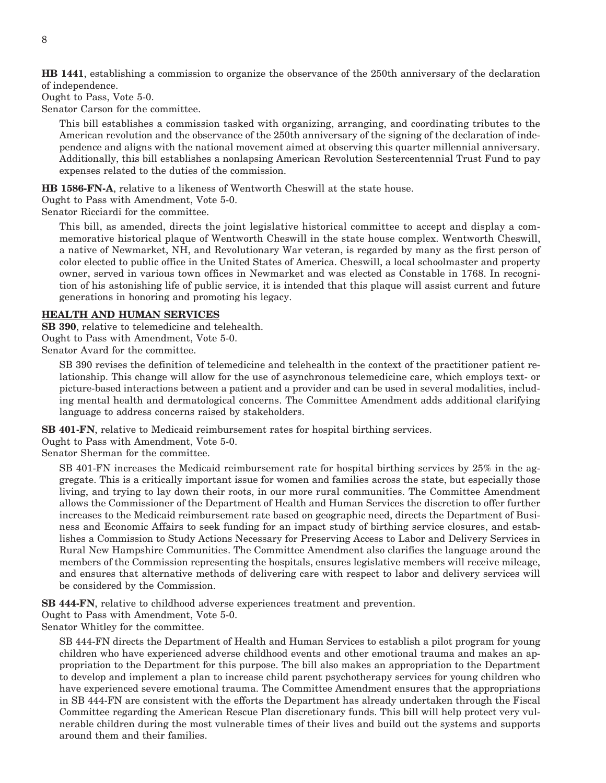**HB 1441**, establishing a commission to organize the observance of the 250th anniversary of the declaration of independence.

Ought to Pass, Vote 5-0.

Senator Carson for the committee.

This bill establishes a commission tasked with organizing, arranging, and coordinating tributes to the American revolution and the observance of the 250th anniversary of the signing of the declaration of independence and aligns with the national movement aimed at observing this quarter millennial anniversary. Additionally, this bill establishes a nonlapsing American Revolution Sestercentennial Trust Fund to pay expenses related to the duties of the commission.

**HB 1586-FN-A**, relative to a likeness of Wentworth Cheswill at the state house.

Ought to Pass with Amendment, Vote 5-0.

Senator Ricciardi for the committee.

This bill, as amended, directs the joint legislative historical committee to accept and display a commemorative historical plaque of Wentworth Cheswill in the state house complex. Wentworth Cheswill, a native of Newmarket, NH, and Revolutionary War veteran, is regarded by many as the first person of color elected to public office in the United States of America. Cheswill, a local schoolmaster and property owner, served in various town offices in Newmarket and was elected as Constable in 1768. In recognition of his astonishing life of public service, it is intended that this plaque will assist current and future generations in honoring and promoting his legacy.

#### **HEALTH AND HUMAN SERVICES**

**SB 390**, relative to telemedicine and telehealth. Ought to Pass with Amendment, Vote 5-0. Senator Avard for the committee.

SB 390 revises the definition of telemedicine and telehealth in the context of the practitioner patient relationship. This change will allow for the use of asynchronous telemedicine care, which employs text- or picture-based interactions between a patient and a provider and can be used in several modalities, including mental health and dermatological concerns. The Committee Amendment adds additional clarifying language to address concerns raised by stakeholders.

**SB 401-FN**, relative to Medicaid reimbursement rates for hospital birthing services.

Ought to Pass with Amendment, Vote 5-0.

Senator Sherman for the committee.

SB 401-FN increases the Medicaid reimbursement rate for hospital birthing services by 25% in the aggregate. This is a critically important issue for women and families across the state, but especially those living, and trying to lay down their roots, in our more rural communities. The Committee Amendment allows the Commissioner of the Department of Health and Human Services the discretion to offer further increases to the Medicaid reimbursement rate based on geographic need, directs the Department of Business and Economic Affairs to seek funding for an impact study of birthing service closures, and establishes a Commission to Study Actions Necessary for Preserving Access to Labor and Delivery Services in Rural New Hampshire Communities. The Committee Amendment also clarifies the language around the members of the Commission representing the hospitals, ensures legislative members will receive mileage, and ensures that alternative methods of delivering care with respect to labor and delivery services will be considered by the Commission.

**SB 444-FN**, relative to childhood adverse experiences treatment and prevention.

Ought to Pass with Amendment, Vote 5-0.

Senator Whitley for the committee.

SB 444-FN directs the Department of Health and Human Services to establish a pilot program for young children who have experienced adverse childhood events and other emotional trauma and makes an appropriation to the Department for this purpose. The bill also makes an appropriation to the Department to develop and implement a plan to increase child parent psychotherapy services for young children who have experienced severe emotional trauma. The Committee Amendment ensures that the appropriations in SB 444-FN are consistent with the efforts the Department has already undertaken through the Fiscal Committee regarding the American Rescue Plan discretionary funds. This bill will help protect very vulnerable children during the most vulnerable times of their lives and build out the systems and supports around them and their families.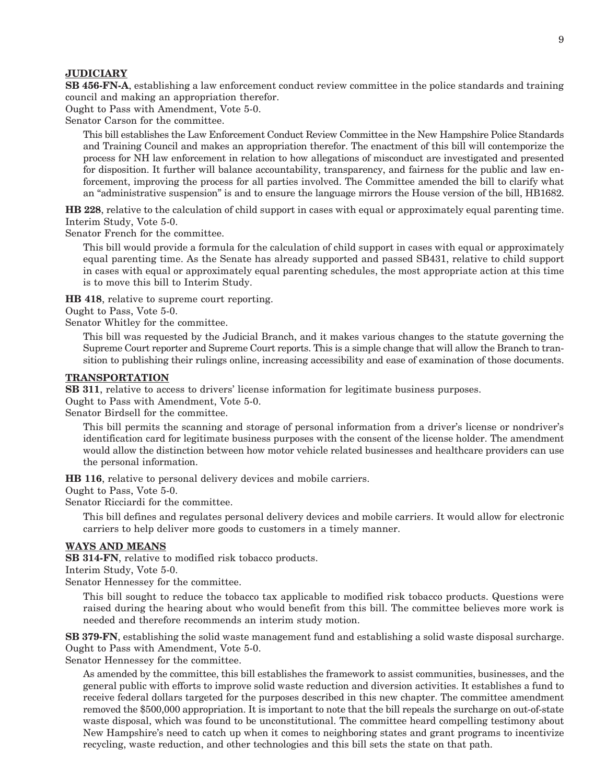#### **JUDICIARY**

**SB 456-FN-A**, establishing a law enforcement conduct review committee in the police standards and training council and making an appropriation therefor.

Ought to Pass with Amendment, Vote 5-0.

Senator Carson for the committee.

This bill establishes the Law Enforcement Conduct Review Committee in the New Hampshire Police Standards and Training Council and makes an appropriation therefor. The enactment of this bill will contemporize the process for NH law enforcement in relation to how allegations of misconduct are investigated and presented for disposition. It further will balance accountability, transparency, and fairness for the public and law enforcement, improving the process for all parties involved. The Committee amended the bill to clarify what an "administrative suspension" is and to ensure the language mirrors the House version of the bill, HB1682.

**HB 228**, relative to the calculation of child support in cases with equal or approximately equal parenting time. Interim Study, Vote 5-0.

Senator French for the committee.

This bill would provide a formula for the calculation of child support in cases with equal or approximately equal parenting time. As the Senate has already supported and passed SB431, relative to child support in cases with equal or approximately equal parenting schedules, the most appropriate action at this time is to move this bill to Interim Study.

**HB 418**, relative to supreme court reporting.

Ought to Pass, Vote 5-0.

Senator Whitley for the committee.

This bill was requested by the Judicial Branch, and it makes various changes to the statute governing the Supreme Court reporter and Supreme Court reports. This is a simple change that will allow the Branch to transition to publishing their rulings online, increasing accessibility and ease of examination of those documents.

#### **TRANSPORTATION**

**SB 311**, relative to access to drivers' license information for legitimate business purposes.

Ought to Pass with Amendment, Vote 5-0.

Senator Birdsell for the committee.

This bill permits the scanning and storage of personal information from a driver's license or nondriver's identification card for legitimate business purposes with the consent of the license holder. The amendment would allow the distinction between how motor vehicle related businesses and healthcare providers can use the personal information.

**HB 116**, relative to personal delivery devices and mobile carriers.

Ought to Pass, Vote 5-0.

Senator Ricciardi for the committee.

This bill defines and regulates personal delivery devices and mobile carriers. It would allow for electronic carriers to help deliver more goods to customers in a timely manner.

#### **WAYS AND MEANS**

**SB 314-FN**, relative to modified risk tobacco products.

Interim Study, Vote 5-0.

Senator Hennessey for the committee.

This bill sought to reduce the tobacco tax applicable to modified risk tobacco products. Questions were raised during the hearing about who would benefit from this bill. The committee believes more work is needed and therefore recommends an interim study motion.

**SB 379-FN**, establishing the solid waste management fund and establishing a solid waste disposal surcharge. Ought to Pass with Amendment, Vote 5-0.

Senator Hennessey for the committee.

As amended by the committee, this bill establishes the framework to assist communities, businesses, and the general public with efforts to improve solid waste reduction and diversion activities. It establishes a fund to receive federal dollars targeted for the purposes described in this new chapter. The committee amendment removed the \$500,000 appropriation. It is important to note that the bill repeals the surcharge on out-of-state waste disposal, which was found to be unconstitutional. The committee heard compelling testimony about New Hampshire's need to catch up when it comes to neighboring states and grant programs to incentivize recycling, waste reduction, and other technologies and this bill sets the state on that path.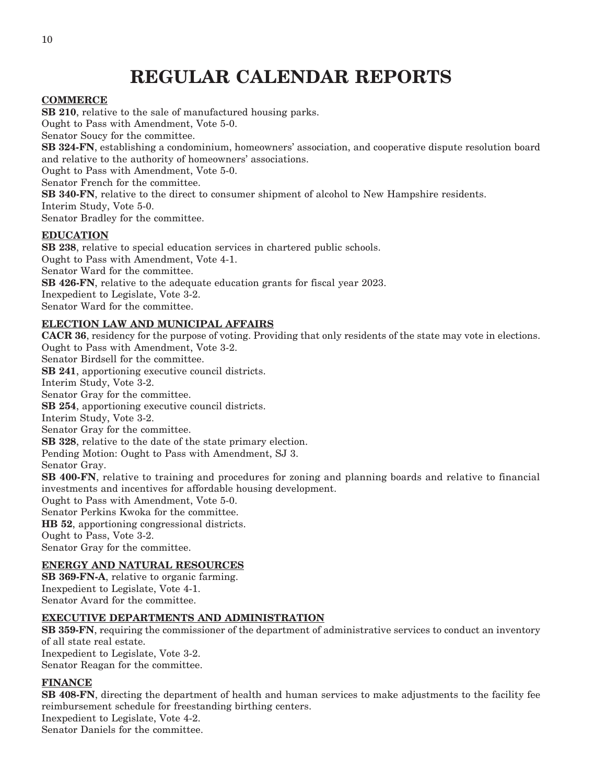## **REGULAR CALENDAR REPORTS**

#### **COMMERCE**

**SB 210**, relative to the sale of manufactured housing parks. Ought to Pass with Amendment, Vote 5-0. Senator Soucy for the committee. **SB 324-FN**, establishing a condominium, homeowners' association, and cooperative dispute resolution board and relative to the authority of homeowners' associations. Ought to Pass with Amendment, Vote 5-0. Senator French for the committee. **SB 340-FN**, relative to the direct to consumer shipment of alcohol to New Hampshire residents. Interim Study, Vote 5-0. Senator Bradley for the committee. **EDUCATION**

**SB 238**, relative to special education services in chartered public schools. Ought to Pass with Amendment, Vote 4-1. Senator Ward for the committee. **SB 426-FN**, relative to the adequate education grants for fiscal year 2023. Inexpedient to Legislate, Vote 3-2. Senator Ward for the committee.

#### **ELECTION LAW AND MUNICIPAL AFFAIRS**

**CACR 36**, residency for the purpose of voting. Providing that only residents of the state may vote in elections. Ought to Pass with Amendment, Vote 3-2.

Senator Birdsell for the committee. **SB 241**, apportioning executive council districts. Interim Study, Vote 3-2. Senator Gray for the committee. **SB 254**, apportioning executive council districts. Interim Study, Vote 3-2. Senator Gray for the committee. **SB 328**, relative to the date of the state primary election. Pending Motion: Ought to Pass with Amendment, SJ 3. Senator Gray. **SB 400-FN**, relative to training and procedures for zoning and planning boards and relative to financial investments and incentives for affordable housing development. Ought to Pass with Amendment, Vote 5-0.

Senator Perkins Kwoka for the committee.

**HB 52**, apportioning congressional districts.

Ought to Pass, Vote 3-2.

Senator Gray for the committee.

#### **ENERGY AND NATURAL RESOURCES**

**SB 369-FN-A**, relative to organic farming. Inexpedient to Legislate, Vote 4-1. Senator Avard for the committee.

#### **EXECUTIVE DEPARTMENTS AND ADMINISTRATION**

**SB 359-FN**, requiring the commissioner of the department of administrative services to conduct an inventory of all state real estate. Inexpedient to Legislate, Vote 3-2. Senator Reagan for the committee.

#### **FINANCE**

**SB 408-FN**, directing the department of health and human services to make adjustments to the facility fee reimbursement schedule for freestanding birthing centers. Inexpedient to Legislate, Vote 4-2.

Senator Daniels for the committee.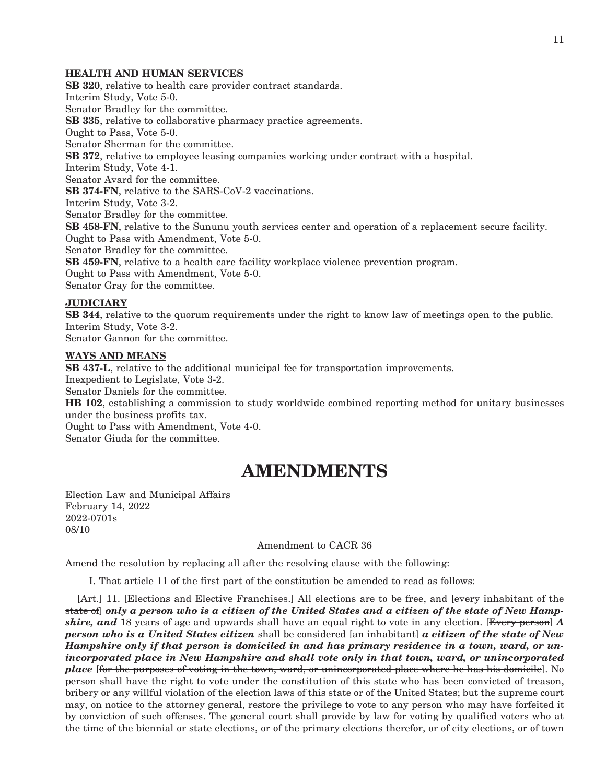#### **HEALTH AND HUMAN SERVICES**

**SB 320**, relative to health care provider contract standards. Interim Study, Vote 5-0. Senator Bradley for the committee. **SB 335**, relative to collaborative pharmacy practice agreements. Ought to Pass, Vote 5-0. Senator Sherman for the committee. **SB 372**, relative to employee leasing companies working under contract with a hospital. Interim Study, Vote 4-1. Senator Avard for the committee. **SB 374-FN**, relative to the SARS-CoV-2 vaccinations. Interim Study, Vote 3-2. Senator Bradley for the committee. **SB 458-FN**, relative to the Sununu youth services center and operation of a replacement secure facility. Ought to Pass with Amendment, Vote 5-0. Senator Bradley for the committee. **SB 459-FN**, relative to a health care facility workplace violence prevention program. Ought to Pass with Amendment, Vote 5-0. Senator Gray for the committee. **JUDICIARY**

**SB 344**, relative to the quorum requirements under the right to know law of meetings open to the public. Interim Study, Vote 3-2. Senator Gannon for the committee.

#### **WAYS AND MEANS**

**SB 437-L**, relative to the additional municipal fee for transportation improvements. Inexpedient to Legislate, Vote 3-2. Senator Daniels for the committee. **HB 102**, establishing a commission to study worldwide combined reporting method for unitary businesses under the business profits tax. Ought to Pass with Amendment, Vote 4-0. Senator Giuda for the committee.

## **AMENDMENTS**

Election Law and Municipal Affairs February 14, 2022 2022-0701s 08/10

#### Amendment to CACR 36

Amend the resolution by replacing all after the resolving clause with the following:

I. That article 11 of the first part of the constitution be amended to read as follows:

[Art.] 11. [Elections and Elective Franchises.] All elections are to be free, and [every inhabitant of the state of] *only a person who is a citizen of the United States and a citizen of the state of New Hampshire, and* 18 years of age and upwards shall have an equal right to vote in any election. [Every person] *A person who is a United States citizen* shall be considered [an inhabitant] *a citizen of the state of New Hampshire only if that person is domiciled in and has primary residence in a town, ward, or unincorporated place in New Hampshire and shall vote only in that town, ward, or unincorporated place* [for the purposes of voting in the town, ward, or unincorporated place where he has his domicile]. No person shall have the right to vote under the constitution of this state who has been convicted of treason, bribery or any willful violation of the election laws of this state or of the United States; but the supreme court may, on notice to the attorney general, restore the privilege to vote to any person who may have forfeited it by conviction of such offenses. The general court shall provide by law for voting by qualified voters who at the time of the biennial or state elections, or of the primary elections therefor, or of city elections, or of town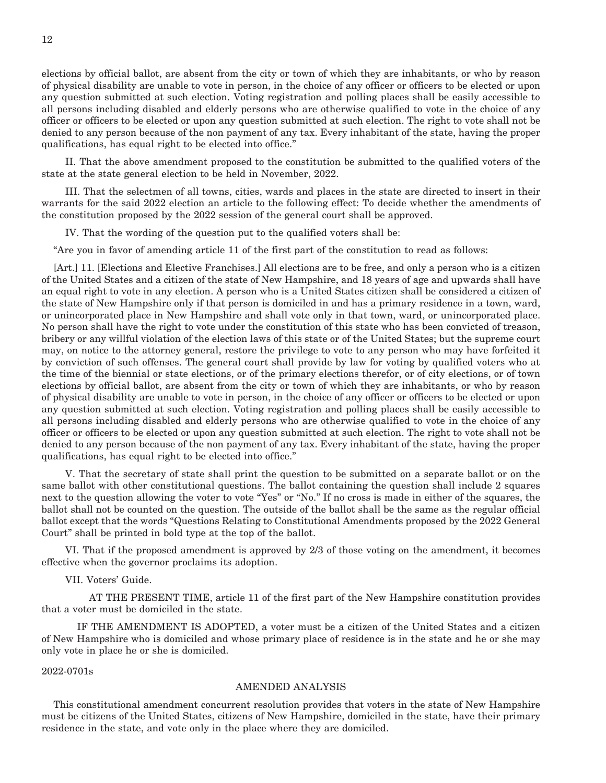elections by official ballot, are absent from the city or town of which they are inhabitants, or who by reason of physical disability are unable to vote in person, in the choice of any officer or officers to be elected or upon any question submitted at such election. Voting registration and polling places shall be easily accessible to all persons including disabled and elderly persons who are otherwise qualified to vote in the choice of any officer or officers to be elected or upon any question submitted at such election. The right to vote shall not be denied to any person because of the non payment of any tax. Every inhabitant of the state, having the proper qualifications, has equal right to be elected into office."

 II. That the above amendment proposed to the constitution be submitted to the qualified voters of the state at the state general election to be held in November, 2022.

 III. That the selectmen of all towns, cities, wards and places in the state are directed to insert in their warrants for the said 2022 election an article to the following effect: To decide whether the amendments of the constitution proposed by the 2022 session of the general court shall be approved.

IV. That the wording of the question put to the qualified voters shall be:

"Are you in favor of amending article 11 of the first part of the constitution to read as follows:

[Art.] 11. [Elections and Elective Franchises.] All elections are to be free, and only a person who is a citizen of the United States and a citizen of the state of New Hampshire, and 18 years of age and upwards shall have an equal right to vote in any election. A person who is a United States citizen shall be considered a citizen of the state of New Hampshire only if that person is domiciled in and has a primary residence in a town, ward, or unincorporated place in New Hampshire and shall vote only in that town, ward, or unincorporated place. No person shall have the right to vote under the constitution of this state who has been convicted of treason, bribery or any willful violation of the election laws of this state or of the United States; but the supreme court may, on notice to the attorney general, restore the privilege to vote to any person who may have forfeited it by conviction of such offenses. The general court shall provide by law for voting by qualified voters who at the time of the biennial or state elections, or of the primary elections therefor, or of city elections, or of town elections by official ballot, are absent from the city or town of which they are inhabitants, or who by reason of physical disability are unable to vote in person, in the choice of any officer or officers to be elected or upon any question submitted at such election. Voting registration and polling places shall be easily accessible to all persons including disabled and elderly persons who are otherwise qualified to vote in the choice of any officer or officers to be elected or upon any question submitted at such election. The right to vote shall not be denied to any person because of the non payment of any tax. Every inhabitant of the state, having the proper qualifications, has equal right to be elected into office."

 V. That the secretary of state shall print the question to be submitted on a separate ballot or on the same ballot with other constitutional questions. The ballot containing the question shall include 2 squares next to the question allowing the voter to vote "Yes" or "No." If no cross is made in either of the squares, the ballot shall not be counted on the question. The outside of the ballot shall be the same as the regular official ballot except that the words "Questions Relating to Constitutional Amendments proposed by the 2022 General Court" shall be printed in bold type at the top of the ballot.

 VI. That if the proposed amendment is approved by 2/3 of those voting on the amendment, it becomes effective when the governor proclaims its adoption.

VII. Voters' Guide.

 AT THE PRESENT TIME, article 11 of the first part of the New Hampshire constitution provides that a voter must be domiciled in the state.

 IF THE AMENDMENT IS ADOPTED, a voter must be a citizen of the United States and a citizen of New Hampshire who is domiciled and whose primary place of residence is in the state and he or she may only vote in place he or she is domiciled.

#### 2022-0701s

#### AMENDED ANALYSIS

This constitutional amendment concurrent resolution provides that voters in the state of New Hampshire must be citizens of the United States, citizens of New Hampshire, domiciled in the state, have their primary residence in the state, and vote only in the place where they are domiciled.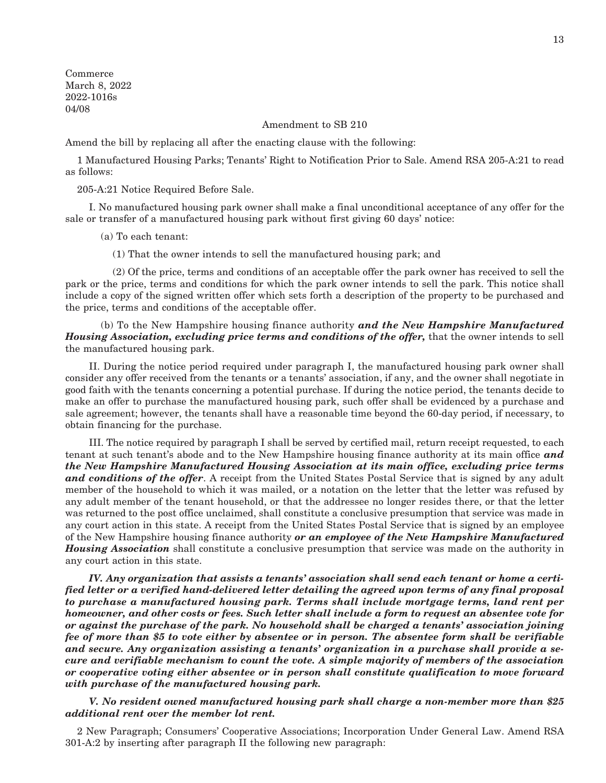Commerce March 8, 2022 2022-1016s 04/08

Amendment to SB 210

Amend the bill by replacing all after the enacting clause with the following:

1 Manufactured Housing Parks; Tenants' Right to Notification Prior to Sale. Amend RSA 205-A:21 to read as follows:

205-A:21 Notice Required Before Sale.

 I. No manufactured housing park owner shall make a final unconditional acceptance of any offer for the sale or transfer of a manufactured housing park without first giving 60 days' notice:

(a) To each tenant:

(1) That the owner intends to sell the manufactured housing park; and

 (2) Of the price, terms and conditions of an acceptable offer the park owner has received to sell the park or the price, terms and conditions for which the park owner intends to sell the park. This notice shall include a copy of the signed written offer which sets forth a description of the property to be purchased and the price, terms and conditions of the acceptable offer.

 (b) To the New Hampshire housing finance authority *and the New Hampshire Manufactured Housing Association, excluding price terms and conditions of the offer,* that the owner intends to sell the manufactured housing park.

 II. During the notice period required under paragraph I, the manufactured housing park owner shall consider any offer received from the tenants or a tenants' association, if any, and the owner shall negotiate in good faith with the tenants concerning a potential purchase. If during the notice period, the tenants decide to make an offer to purchase the manufactured housing park, such offer shall be evidenced by a purchase and sale agreement; however, the tenants shall have a reasonable time beyond the 60-day period, if necessary, to obtain financing for the purchase.

 III. The notice required by paragraph I shall be served by certified mail, return receipt requested, to each tenant at such tenant's abode and to the New Hampshire housing finance authority at its main office *and the New Hampshire Manufactured Housing Association at its main office, excluding price terms and conditions of the offer*. A receipt from the United States Postal Service that is signed by any adult member of the household to which it was mailed, or a notation on the letter that the letter was refused by any adult member of the tenant household, or that the addressee no longer resides there, or that the letter was returned to the post office unclaimed, shall constitute a conclusive presumption that service was made in any court action in this state. A receipt from the United States Postal Service that is signed by an employee of the New Hampshire housing finance authority *or an employee of the New Hampshire Manufactured Housing Association* shall constitute a conclusive presumption that service was made on the authority in any court action in this state.

 *IV. Any organization that assists a tenants' association shall send each tenant or home a certified letter or a verified hand-delivered letter detailing the agreed upon terms of any final proposal to purchase a manufactured housing park. Terms shall include mortgage terms, land rent per homeowner, and other costs or fees. Such letter shall include a form to request an absentee vote for or against the purchase of the park. No household shall be charged a tenants' association joining fee of more than \$5 to vote either by absentee or in person. The absentee form shall be verifiable and secure. Any organization assisting a tenants' organization in a purchase shall provide a secure and verifiable mechanism to count the vote. A simple majority of members of the association or cooperative voting either absentee or in person shall constitute qualification to move forward with purchase of the manufactured housing park.*

 *V. No resident owned manufactured housing park shall charge a non-member more than \$25 additional rent over the member lot rent.*

2 New Paragraph; Consumers' Cooperative Associations; Incorporation Under General Law. Amend RSA 301-A:2 by inserting after paragraph II the following new paragraph: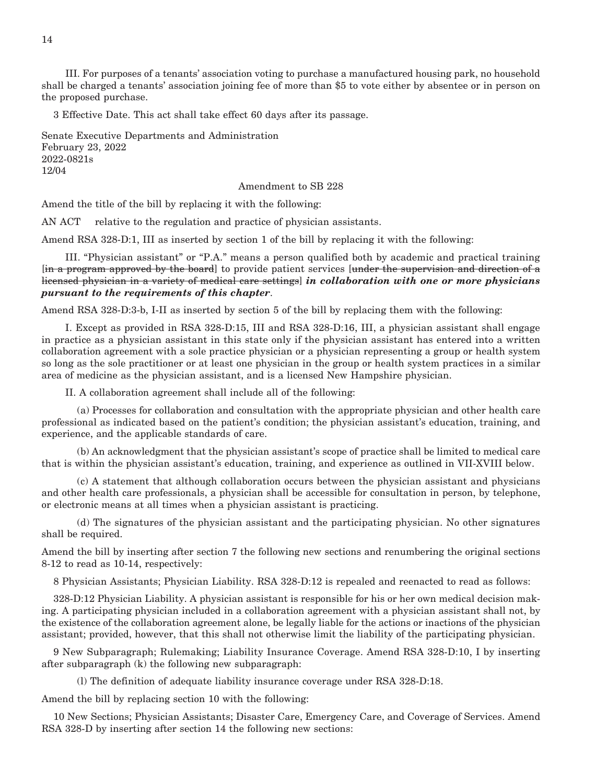III. For purposes of a tenants' association voting to purchase a manufactured housing park, no household shall be charged a tenants' association joining fee of more than \$5 to vote either by absentee or in person on the proposed purchase.

3 Effective Date. This act shall take effect 60 days after its passage.

Senate Executive Departments and Administration February 23, 2022 2022-0821s 12/04

Amendment to SB 228

Amend the title of the bill by replacing it with the following:

AN ACT relative to the regulation and practice of physician assistants.

Amend RSA 328-D:1, III as inserted by section 1 of the bill by replacing it with the following:

 III. "Physician assistant" or "P.A." means a person qualified both by academic and practical training [in a program approved by the board] to provide patient services [under the supervision and direction of a licensed physician in a variety of medical care settings] *in collaboration with one or more physicians pursuant to the requirements of this chapter*.

Amend RSA 328-D:3-b, I-II as inserted by section 5 of the bill by replacing them with the following:

 I. Except as provided in RSA 328-D:15, III and RSA 328-D:16, III, a physician assistant shall engage in practice as a physician assistant in this state only if the physician assistant has entered into a written collaboration agreement with a sole practice physician or a physician representing a group or health system so long as the sole practitioner or at least one physician in the group or health system practices in a similar area of medicine as the physician assistant, and is a licensed New Hampshire physician.

II. A collaboration agreement shall include all of the following:

 (a) Processes for collaboration and consultation with the appropriate physician and other health care professional as indicated based on the patient's condition; the physician assistant's education, training, and experience, and the applicable standards of care.

 (b) An acknowledgment that the physician assistant's scope of practice shall be limited to medical care that is within the physician assistant's education, training, and experience as outlined in VII-XVIII below.

 (c) A statement that although collaboration occurs between the physician assistant and physicians and other health care professionals, a physician shall be accessible for consultation in person, by telephone, or electronic means at all times when a physician assistant is practicing.

 (d) The signatures of the physician assistant and the participating physician. No other signatures shall be required.

Amend the bill by inserting after section 7 the following new sections and renumbering the original sections 8-12 to read as 10-14, respectively:

8 Physician Assistants; Physician Liability. RSA 328-D:12 is repealed and reenacted to read as follows:

328-D:12 Physician Liability. A physician assistant is responsible for his or her own medical decision making. A participating physician included in a collaboration agreement with a physician assistant shall not, by the existence of the collaboration agreement alone, be legally liable for the actions or inactions of the physician assistant; provided, however, that this shall not otherwise limit the liability of the participating physician.

9 New Subparagraph; Rulemaking; Liability Insurance Coverage. Amend RSA 328-D:10, I by inserting after subparagraph (k) the following new subparagraph:

(l) The definition of adequate liability insurance coverage under RSA 328-D:18.

Amend the bill by replacing section 10 with the following:

10 New Sections; Physician Assistants; Disaster Care, Emergency Care, and Coverage of Services. Amend RSA 328-D by inserting after section 14 the following new sections:

14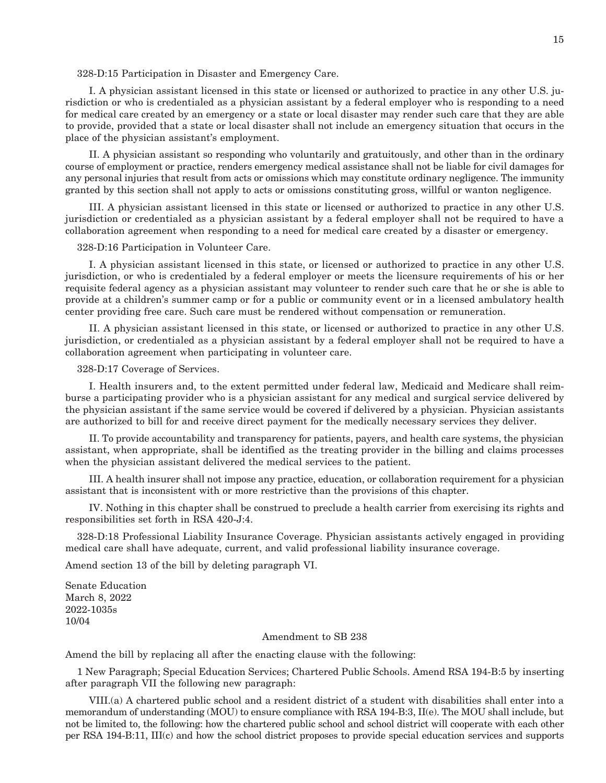#### 328-D:15 Participation in Disaster and Emergency Care.

 I. A physician assistant licensed in this state or licensed or authorized to practice in any other U.S. jurisdiction or who is credentialed as a physician assistant by a federal employer who is responding to a need for medical care created by an emergency or a state or local disaster may render such care that they are able to provide, provided that a state or local disaster shall not include an emergency situation that occurs in the place of the physician assistant's employment.

 II. A physician assistant so responding who voluntarily and gratuitously, and other than in the ordinary course of employment or practice, renders emergency medical assistance shall not be liable for civil damages for any personal injuries that result from acts or omissions which may constitute ordinary negligence. The immunity granted by this section shall not apply to acts or omissions constituting gross, willful or wanton negligence.

 III. A physician assistant licensed in this state or licensed or authorized to practice in any other U.S. jurisdiction or credentialed as a physician assistant by a federal employer shall not be required to have a collaboration agreement when responding to a need for medical care created by a disaster or emergency.

#### 328-D:16 Participation in Volunteer Care.

 I. A physician assistant licensed in this state, or licensed or authorized to practice in any other U.S. jurisdiction, or who is credentialed by a federal employer or meets the licensure requirements of his or her requisite federal agency as a physician assistant may volunteer to render such care that he or she is able to provide at a children's summer camp or for a public or community event or in a licensed ambulatory health center providing free care. Such care must be rendered without compensation or remuneration.

 II. A physician assistant licensed in this state, or licensed or authorized to practice in any other U.S. jurisdiction, or credentialed as a physician assistant by a federal employer shall not be required to have a collaboration agreement when participating in volunteer care.

328-D:17 Coverage of Services.

 I. Health insurers and, to the extent permitted under federal law, Medicaid and Medicare shall reimburse a participating provider who is a physician assistant for any medical and surgical service delivered by the physician assistant if the same service would be covered if delivered by a physician. Physician assistants are authorized to bill for and receive direct payment for the medically necessary services they deliver.

 II. To provide accountability and transparency for patients, payers, and health care systems, the physician assistant, when appropriate, shall be identified as the treating provider in the billing and claims processes when the physician assistant delivered the medical services to the patient.

 III. A health insurer shall not impose any practice, education, or collaboration requirement for a physician assistant that is inconsistent with or more restrictive than the provisions of this chapter.

 IV. Nothing in this chapter shall be construed to preclude a health carrier from exercising its rights and responsibilities set forth in RSA 420-J:4.

328-D:18 Professional Liability Insurance Coverage. Physician assistants actively engaged in providing medical care shall have adequate, current, and valid professional liability insurance coverage.

Amend section 13 of the bill by deleting paragraph VI.

Senate Education March 8, 2022 2022-1035s 10/04

#### Amendment to SB 238

Amend the bill by replacing all after the enacting clause with the following:

1 New Paragraph; Special Education Services; Chartered Public Schools. Amend RSA 194-B:5 by inserting after paragraph VII the following new paragraph:

 VIII.(a) A chartered public school and a resident district of a student with disabilities shall enter into a memorandum of understanding (MOU) to ensure compliance with RSA 194-B:3, II(e). The MOU shall include, but not be limited to, the following: how the chartered public school and school district will cooperate with each other per RSA 194-B:11, III(c) and how the school district proposes to provide special education services and supports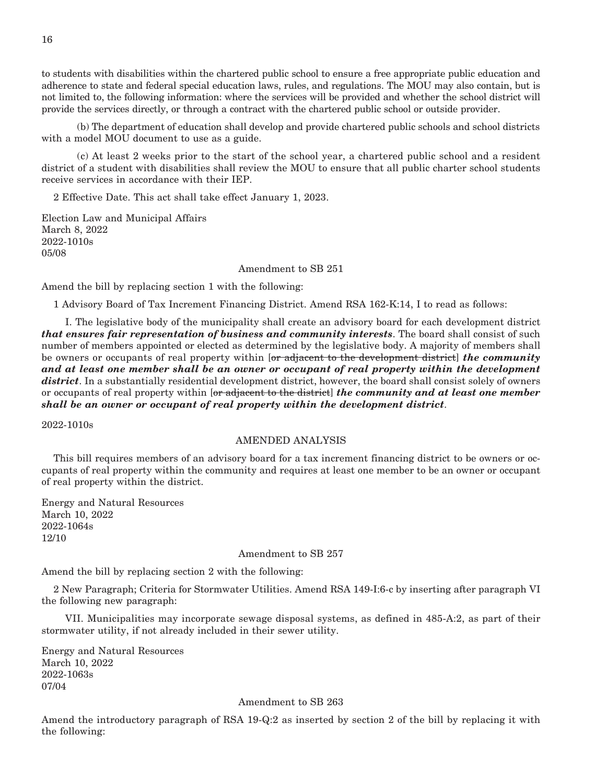to students with disabilities within the chartered public school to ensure a free appropriate public education and adherence to state and federal special education laws, rules, and regulations. The MOU may also contain, but is not limited to, the following information: where the services will be provided and whether the school district will provide the services directly, or through a contract with the chartered public school or outside provider.

 (b) The department of education shall develop and provide chartered public schools and school districts with a model MOU document to use as a guide.

 (c) At least 2 weeks prior to the start of the school year, a chartered public school and a resident district of a student with disabilities shall review the MOU to ensure that all public charter school students receive services in accordance with their IEP.

2 Effective Date. This act shall take effect January 1, 2023.

Election Law and Municipal Affairs March 8, 2022 2022-1010s 05/08

#### Amendment to SB 251

Amend the bill by replacing section 1 with the following:

1 Advisory Board of Tax Increment Financing District. Amend RSA 162-K:14, I to read as follows:

 I. The legislative body of the municipality shall create an advisory board for each development district *that ensures fair representation of business and community interests*. The board shall consist of such number of members appointed or elected as determined by the legislative body. A majority of members shall be owners or occupants of real property within [or adjacent to the development district] *the community and at least one member shall be an owner or occupant of real property within the development district*. In a substantially residential development district, however, the board shall consist solely of owners or occupants of real property within [or adjacent to the district] *the community and at least one member shall be an owner or occupant of real property within the development district*.

2022-1010s

#### AMENDED ANALYSIS

This bill requires members of an advisory board for a tax increment financing district to be owners or occupants of real property within the community and requires at least one member to be an owner or occupant of real property within the district.

Energy and Natural Resources March 10, 2022 2022-1064s 12/10

#### Amendment to SB 257

Amend the bill by replacing section 2 with the following:

2 New Paragraph; Criteria for Stormwater Utilities. Amend RSA 149-I:6-c by inserting after paragraph VI the following new paragraph:

 VII. Municipalities may incorporate sewage disposal systems, as defined in 485-A:2, as part of their stormwater utility, if not already included in their sewer utility.

Energy and Natural Resources March 10, 2022 2022-1063s 07/04

#### Amendment to SB 263

Amend the introductory paragraph of RSA 19-Q:2 as inserted by section 2 of the bill by replacing it with the following: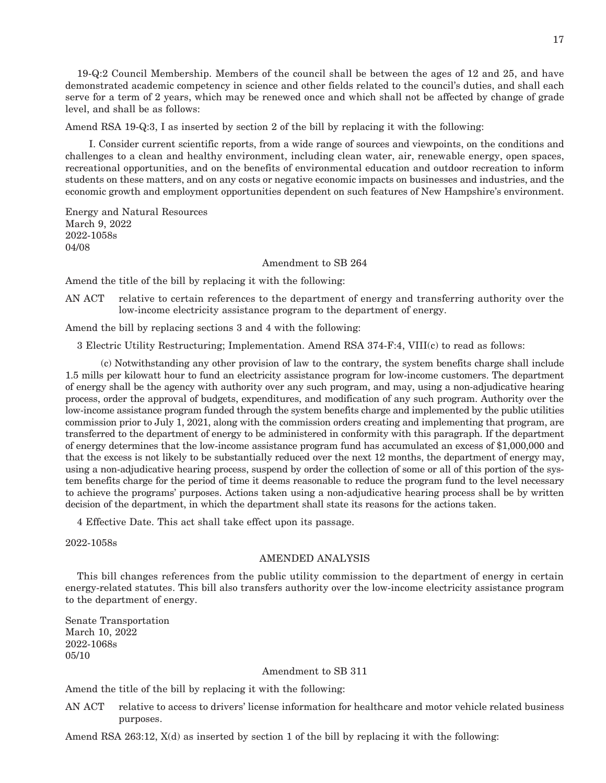19-Q:2 Council Membership. Members of the council shall be between the ages of 12 and 25, and have demonstrated academic competency in science and other fields related to the council's duties, and shall each serve for a term of 2 years, which may be renewed once and which shall not be affected by change of grade level, and shall be as follows:

Amend RSA 19-Q:3, I as inserted by section 2 of the bill by replacing it with the following:

 I. Consider current scientific reports, from a wide range of sources and viewpoints, on the conditions and challenges to a clean and healthy environment, including clean water, air, renewable energy, open spaces, recreational opportunities, and on the benefits of environmental education and outdoor recreation to inform students on these matters, and on any costs or negative economic impacts on businesses and industries, and the economic growth and employment opportunities dependent on such features of New Hampshire's environment.

Energy and Natural Resources March 9, 2022 2022-1058s 04/08

#### Amendment to SB 264

Amend the title of the bill by replacing it with the following:

AN ACT relative to certain references to the department of energy and transferring authority over the low-income electricity assistance program to the department of energy.

Amend the bill by replacing sections 3 and 4 with the following:

3 Electric Utility Restructuring; Implementation. Amend RSA 374-F:4, VIII(c) to read as follows:

 (c) Notwithstanding any other provision of law to the contrary, the system benefits charge shall include 1.5 mills per kilowatt hour to fund an electricity assistance program for low-income customers. The department of energy shall be the agency with authority over any such program, and may, using a non-adjudicative hearing process, order the approval of budgets, expenditures, and modification of any such program. Authority over the low-income assistance program funded through the system benefits charge and implemented by the public utilities commission prior to July 1, 2021, along with the commission orders creating and implementing that program, are transferred to the department of energy to be administered in conformity with this paragraph. If the department of energy determines that the low-income assistance program fund has accumulated an excess of \$1,000,000 and that the excess is not likely to be substantially reduced over the next 12 months, the department of energy may, using a non-adjudicative hearing process, suspend by order the collection of some or all of this portion of the system benefits charge for the period of time it deems reasonable to reduce the program fund to the level necessary to achieve the programs' purposes. Actions taken using a non-adjudicative hearing process shall be by written decision of the department, in which the department shall state its reasons for the actions taken.

4 Effective Date. This act shall take effect upon its passage.

2022-1058s

#### AMENDED ANALYSIS

This bill changes references from the public utility commission to the department of energy in certain energy-related statutes. This bill also transfers authority over the low-income electricity assistance program to the department of energy.

Senate Transportation March 10, 2022 2022-1068s 05/10

#### Amendment to SB 311

Amend the title of the bill by replacing it with the following:

AN ACT relative to access to drivers' license information for healthcare and motor vehicle related business purposes.

Amend RSA 263:12, X(d) as inserted by section 1 of the bill by replacing it with the following: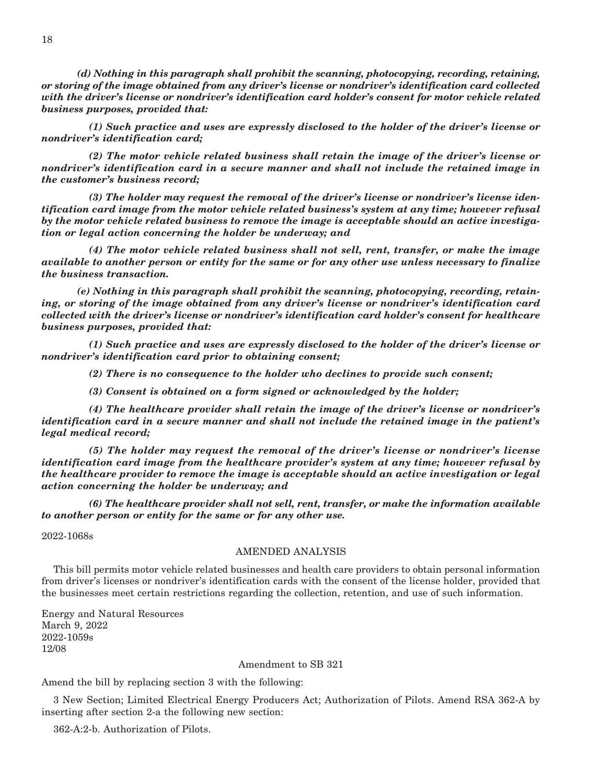*(d) Nothing in this paragraph shall prohibit the scanning, photocopying, recording, retaining, or storing of the image obtained from any driver's license or nondriver's identification card collected with the driver's license or nondriver's identification card holder's consent for motor vehicle related business purposes, provided that:*

 *(1) Such practice and uses are expressly disclosed to the holder of the driver's license or nondriver's identification card;*

 *(2) The motor vehicle related business shall retain the image of the driver's license or nondriver's identification card in a secure manner and shall not include the retained image in the customer's business record;*

 *(3) The holder may request the removal of the driver's license or nondriver's license identification card image from the motor vehicle related business's system at any time; however refusal by the motor vehicle related business to remove the image is acceptable should an active investigation or legal action concerning the holder be underway; and*

 *(4) The motor vehicle related business shall not sell, rent, transfer, or make the image available to another person or entity for the same or for any other use unless necessary to finalize the business transaction.*

 *(e) Nothing in this paragraph shall prohibit the scanning, photocopying, recording, retaining, or storing of the image obtained from any driver's license or nondriver's identification card collected with the driver's license or nondriver's identification card holder's consent for healthcare business purposes, provided that:*

 *(1) Such practice and uses are expressly disclosed to the holder of the driver's license or nondriver's identification card prior to obtaining consent;*

 *(2) There is no consequence to the holder who declines to provide such consent;*

 *(3) Consent is obtained on a form signed or acknowledged by the holder;*

 *(4) The healthcare provider shall retain the image of the driver's license or nondriver's identification card in a secure manner and shall not include the retained image in the patient's legal medical record;*

 *(5) The holder may request the removal of the driver's license or nondriver's license identification card image from the healthcare provider's system at any time; however refusal by the healthcare provider to remove the image is acceptable should an active investigation or legal action concerning the holder be underway; and*

 *(6) The healthcare provider shall not sell, rent, transfer, or make the information available to another person or entity for the same or for any other use.*

2022-1068s

#### AMENDED ANALYSIS

This bill permits motor vehicle related businesses and health care providers to obtain personal information from driver's licenses or nondriver's identification cards with the consent of the license holder, provided that the businesses meet certain restrictions regarding the collection, retention, and use of such information.

Energy and Natural Resources March 9, 2022 2022-1059s 12/08

#### Amendment to SB 321

Amend the bill by replacing section 3 with the following:

3 New Section; Limited Electrical Energy Producers Act; Authorization of Pilots. Amend RSA 362-A by inserting after section 2-a the following new section:

362-A:2-b. Authorization of Pilots.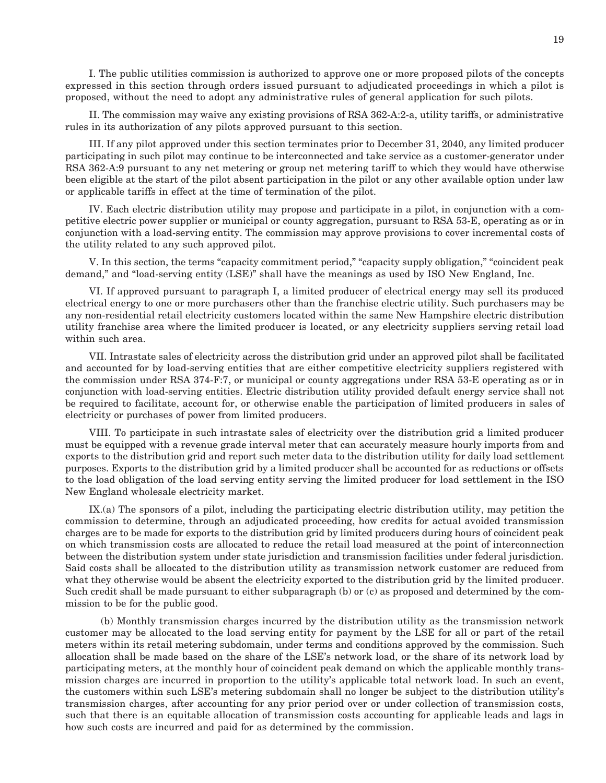I. The public utilities commission is authorized to approve one or more proposed pilots of the concepts expressed in this section through orders issued pursuant to adjudicated proceedings in which a pilot is proposed, without the need to adopt any administrative rules of general application for such pilots.

 II. The commission may waive any existing provisions of RSA 362-A:2-a, utility tariffs, or administrative rules in its authorization of any pilots approved pursuant to this section.

 III. If any pilot approved under this section terminates prior to December 31, 2040, any limited producer participating in such pilot may continue to be interconnected and take service as a customer-generator under RSA 362-A:9 pursuant to any net metering or group net metering tariff to which they would have otherwise been eligible at the start of the pilot absent participation in the pilot or any other available option under law or applicable tariffs in effect at the time of termination of the pilot.

 IV. Each electric distribution utility may propose and participate in a pilot, in conjunction with a competitive electric power supplier or municipal or county aggregation, pursuant to RSA 53-E, operating as or in conjunction with a load-serving entity. The commission may approve provisions to cover incremental costs of the utility related to any such approved pilot.

 V. In this section, the terms "capacity commitment period," "capacity supply obligation," "coincident peak demand," and "load-serving entity (LSE)" shall have the meanings as used by ISO New England, Inc.

 VI. If approved pursuant to paragraph I, a limited producer of electrical energy may sell its produced electrical energy to one or more purchasers other than the franchise electric utility. Such purchasers may be any non-residential retail electricity customers located within the same New Hampshire electric distribution utility franchise area where the limited producer is located, or any electricity suppliers serving retail load within such area.

 VII. Intrastate sales of electricity across the distribution grid under an approved pilot shall be facilitated and accounted for by load-serving entities that are either competitive electricity suppliers registered with the commission under RSA 374-F:7, or municipal or county aggregations under RSA 53-E operating as or in conjunction with load-serving entities. Electric distribution utility provided default energy service shall not be required to facilitate, account for, or otherwise enable the participation of limited producers in sales of electricity or purchases of power from limited producers.

 VIII. To participate in such intrastate sales of electricity over the distribution grid a limited producer must be equipped with a revenue grade interval meter that can accurately measure hourly imports from and exports to the distribution grid and report such meter data to the distribution utility for daily load settlement purposes. Exports to the distribution grid by a limited producer shall be accounted for as reductions or offsets to the load obligation of the load serving entity serving the limited producer for load settlement in the ISO New England wholesale electricity market.

 IX.(a) The sponsors of a pilot, including the participating electric distribution utility, may petition the commission to determine, through an adjudicated proceeding, how credits for actual avoided transmission charges are to be made for exports to the distribution grid by limited producers during hours of coincident peak on which transmission costs are allocated to reduce the retail load measured at the point of interconnection between the distribution system under state jurisdiction and transmission facilities under federal jurisdiction. Said costs shall be allocated to the distribution utility as transmission network customer are reduced from what they otherwise would be absent the electricity exported to the distribution grid by the limited producer. Such credit shall be made pursuant to either subparagraph (b) or (c) as proposed and determined by the commission to be for the public good.

 (b) Monthly transmission charges incurred by the distribution utility as the transmission network customer may be allocated to the load serving entity for payment by the LSE for all or part of the retail meters within its retail metering subdomain, under terms and conditions approved by the commission. Such allocation shall be made based on the share of the LSE's network load, or the share of its network load by participating meters, at the monthly hour of coincident peak demand on which the applicable monthly transmission charges are incurred in proportion to the utility's applicable total network load. In such an event, the customers within such LSE's metering subdomain shall no longer be subject to the distribution utility's transmission charges, after accounting for any prior period over or under collection of transmission costs, such that there is an equitable allocation of transmission costs accounting for applicable leads and lags in how such costs are incurred and paid for as determined by the commission.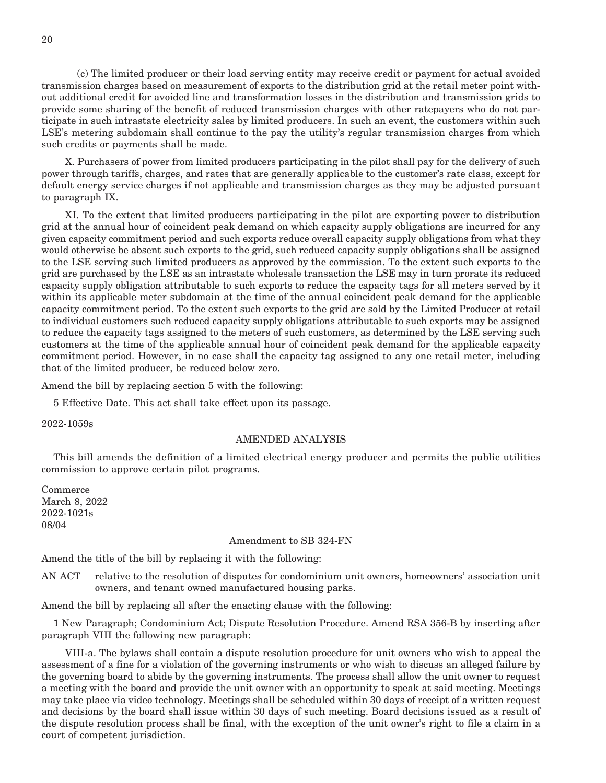(c) The limited producer or their load serving entity may receive credit or payment for actual avoided transmission charges based on measurement of exports to the distribution grid at the retail meter point without additional credit for avoided line and transformation losses in the distribution and transmission grids to provide some sharing of the benefit of reduced transmission charges with other ratepayers who do not participate in such intrastate electricity sales by limited producers. In such an event, the customers within such LSE's metering subdomain shall continue to the pay the utility's regular transmission charges from which such credits or payments shall be made.

 X. Purchasers of power from limited producers participating in the pilot shall pay for the delivery of such power through tariffs, charges, and rates that are generally applicable to the customer's rate class, except for default energy service charges if not applicable and transmission charges as they may be adjusted pursuant to paragraph IX.

 XI. To the extent that limited producers participating in the pilot are exporting power to distribution grid at the annual hour of coincident peak demand on which capacity supply obligations are incurred for any given capacity commitment period and such exports reduce overall capacity supply obligations from what they would otherwise be absent such exports to the grid, such reduced capacity supply obligations shall be assigned to the LSE serving such limited producers as approved by the commission. To the extent such exports to the grid are purchased by the LSE as an intrastate wholesale transaction the LSE may in turn prorate its reduced capacity supply obligation attributable to such exports to reduce the capacity tags for all meters served by it within its applicable meter subdomain at the time of the annual coincident peak demand for the applicable capacity commitment period. To the extent such exports to the grid are sold by the Limited Producer at retail to individual customers such reduced capacity supply obligations attributable to such exports may be assigned to reduce the capacity tags assigned to the meters of such customers, as determined by the LSE serving such customers at the time of the applicable annual hour of coincident peak demand for the applicable capacity commitment period. However, in no case shall the capacity tag assigned to any one retail meter, including that of the limited producer, be reduced below zero.

Amend the bill by replacing section 5 with the following:

5 Effective Date. This act shall take effect upon its passage.

2022-1059s

#### AMENDED ANALYSIS

This bill amends the definition of a limited electrical energy producer and permits the public utilities commission to approve certain pilot programs.

Commerce March 8, 2022 2022-1021s 08/04

#### Amendment to SB 324-FN

Amend the title of the bill by replacing it with the following:

AN ACT relative to the resolution of disputes for condominium unit owners, homeowners' association unit owners, and tenant owned manufactured housing parks.

Amend the bill by replacing all after the enacting clause with the following:

1 New Paragraph; Condominium Act; Dispute Resolution Procedure. Amend RSA 356-B by inserting after paragraph VIII the following new paragraph:

 VIII-a. The bylaws shall contain a dispute resolution procedure for unit owners who wish to appeal the assessment of a fine for a violation of the governing instruments or who wish to discuss an alleged failure by the governing board to abide by the governing instruments. The process shall allow the unit owner to request a meeting with the board and provide the unit owner with an opportunity to speak at said meeting. Meetings may take place via video technology. Meetings shall be scheduled within 30 days of receipt of a written request and decisions by the board shall issue within 30 days of such meeting. Board decisions issued as a result of the dispute resolution process shall be final, with the exception of the unit owner's right to file a claim in a court of competent jurisdiction.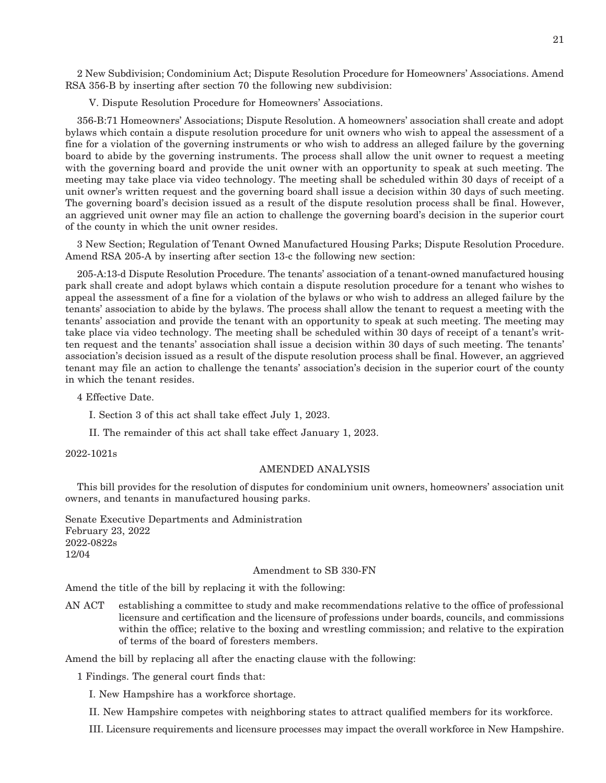2 New Subdivision; Condominium Act; Dispute Resolution Procedure for Homeowners' Associations. Amend RSA 356-B by inserting after section 70 the following new subdivision:

V. Dispute Resolution Procedure for Homeowners' Associations.

356-B:71 Homeowners' Associations; Dispute Resolution. A homeowners' association shall create and adopt bylaws which contain a dispute resolution procedure for unit owners who wish to appeal the assessment of a fine for a violation of the governing instruments or who wish to address an alleged failure by the governing board to abide by the governing instruments. The process shall allow the unit owner to request a meeting with the governing board and provide the unit owner with an opportunity to speak at such meeting. The meeting may take place via video technology. The meeting shall be scheduled within 30 days of receipt of a unit owner's written request and the governing board shall issue a decision within 30 days of such meeting. The governing board's decision issued as a result of the dispute resolution process shall be final. However, an aggrieved unit owner may file an action to challenge the governing board's decision in the superior court of the county in which the unit owner resides.

3 New Section; Regulation of Tenant Owned Manufactured Housing Parks; Dispute Resolution Procedure. Amend RSA 205-A by inserting after section 13-c the following new section:

205-A:13-d Dispute Resolution Procedure. The tenants' association of a tenant-owned manufactured housing park shall create and adopt bylaws which contain a dispute resolution procedure for a tenant who wishes to appeal the assessment of a fine for a violation of the bylaws or who wish to address an alleged failure by the tenants' association to abide by the bylaws. The process shall allow the tenant to request a meeting with the tenants' association and provide the tenant with an opportunity to speak at such meeting. The meeting may take place via video technology. The meeting shall be scheduled within 30 days of receipt of a tenant's written request and the tenants' association shall issue a decision within 30 days of such meeting. The tenants' association's decision issued as a result of the dispute resolution process shall be final. However, an aggrieved tenant may file an action to challenge the tenants' association's decision in the superior court of the county in which the tenant resides.

4 Effective Date.

I. Section 3 of this act shall take effect July 1, 2023.

II. The remainder of this act shall take effect January 1, 2023.

2022-1021s

#### AMENDED ANALYSIS

This bill provides for the resolution of disputes for condominium unit owners, homeowners' association unit owners, and tenants in manufactured housing parks.

Senate Executive Departments and Administration February 23, 2022 2022-0822s 12/04

#### Amendment to SB 330-FN

Amend the title of the bill by replacing it with the following:

AN ACT establishing a committee to study and make recommendations relative to the office of professional licensure and certification and the licensure of professions under boards, councils, and commissions within the office; relative to the boxing and wrestling commission; and relative to the expiration of terms of the board of foresters members.

Amend the bill by replacing all after the enacting clause with the following:

1 Findings. The general court finds that:

I. New Hampshire has a workforce shortage.

II. New Hampshire competes with neighboring states to attract qualified members for its workforce.

III. Licensure requirements and licensure processes may impact the overall workforce in New Hampshire.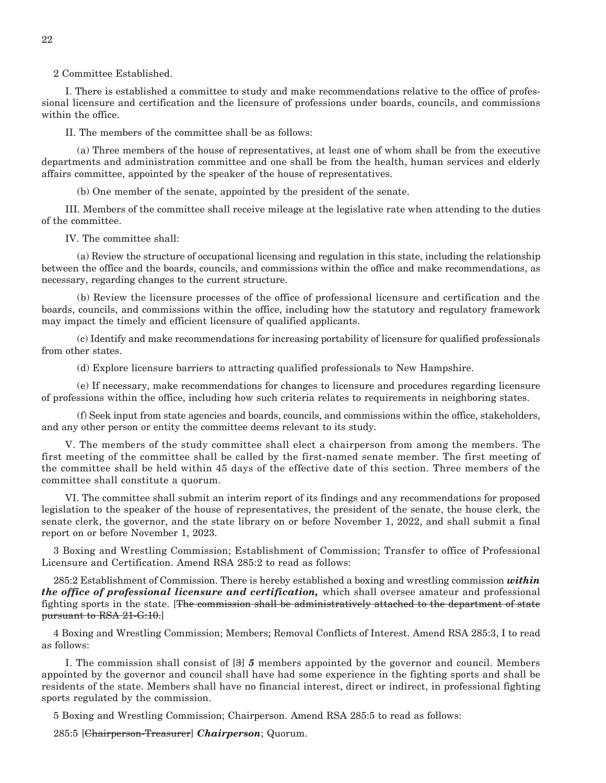2 Committee Established.

 I. There is established a committee to study and make recommendations relative to the office of professional licensure and certification and the licensure of professions under boards, councils, and commissions within the office.

II. The members of the committee shall be as follows:

 (a) Three members of the house of representatives, at least one of whom shall be from the executive departments and administration committee and one shall be from the health, human services and elderly affairs committee, appointed by the speaker of the house of representatives.

(b) One member of the senate, appointed by the president of the senate.

 III. Members of the committee shall receive mileage at the legislative rate when attending to the duties of the committee.

IV. The committee shall:

 (a) Review the structure of occupational licensing and regulation in this state, including the relationship between the office and the boards, councils, and commissions within the office and make recommendations, as necessary, regarding changes to the current structure.

 (b) Review the licensure processes of the office of professional licensure and certification and the boards, councils, and commissions within the office, including how the statutory and regulatory framework may impact the timely and efficient licensure of qualified applicants.

 (c) Identify and make recommendations for increasing portability of licensure for qualified professionals from other states.

(d) Explore licensure barriers to attracting qualified professionals to New Hampshire.

 (e) If necessary, make recommendations for changes to licensure and procedures regarding licensure of professions within the office, including how such criteria relates to requirements in neighboring states.

 (f) Seek input from state agencies and boards, councils, and commissions within the office, stakeholders, and any other person or entity the committee deems relevant to its study.

 V. The members of the study committee shall elect a chairperson from among the members. The first meeting of the committee shall be called by the first-named senate member. The first meeting of the committee shall be held within 45 days of the effective date of this section. Three members of the committee shall constitute a quorum.

 VI. The committee shall submit an interim report of its findings and any recommendations for proposed legislation to the speaker of the house of representatives, the president of the senate, the house clerk, the senate clerk, the governor, and the state library on or before November 1, 2022, and shall submit a final report on or before November 1, 2023.

3 Boxing and Wrestling Commission; Establishment of Commission; Transfer to office of Professional Licensure and Certification. Amend RSA 285:2 to read as follows:

285:2 Establishment of Commission. There is hereby established a boxing and wrestling commission *within the office of professional licensure and certification,* which shall oversee amateur and professional fighting sports in the state. [The commission shall be administratively attached to the department of state pursuant to RSA 21-G:10.]

4 Boxing and Wrestling Commission; Members; Removal Conflicts of Interest. Amend RSA 285:3, I to read as follows:

 I. The commission shall consist of [3] *5* members appointed by the governor and council. Members appointed by the governor and council shall have had some experience in the fighting sports and shall be residents of the state. Members shall have no financial interest, direct or indirect, in professional fighting sports regulated by the commission.

5 Boxing and Wrestling Commission; Chairperson. Amend RSA 285:5 to read as follows:

285:5 [Chairperson-Treasurer] *Chairperson*; Quorum.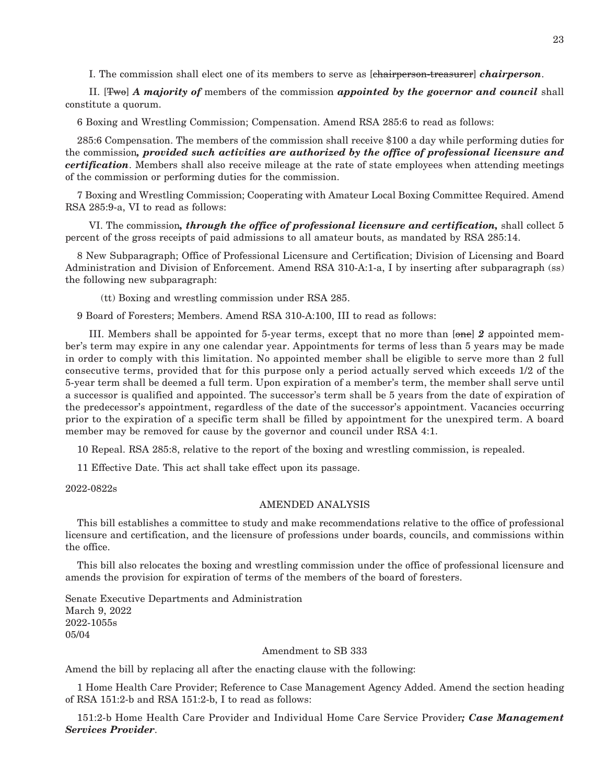I. The commission shall elect one of its members to serve as [chairperson-treasurer] *chairperson*.

 II. [Two] *A majority of* members of the commission *appointed by the governor and council* shall constitute a quorum.

6 Boxing and Wrestling Commission; Compensation. Amend RSA 285:6 to read as follows:

285:6 Compensation. The members of the commission shall receive \$100 a day while performing duties for the commission*, provided such activities are authorized by the office of professional licensure and certification*. Members shall also receive mileage at the rate of state employees when attending meetings of the commission or performing duties for the commission.

7 Boxing and Wrestling Commission; Cooperating with Amateur Local Boxing Committee Required. Amend RSA 285:9-a, VI to read as follows:

 VI. The commission*, through the office of professional licensure and certification,* shall collect 5 percent of the gross receipts of paid admissions to all amateur bouts, as mandated by RSA 285:14.

8 New Subparagraph; Office of Professional Licensure and Certification; Division of Licensing and Board Administration and Division of Enforcement. Amend RSA 310-A:1-a, I by inserting after subparagraph (ss) the following new subparagraph:

(tt) Boxing and wrestling commission under RSA 285.

9 Board of Foresters; Members. Amend RSA 310-A:100, III to read as follows:

 III. Members shall be appointed for 5-year terms, except that no more than [one] *2* appointed member's term may expire in any one calendar year. Appointments for terms of less than 5 years may be made in order to comply with this limitation. No appointed member shall be eligible to serve more than 2 full consecutive terms, provided that for this purpose only a period actually served which exceeds 1/2 of the 5-year term shall be deemed a full term. Upon expiration of a member's term, the member shall serve until a successor is qualified and appointed. The successor's term shall be 5 years from the date of expiration of the predecessor's appointment, regardless of the date of the successor's appointment. Vacancies occurring prior to the expiration of a specific term shall be filled by appointment for the unexpired term. A board member may be removed for cause by the governor and council under RSA 4:1.

10 Repeal. RSA 285:8, relative to the report of the boxing and wrestling commission, is repealed.

11 Effective Date. This act shall take effect upon its passage.

2022-0822s

#### AMENDED ANALYSIS

This bill establishes a committee to study and make recommendations relative to the office of professional licensure and certification, and the licensure of professions under boards, councils, and commissions within the office.

This bill also relocates the boxing and wrestling commission under the office of professional licensure and amends the provision for expiration of terms of the members of the board of foresters.

Senate Executive Departments and Administration March 9, 2022 2022-1055s 05/04

#### Amendment to SB 333

Amend the bill by replacing all after the enacting clause with the following:

1 Home Health Care Provider; Reference to Case Management Agency Added. Amend the section heading of RSA 151:2-b and RSA 151:2-b, I to read as follows:

151:2-b Home Health Care Provider and Individual Home Care Service Provider*; Case Management Services Provider*.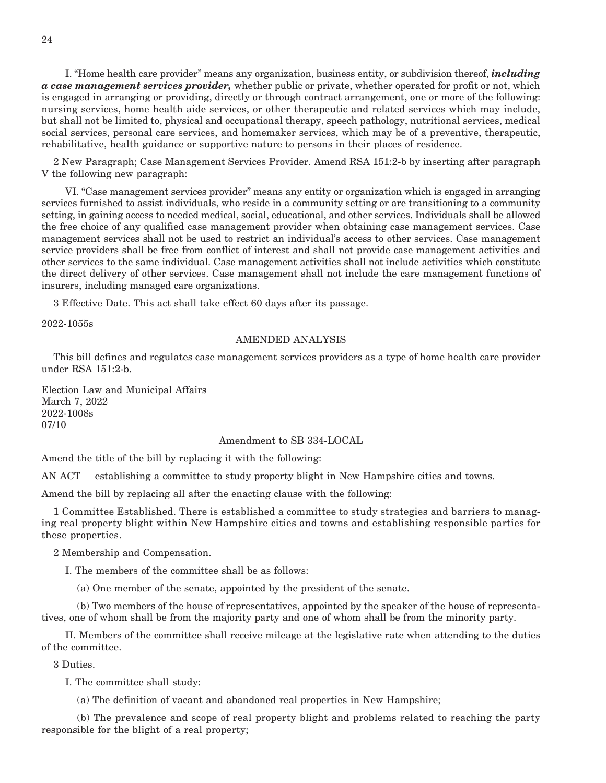I. "Home health care provider" means any organization, business entity, or subdivision thereof, *including a case management services provider,* whether public or private, whether operated for profit or not, which is engaged in arranging or providing, directly or through contract arrangement, one or more of the following: nursing services, home health aide services, or other therapeutic and related services which may include, but shall not be limited to, physical and occupational therapy, speech pathology, nutritional services, medical social services, personal care services, and homemaker services, which may be of a preventive, therapeutic, rehabilitative, health guidance or supportive nature to persons in their places of residence.

2 New Paragraph; Case Management Services Provider. Amend RSA 151:2-b by inserting after paragraph V the following new paragraph:

 VI. "Case management services provider" means any entity or organization which is engaged in arranging services furnished to assist individuals, who reside in a community setting or are transitioning to a community setting, in gaining access to needed medical, social, educational, and other services. Individuals shall be allowed the free choice of any qualified case management provider when obtaining case management services. Case management services shall not be used to restrict an individual's access to other services. Case management service providers shall be free from conflict of interest and shall not provide case management activities and other services to the same individual. Case management activities shall not include activities which constitute the direct delivery of other services. Case management shall not include the care management functions of insurers, including managed care organizations.

3 Effective Date. This act shall take effect 60 days after its passage.

2022-1055s

#### AMENDED ANALYSIS

This bill defines and regulates case management services providers as a type of home health care provider under RSA 151:2-b.

Election Law and Municipal Affairs March 7, 2022 2022-1008s 07/10

#### Amendment to SB 334-LOCAL

Amend the title of the bill by replacing it with the following:

AN ACT establishing a committee to study property blight in New Hampshire cities and towns.

Amend the bill by replacing all after the enacting clause with the following:

1 Committee Established. There is established a committee to study strategies and barriers to managing real property blight within New Hampshire cities and towns and establishing responsible parties for these properties.

2 Membership and Compensation.

I. The members of the committee shall be as follows:

(a) One member of the senate, appointed by the president of the senate.

 (b) Two members of the house of representatives, appointed by the speaker of the house of representatives, one of whom shall be from the majority party and one of whom shall be from the minority party.

 II. Members of the committee shall receive mileage at the legislative rate when attending to the duties of the committee.

3 Duties.

I. The committee shall study:

(a) The definition of vacant and abandoned real properties in New Hampshire;

 (b) The prevalence and scope of real property blight and problems related to reaching the party responsible for the blight of a real property;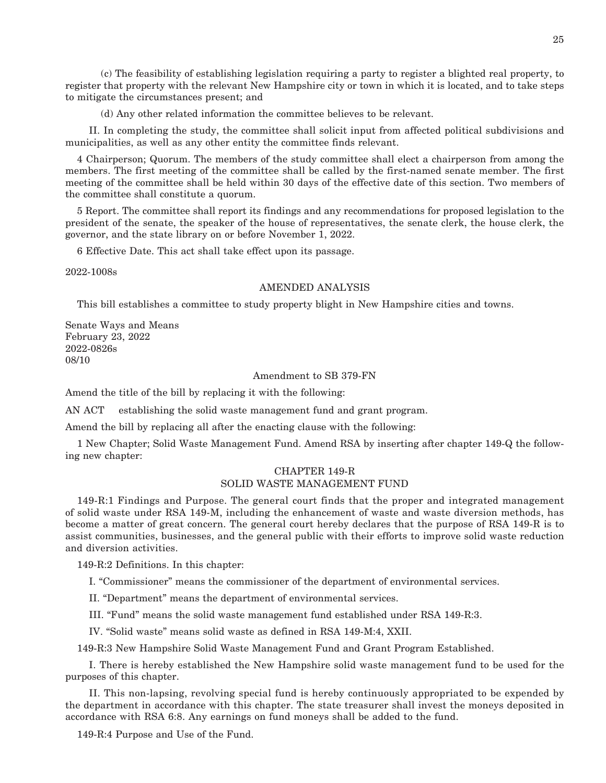(c) The feasibility of establishing legislation requiring a party to register a blighted real property, to register that property with the relevant New Hampshire city or town in which it is located, and to take steps to mitigate the circumstances present; and

(d) Any other related information the committee believes to be relevant.

 II. In completing the study, the committee shall solicit input from affected political subdivisions and municipalities, as well as any other entity the committee finds relevant.

4 Chairperson; Quorum. The members of the study committee shall elect a chairperson from among the members. The first meeting of the committee shall be called by the first-named senate member. The first meeting of the committee shall be held within 30 days of the effective date of this section. Two members of the committee shall constitute a quorum.

5 Report. The committee shall report its findings and any recommendations for proposed legislation to the president of the senate, the speaker of the house of representatives, the senate clerk, the house clerk, the governor, and the state library on or before November 1, 2022.

6 Effective Date. This act shall take effect upon its passage.

2022-1008s

#### AMENDED ANALYSIS

This bill establishes a committee to study property blight in New Hampshire cities and towns.

Senate Ways and Means February 23, 2022 2022-0826s 08/10

#### Amendment to SB 379-FN

Amend the title of the bill by replacing it with the following:

AN ACT establishing the solid waste management fund and grant program.

Amend the bill by replacing all after the enacting clause with the following:

1 New Chapter; Solid Waste Management Fund. Amend RSA by inserting after chapter 149-Q the following new chapter:

#### CHAPTER 149-R SOLID WASTE MANAGEMENT FUND

149-R:1 Findings and Purpose. The general court finds that the proper and integrated management of solid waste under RSA 149-M, including the enhancement of waste and waste diversion methods, has become a matter of great concern. The general court hereby declares that the purpose of RSA 149-R is to assist communities, businesses, and the general public with their efforts to improve solid waste reduction and diversion activities.

149-R:2 Definitions. In this chapter:

I. "Commissioner" means the commissioner of the department of environmental services.

II. "Department" means the department of environmental services.

III. "Fund" means the solid waste management fund established under RSA 149-R:3.

IV. "Solid waste" means solid waste as defined in RSA 149-M:4, XXII.

149-R:3 New Hampshire Solid Waste Management Fund and Grant Program Established.

 I. There is hereby established the New Hampshire solid waste management fund to be used for the purposes of this chapter.

 II. This non-lapsing, revolving special fund is hereby continuously appropriated to be expended by the department in accordance with this chapter. The state treasurer shall invest the moneys deposited in accordance with RSA 6:8. Any earnings on fund moneys shall be added to the fund.

149-R:4 Purpose and Use of the Fund.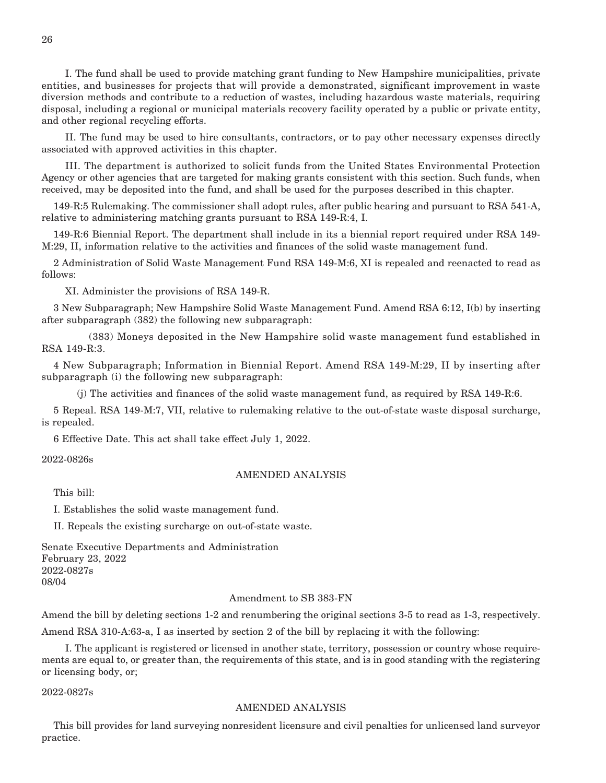I. The fund shall be used to provide matching grant funding to New Hampshire municipalities, private entities, and businesses for projects that will provide a demonstrated, significant improvement in waste diversion methods and contribute to a reduction of wastes, including hazardous waste materials, requiring disposal, including a regional or municipal materials recovery facility operated by a public or private entity, and other regional recycling efforts.

 II. The fund may be used to hire consultants, contractors, or to pay other necessary expenses directly associated with approved activities in this chapter.

 III. The department is authorized to solicit funds from the United States Environmental Protection Agency or other agencies that are targeted for making grants consistent with this section. Such funds, when received, may be deposited into the fund, and shall be used for the purposes described in this chapter.

149-R:5 Rulemaking. The commissioner shall adopt rules, after public hearing and pursuant to RSA 541-A, relative to administering matching grants pursuant to RSA 149-R:4, I.

149-R:6 Biennial Report. The department shall include in its a biennial report required under RSA 149- M:29, II, information relative to the activities and finances of the solid waste management fund.

2 Administration of Solid Waste Management Fund RSA 149-M:6, XI is repealed and reenacted to read as follows:

XI. Administer the provisions of RSA 149-R.

3 New Subparagraph; New Hampshire Solid Waste Management Fund. Amend RSA 6:12, I(b) by inserting after subparagraph (382) the following new subparagraph:

 (383) Moneys deposited in the New Hampshire solid waste management fund established in RSA 149-R:3.

4 New Subparagraph; Information in Biennial Report. Amend RSA 149-M:29, II by inserting after subparagraph (i) the following new subparagraph:

(j) The activities and finances of the solid waste management fund, as required by RSA 149-R:6.

5 Repeal. RSA 149-M:7, VII, relative to rulemaking relative to the out-of-state waste disposal surcharge, is repealed.

6 Effective Date. This act shall take effect July 1, 2022.

2022-0826s

#### AMENDED ANALYSIS

This bill:

I. Establishes the solid waste management fund.

II. Repeals the existing surcharge on out-of-state waste.

Senate Executive Departments and Administration February 23, 2022 2022-0827s 08/04

#### Amendment to SB 383-FN

Amend the bill by deleting sections 1-2 and renumbering the original sections 3-5 to read as 1-3, respectively. Amend RSA 310-A:63-a, I as inserted by section 2 of the bill by replacing it with the following:

 I. The applicant is registered or licensed in another state, territory, possession or country whose requirements are equal to, or greater than, the requirements of this state, and is in good standing with the registering or licensing body, or;

2022-0827s

#### AMENDED ANALYSIS

This bill provides for land surveying nonresident licensure and civil penalties for unlicensed land surveyor practice.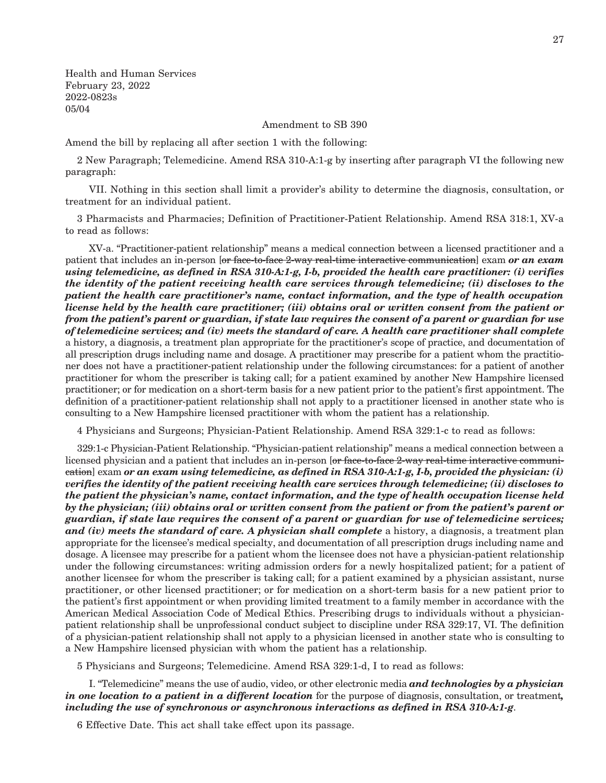Health and Human Services February 23, 2022 2022-0823s 05/04

Amendment to SB 390

Amend the bill by replacing all after section 1 with the following:

2 New Paragraph; Telemedicine. Amend RSA 310-A:1-g by inserting after paragraph VI the following new paragraph:

 VII. Nothing in this section shall limit a provider's ability to determine the diagnosis, consultation, or treatment for an individual patient.

3 Pharmacists and Pharmacies; Definition of Practitioner-Patient Relationship. Amend RSA 318:1, XV-a to read as follows:

 XV-a. "Practitioner-patient relationship" means a medical connection between a licensed practitioner and a patient that includes an in-person [or face-to-face 2-way real-time interactive communication] exam *or an exam using telemedicine, as defined in RSA 310-A:1-g, I-b, provided the health care practitioner: (i) verifies the identity of the patient receiving health care services through telemedicine; (ii) discloses to the patient the health care practitioner's name, contact information, and the type of health occupation license held by the health care practitioner; (iii) obtains oral or written consent from the patient or from the patient's parent or guardian, if state law requires the consent of a parent or guardian for use of telemedicine services; and (iv) meets the standard of care. A health care practitioner shall complete*  a history, a diagnosis, a treatment plan appropriate for the practitioner's scope of practice, and documentation of all prescription drugs including name and dosage. A practitioner may prescribe for a patient whom the practitioner does not have a practitioner-patient relationship under the following circumstances: for a patient of another practitioner for whom the prescriber is taking call; for a patient examined by another New Hampshire licensed practitioner; or for medication on a short-term basis for a new patient prior to the patient's first appointment. The definition of a practitioner-patient relationship shall not apply to a practitioner licensed in another state who is consulting to a New Hampshire licensed practitioner with whom the patient has a relationship.

4 Physicians and Surgeons; Physician-Patient Relationship. Amend RSA 329:1-c to read as follows:

329:1-c Physician-Patient Relationship. "Physician-patient relationship" means a medical connection between a licensed physician and a patient that includes an in-person [or face-to-face 2-way real-time interactive communication] exam *or an exam using telemedicine, as defined in RSA 310-A:1-g, I-b, provided the physician: (i) verifies the identity of the patient receiving health care services through telemedicine; (ii) discloses to the patient the physician's name, contact information, and the type of health occupation license held by the physician; (iii) obtains oral or written consent from the patient or from the patient's parent or guardian, if state law requires the consent of a parent or guardian for use of telemedicine services; and (iv) meets the standard of care. A physician shall complete* a history, a diagnosis, a treatment plan appropriate for the licensee's medical specialty, and documentation of all prescription drugs including name and dosage. A licensee may prescribe for a patient whom the licensee does not have a physician-patient relationship under the following circumstances: writing admission orders for a newly hospitalized patient; for a patient of another licensee for whom the prescriber is taking call; for a patient examined by a physician assistant, nurse practitioner, or other licensed practitioner; or for medication on a short-term basis for a new patient prior to the patient's first appointment or when providing limited treatment to a family member in accordance with the American Medical Association Code of Medical Ethics. Prescribing drugs to individuals without a physicianpatient relationship shall be unprofessional conduct subject to discipline under RSA 329:17, VI. The definition of a physician-patient relationship shall not apply to a physician licensed in another state who is consulting to a New Hampshire licensed physician with whom the patient has a relationship.

5 Physicians and Surgeons; Telemedicine. Amend RSA 329:1-d, I to read as follows:

 I. "Telemedicine" means the use of audio, video, or other electronic media *and technologies by a physician in one location to a patient in a different location* for the purpose of diagnosis, consultation, or treatment*, including the use of synchronous or asynchronous interactions as defined in RSA 310-A:1-g*.

6 Effective Date. This act shall take effect upon its passage.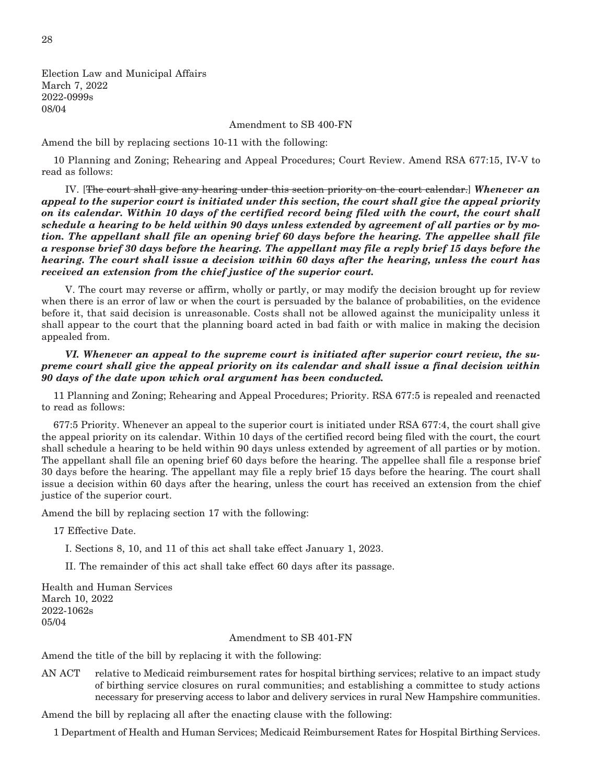Election Law and Municipal Affairs March 7, 2022 2022-0999s 08/04

Amendment to SB 400-FN

Amend the bill by replacing sections 10-11 with the following:

10 Planning and Zoning; Rehearing and Appeal Procedures; Court Review. Amend RSA 677:15, IV-V to read as follows:

 IV. [The court shall give any hearing under this section priority on the court calendar.] *Whenever an appeal to the superior court is initiated under this section, the court shall give the appeal priority on its calendar. Within 10 days of the certified record being filed with the court, the court shall schedule a hearing to be held within 90 days unless extended by agreement of all parties or by motion. The appellant shall file an opening brief 60 days before the hearing. The appellee shall file a response brief 30 days before the hearing. The appellant may file a reply brief 15 days before the hearing. The court shall issue a decision within 60 days after the hearing, unless the court has received an extension from the chief justice of the superior court.*

 V. The court may reverse or affirm, wholly or partly, or may modify the decision brought up for review when there is an error of law or when the court is persuaded by the balance of probabilities, on the evidence before it, that said decision is unreasonable. Costs shall not be allowed against the municipality unless it shall appear to the court that the planning board acted in bad faith or with malice in making the decision appealed from.

 *VI. Whenever an appeal to the supreme court is initiated after superior court review, the supreme court shall give the appeal priority on its calendar and shall issue a final decision within 90 days of the date upon which oral argument has been conducted.*

11 Planning and Zoning; Rehearing and Appeal Procedures; Priority. RSA 677:5 is repealed and reenacted to read as follows:

677:5 Priority. Whenever an appeal to the superior court is initiated under RSA 677:4, the court shall give the appeal priority on its calendar. Within 10 days of the certified record being filed with the court, the court shall schedule a hearing to be held within 90 days unless extended by agreement of all parties or by motion. The appellant shall file an opening brief 60 days before the hearing. The appellee shall file a response brief 30 days before the hearing. The appellant may file a reply brief 15 days before the hearing. The court shall issue a decision within 60 days after the hearing, unless the court has received an extension from the chief justice of the superior court.

Amend the bill by replacing section 17 with the following:

17 Effective Date.

I. Sections 8, 10, and 11 of this act shall take effect January 1, 2023.

II. The remainder of this act shall take effect 60 days after its passage.

Health and Human Services March 10, 2022 2022-1062s 05/04

#### Amendment to SB 401-FN

Amend the title of the bill by replacing it with the following:

AN ACT relative to Medicaid reimbursement rates for hospital birthing services; relative to an impact study of birthing service closures on rural communities; and establishing a committee to study actions necessary for preserving access to labor and delivery services in rural New Hampshire communities.

Amend the bill by replacing all after the enacting clause with the following:

1 Department of Health and Human Services; Medicaid Reimbursement Rates for Hospital Birthing Services.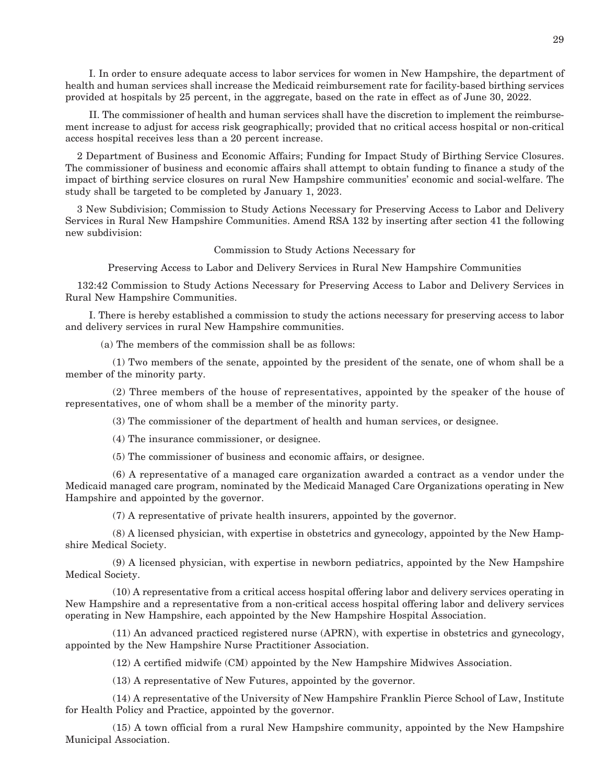I. In order to ensure adequate access to labor services for women in New Hampshire, the department of health and human services shall increase the Medicaid reimbursement rate for facility-based birthing services provided at hospitals by 25 percent, in the aggregate, based on the rate in effect as of June 30, 2022.

 II. The commissioner of health and human services shall have the discretion to implement the reimbursement increase to adjust for access risk geographically; provided that no critical access hospital or non-critical access hospital receives less than a 20 percent increase.

2 Department of Business and Economic Affairs; Funding for Impact Study of Birthing Service Closures. The commissioner of business and economic affairs shall attempt to obtain funding to finance a study of the impact of birthing service closures on rural New Hampshire communities' economic and social-welfare. The study shall be targeted to be completed by January 1, 2023.

3 New Subdivision; Commission to Study Actions Necessary for Preserving Access to Labor and Delivery Services in Rural New Hampshire Communities. Amend RSA 132 by inserting after section 41 the following new subdivision:

Commission to Study Actions Necessary for

Preserving Access to Labor and Delivery Services in Rural New Hampshire Communities

132:42 Commission to Study Actions Necessary for Preserving Access to Labor and Delivery Services in Rural New Hampshire Communities.

 I. There is hereby established a commission to study the actions necessary for preserving access to labor and delivery services in rural New Hampshire communities.

(a) The members of the commission shall be as follows:

 (1) Two members of the senate, appointed by the president of the senate, one of whom shall be a member of the minority party.

 (2) Three members of the house of representatives, appointed by the speaker of the house of representatives, one of whom shall be a member of the minority party.

(3) The commissioner of the department of health and human services, or designee.

(4) The insurance commissioner, or designee.

(5) The commissioner of business and economic affairs, or designee.

 (6) A representative of a managed care organization awarded a contract as a vendor under the Medicaid managed care program, nominated by the Medicaid Managed Care Organizations operating in New Hampshire and appointed by the governor.

(7) A representative of private health insurers, appointed by the governor.

 (8) A licensed physician, with expertise in obstetrics and gynecology, appointed by the New Hampshire Medical Society.

 (9) A licensed physician, with expertise in newborn pediatrics, appointed by the New Hampshire Medical Society.

 (10) A representative from a critical access hospital offering labor and delivery services operating in New Hampshire and a representative from a non-critical access hospital offering labor and delivery services operating in New Hampshire, each appointed by the New Hampshire Hospital Association.

 (11) An advanced practiced registered nurse (APRN), with expertise in obstetrics and gynecology, appointed by the New Hampshire Nurse Practitioner Association.

(12) A certified midwife (CM) appointed by the New Hampshire Midwives Association.

(13) A representative of New Futures, appointed by the governor.

 (14) A representative of the University of New Hampshire Franklin Pierce School of Law, Institute for Health Policy and Practice, appointed by the governor.

 (15) A town official from a rural New Hampshire community, appointed by the New Hampshire Municipal Association.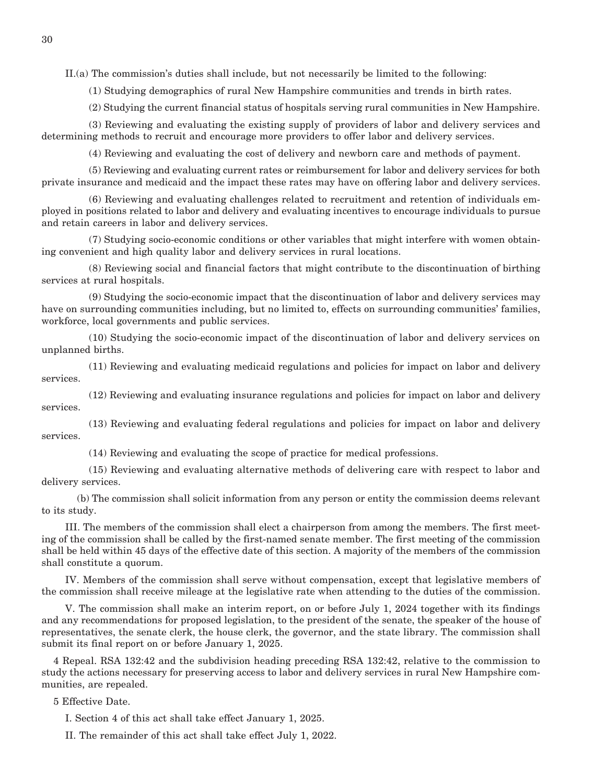II.(a) The commission's duties shall include, but not necessarily be limited to the following:

(1) Studying demographics of rural New Hampshire communities and trends in birth rates.

(2) Studying the current financial status of hospitals serving rural communities in New Hampshire.

 (3) Reviewing and evaluating the existing supply of providers of labor and delivery services and determining methods to recruit and encourage more providers to offer labor and delivery services.

(4) Reviewing and evaluating the cost of delivery and newborn care and methods of payment.

 (5) Reviewing and evaluating current rates or reimbursement for labor and delivery services for both private insurance and medicaid and the impact these rates may have on offering labor and delivery services.

 (6) Reviewing and evaluating challenges related to recruitment and retention of individuals employed in positions related to labor and delivery and evaluating incentives to encourage individuals to pursue and retain careers in labor and delivery services.

 (7) Studying socio-economic conditions or other variables that might interfere with women obtaining convenient and high quality labor and delivery services in rural locations.

 (8) Reviewing social and financial factors that might contribute to the discontinuation of birthing services at rural hospitals.

 (9) Studying the socio-economic impact that the discontinuation of labor and delivery services may have on surrounding communities including, but no limited to, effects on surrounding communities' families, workforce, local governments and public services.

 (10) Studying the socio-economic impact of the discontinuation of labor and delivery services on unplanned births.

 (11) Reviewing and evaluating medicaid regulations and policies for impact on labor and delivery services.

 (12) Reviewing and evaluating insurance regulations and policies for impact on labor and delivery services.

 (13) Reviewing and evaluating federal regulations and policies for impact on labor and delivery services.

(14) Reviewing and evaluating the scope of practice for medical professions.

 (15) Reviewing and evaluating alternative methods of delivering care with respect to labor and delivery services.

 (b) The commission shall solicit information from any person or entity the commission deems relevant to its study.

 III. The members of the commission shall elect a chairperson from among the members. The first meeting of the commission shall be called by the first-named senate member. The first meeting of the commission shall be held within 45 days of the effective date of this section. A majority of the members of the commission shall constitute a quorum.

 IV. Members of the commission shall serve without compensation, except that legislative members of the commission shall receive mileage at the legislative rate when attending to the duties of the commission.

 V. The commission shall make an interim report, on or before July 1, 2024 together with its findings and any recommendations for proposed legislation, to the president of the senate, the speaker of the house of representatives, the senate clerk, the house clerk, the governor, and the state library. The commission shall submit its final report on or before January 1, 2025.

4 Repeal. RSA 132:42 and the subdivision heading preceding RSA 132:42, relative to the commission to study the actions necessary for preserving access to labor and delivery services in rural New Hampshire communities, are repealed.

5 Effective Date.

I. Section 4 of this act shall take effect January 1, 2025.

II. The remainder of this act shall take effect July 1, 2022.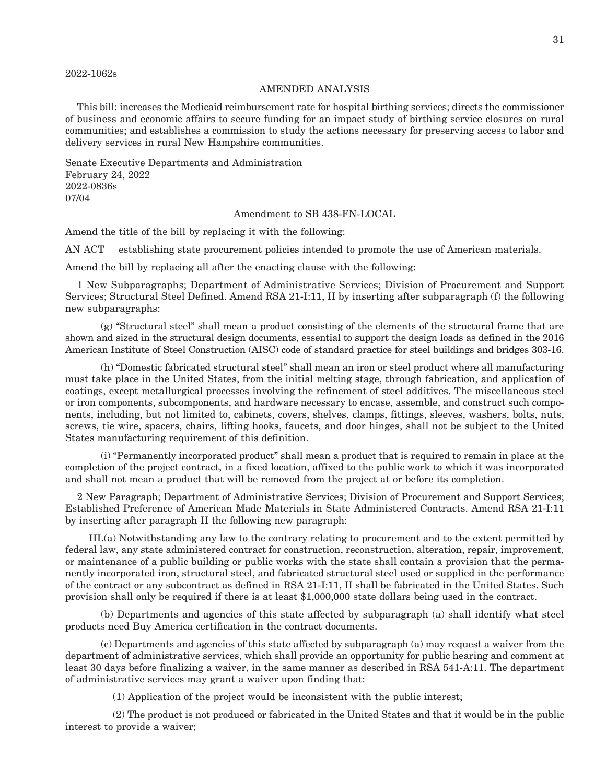#### 2022-1062s

#### AMENDED ANALYSIS

This bill: increases the Medicaid reimbursement rate for hospital birthing services; directs the commissioner of business and economic affairs to secure funding for an impact study of birthing service closures on rural communities; and establishes a commission to study the actions necessary for preserving access to labor and delivery services in rural New Hampshire communities.

Senate Executive Departments and Administration February 24, 2022 2022-0836s 07/04

Amendment to SB 438-FN-LOCAL

Amend the title of the bill by replacing it with the following:

AN ACT establishing state procurement policies intended to promote the use of American materials.

Amend the bill by replacing all after the enacting clause with the following:

1 New Subparagraphs; Department of Administrative Services; Division of Procurement and Support Services; Structural Steel Defined. Amend RSA 21-I:11, II by inserting after subparagraph (f) the following new subparagraphs:

 (g) "Structural steel" shall mean a product consisting of the elements of the structural frame that are shown and sized in the structural design documents, essential to support the design loads as defined in the 2016 American Institute of Steel Construction (AISC) code of standard practice for steel buildings and bridges 303-16.

 (h) "Domestic fabricated structural steel" shall mean an iron or steel product where all manufacturing must take place in the United States, from the initial melting stage, through fabrication, and application of coatings, except metallurgical processes involving the refinement of steel additives. The miscellaneous steel or iron components, subcomponents, and hardware necessary to encase, assemble, and construct such components, including, but not limited to, cabinets, covers, shelves, clamps, fittings, sleeves, washers, bolts, nuts, screws, tie wire, spacers, chairs, lifting hooks, faucets, and door hinges, shall not be subject to the United States manufacturing requirement of this definition.

 (i) "Permanently incorporated product" shall mean a product that is required to remain in place at the completion of the project contract, in a fixed location, affixed to the public work to which it was incorporated and shall not mean a product that will be removed from the project at or before its completion.

2 New Paragraph; Department of Administrative Services; Division of Procurement and Support Services; Established Preference of American Made Materials in State Administered Contracts. Amend RSA 21-I:11 by inserting after paragraph II the following new paragraph:

 III.(a) Notwithstanding any law to the contrary relating to procurement and to the extent permitted by federal law, any state administered contract for construction, reconstruction, alteration, repair, improvement, or maintenance of a public building or public works with the state shall contain a provision that the permanently incorporated iron, structural steel, and fabricated structural steel used or supplied in the performance of the contract or any subcontract as defined in RSA 21-I:11, II shall be fabricated in the United States. Such provision shall only be required if there is at least \$1,000,000 state dollars being used in the contract.

 (b) Departments and agencies of this state affected by subparagraph (a) shall identify what steel products need Buy America certification in the contract documents.

 (c) Departments and agencies of this state affected by subparagraph (a) may request a waiver from the department of administrative services, which shall provide an opportunity for public hearing and comment at least 30 days before finalizing a waiver, in the same manner as described in RSA 541-A:11. The department of administrative services may grant a waiver upon finding that:

(1) Application of the project would be inconsistent with the public interest;

 (2) The product is not produced or fabricated in the United States and that it would be in the public interest to provide a waiver;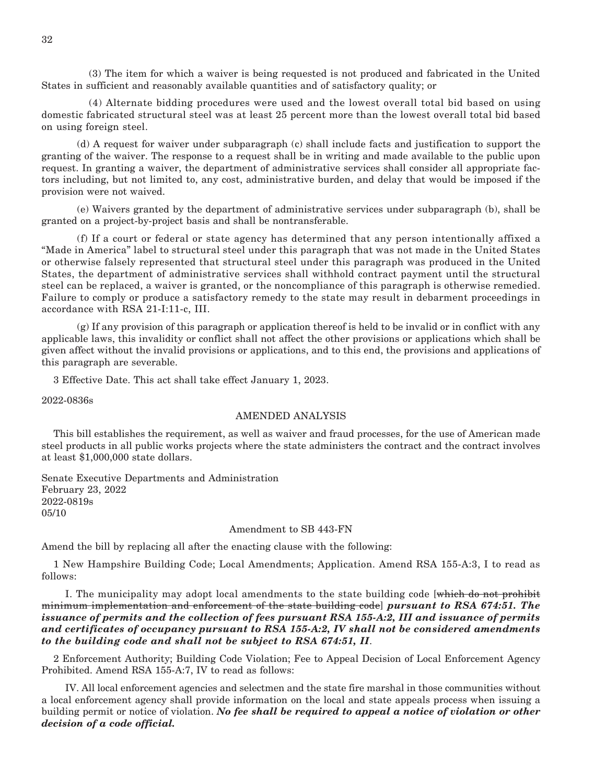(3) The item for which a waiver is being requested is not produced and fabricated in the United States in sufficient and reasonably available quantities and of satisfactory quality; or

 (4) Alternate bidding procedures were used and the lowest overall total bid based on using domestic fabricated structural steel was at least 25 percent more than the lowest overall total bid based on using foreign steel.

 (d) A request for waiver under subparagraph (c) shall include facts and justification to support the granting of the waiver. The response to a request shall be in writing and made available to the public upon request. In granting a waiver, the department of administrative services shall consider all appropriate factors including, but not limited to, any cost, administrative burden, and delay that would be imposed if the provision were not waived.

 (e) Waivers granted by the department of administrative services under subparagraph (b), shall be granted on a project-by-project basis and shall be nontransferable.

 (f) If a court or federal or state agency has determined that any person intentionally affixed a "Made in America" label to structural steel under this paragraph that was not made in the United States or otherwise falsely represented that structural steel under this paragraph was produced in the United States, the department of administrative services shall withhold contract payment until the structural steel can be replaced, a waiver is granted, or the noncompliance of this paragraph is otherwise remedied. Failure to comply or produce a satisfactory remedy to the state may result in debarment proceedings in accordance with RSA 21-I:11-c, III.

 (g) If any provision of this paragraph or application thereof is held to be invalid or in conflict with any applicable laws, this invalidity or conflict shall not affect the other provisions or applications which shall be given affect without the invalid provisions or applications, and to this end, the provisions and applications of this paragraph are severable.

3 Effective Date. This act shall take effect January 1, 2023.

2022-0836s

#### AMENDED ANALYSIS

This bill establishes the requirement, as well as waiver and fraud processes, for the use of American made steel products in all public works projects where the state administers the contract and the contract involves at least \$1,000,000 state dollars.

Senate Executive Departments and Administration February 23, 2022 2022-0819s 05/10

#### Amendment to SB 443-FN

Amend the bill by replacing all after the enacting clause with the following:

1 New Hampshire Building Code; Local Amendments; Application. Amend RSA 155-A:3, I to read as follows:

 I. The municipality may adopt local amendments to the state building code [which do not prohibit minimum implementation and enforcement of the state building code] *pursuant to RSA 674:51. The issuance of permits and the collection of fees pursuant RSA 155-A:2, III and issuance of permits and certificates of occupancy pursuant to RSA 155-A:2, IV shall not be considered amendments to the building code and shall not be subject to RSA 674:51, II*.

2 Enforcement Authority; Building Code Violation; Fee to Appeal Decision of Local Enforcement Agency Prohibited. Amend RSA 155-A:7, IV to read as follows:

 IV. All local enforcement agencies and selectmen and the state fire marshal in those communities without a local enforcement agency shall provide information on the local and state appeals process when issuing a building permit or notice of violation. *No fee shall be required to appeal a notice of violation or other decision of a code official.*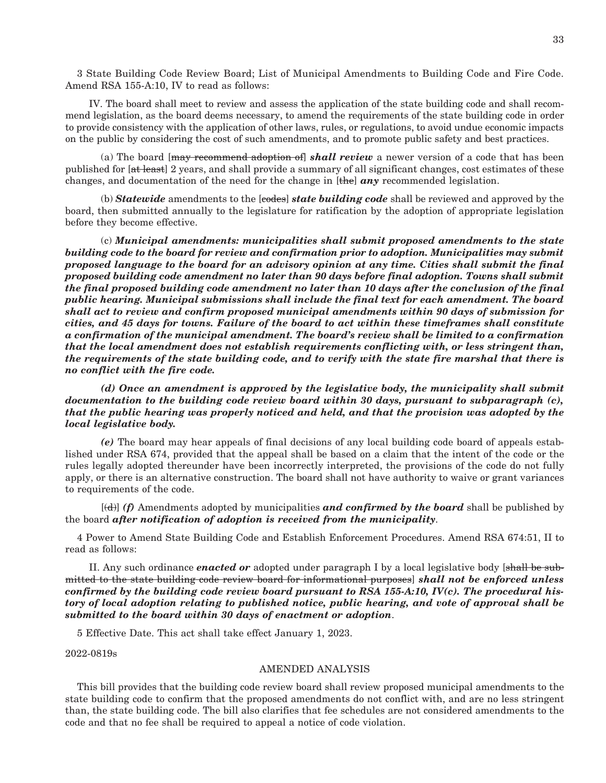3 State Building Code Review Board; List of Municipal Amendments to Building Code and Fire Code. Amend RSA 155-A:10, IV to read as follows:

 IV. The board shall meet to review and assess the application of the state building code and shall recommend legislation, as the board deems necessary, to amend the requirements of the state building code in order to provide consistency with the application of other laws, rules, or regulations, to avoid undue economic impacts on the public by considering the cost of such amendments, and to promote public safety and best practices.

 (a) The board [may recommend adoption of] *shall review* a newer version of a code that has been published for [at least] 2 years, and shall provide a summary of all significant changes, cost estimates of these changes, and documentation of the need for the change in [the] *any* recommended legislation.

 (b) *Statewide* amendments to the [codes] *state building code* shall be reviewed and approved by the board, then submitted annually to the legislature for ratification by the adoption of appropriate legislation before they become effective.

 (c) *Municipal amendments: municipalities shall submit proposed amendments to the state building code to the board for review and confirmation prior to adoption. Municipalities may submit proposed language to the board for an advisory opinion at any time. Cities shall submit the final proposed building code amendment no later than 90 days before final adoption. Towns shall submit the final proposed building code amendment no later than 10 days after the conclusion of the final public hearing. Municipal submissions shall include the final text for each amendment. The board shall act to review and confirm proposed municipal amendments within 90 days of submission for cities, and 45 days for towns. Failure of the board to act within these timeframes shall constitute a confirmation of the municipal amendment. The board's review shall be limited to a confirmation that the local amendment does not establish requirements conflicting with, or less stringent than, the requirements of the state building code, and to verify with the state fire marshal that there is no conflict with the fire code.*

 *(d) Once an amendment is approved by the legislative body, the municipality shall submit documentation to the building code review board within 30 days, pursuant to subparagraph (c), that the public hearing was properly noticed and held, and that the provision was adopted by the local legislative body.*

 *(e)* The board may hear appeals of final decisions of any local building code board of appeals established under RSA 674, provided that the appeal shall be based on a claim that the intent of the code or the rules legally adopted thereunder have been incorrectly interpreted, the provisions of the code do not fully apply, or there is an alternative construction. The board shall not have authority to waive or grant variances to requirements of the code.

 [(d)] *(f)* Amendments adopted by municipalities *and confirmed by the board* shall be published by the board *after notification of adoption is received from the municipality*.

4 Power to Amend State Building Code and Establish Enforcement Procedures. Amend RSA 674:51, II to read as follows:

 II. Any such ordinance *enacted or* adopted under paragraph I by a local legislative body [shall be submitted to the state building code review board for informational purposes] *shall not be enforced unless confirmed by the building code review board pursuant to RSA 155-A:10, IV(c). The procedural history of local adoption relating to published notice, public hearing, and vote of approval shall be submitted to the board within 30 days of enactment or adoption*.

5 Effective Date. This act shall take effect January 1, 2023.

2022-0819s

#### AMENDED ANALYSIS

This bill provides that the building code review board shall review proposed municipal amendments to the state building code to confirm that the proposed amendments do not conflict with, and are no less stringent than, the state building code. The bill also clarifies that fee schedules are not considered amendments to the code and that no fee shall be required to appeal a notice of code violation.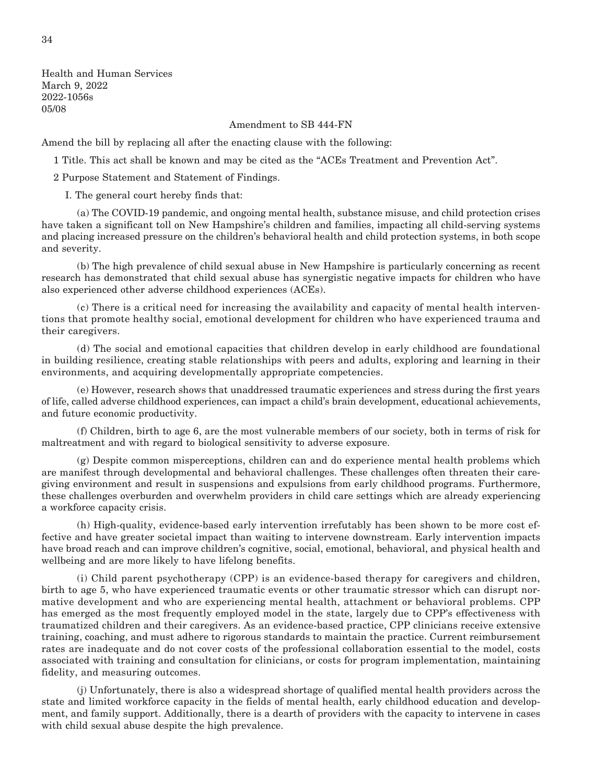Health and Human Services March 9, 2022 2022-1056s 05/08

Amendment to SB 444-FN

Amend the bill by replacing all after the enacting clause with the following:

1 Title. This act shall be known and may be cited as the "ACEs Treatment and Prevention Act".

2 Purpose Statement and Statement of Findings.

I. The general court hereby finds that:

 (a) The COVID-19 pandemic, and ongoing mental health, substance misuse, and child protection crises have taken a significant toll on New Hampshire's children and families, impacting all child-serving systems and placing increased pressure on the children's behavioral health and child protection systems, in both scope and severity.

 (b) The high prevalence of child sexual abuse in New Hampshire is particularly concerning as recent research has demonstrated that child sexual abuse has synergistic negative impacts for children who have also experienced other adverse childhood experiences (ACEs).

 (c) There is a critical need for increasing the availability and capacity of mental health interventions that promote healthy social, emotional development for children who have experienced trauma and their caregivers.

 (d) The social and emotional capacities that children develop in early childhood are foundational in building resilience, creating stable relationships with peers and adults, exploring and learning in their environments, and acquiring developmentally appropriate competencies.

 (e) However, research shows that unaddressed traumatic experiences and stress during the first years of life, called adverse childhood experiences, can impact a child's brain development, educational achievements, and future economic productivity.

 (f) Children, birth to age 6, are the most vulnerable members of our society, both in terms of risk for maltreatment and with regard to biological sensitivity to adverse exposure.

 (g) Despite common misperceptions, children can and do experience mental health problems which are manifest through developmental and behavioral challenges. These challenges often threaten their caregiving environment and result in suspensions and expulsions from early childhood programs. Furthermore, these challenges overburden and overwhelm providers in child care settings which are already experiencing a workforce capacity crisis.

 (h) High-quality, evidence-based early intervention irrefutably has been shown to be more cost effective and have greater societal impact than waiting to intervene downstream. Early intervention impacts have broad reach and can improve children's cognitive, social, emotional, behavioral, and physical health and wellbeing and are more likely to have lifelong benefits.

 (i) Child parent psychotherapy (CPP) is an evidence-based therapy for caregivers and children, birth to age 5, who have experienced traumatic events or other traumatic stressor which can disrupt normative development and who are experiencing mental health, attachment or behavioral problems. CPP has emerged as the most frequently employed model in the state, largely due to CPP's effectiveness with traumatized children and their caregivers. As an evidence-based practice, CPP clinicians receive extensive training, coaching, and must adhere to rigorous standards to maintain the practice. Current reimbursement rates are inadequate and do not cover costs of the professional collaboration essential to the model, costs associated with training and consultation for clinicians, or costs for program implementation, maintaining fidelity, and measuring outcomes.

 (j) Unfortunately, there is also a widespread shortage of qualified mental health providers across the state and limited workforce capacity in the fields of mental health, early childhood education and development, and family support. Additionally, there is a dearth of providers with the capacity to intervene in cases with child sexual abuse despite the high prevalence.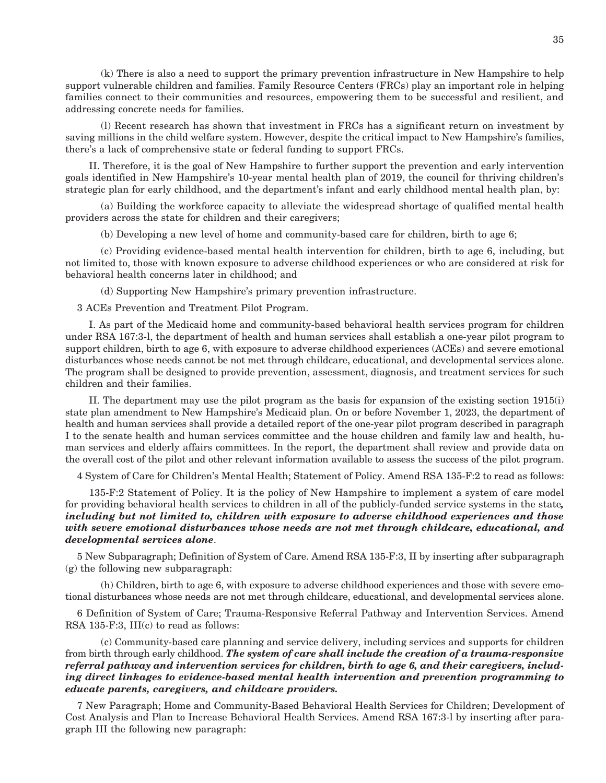(k) There is also a need to support the primary prevention infrastructure in New Hampshire to help support vulnerable children and families. Family Resource Centers (FRCs) play an important role in helping families connect to their communities and resources, empowering them to be successful and resilient, and addressing concrete needs for families.

 (l) Recent research has shown that investment in FRCs has a significant return on investment by saving millions in the child welfare system. However, despite the critical impact to New Hampshire's families, there's a lack of comprehensive state or federal funding to support FRCs.

 II. Therefore, it is the goal of New Hampshire to further support the prevention and early intervention goals identified in New Hampshire's 10-year mental health plan of 2019, the council for thriving children's strategic plan for early childhood, and the department's infant and early childhood mental health plan, by:

 (a) Building the workforce capacity to alleviate the widespread shortage of qualified mental health providers across the state for children and their caregivers;

(b) Developing a new level of home and community-based care for children, birth to age 6;

 (c) Providing evidence-based mental health intervention for children, birth to age 6, including, but not limited to, those with known exposure to adverse childhood experiences or who are considered at risk for behavioral health concerns later in childhood; and

(d) Supporting New Hampshire's primary prevention infrastructure.

3 ACEs Prevention and Treatment Pilot Program.

 I. As part of the Medicaid home and community-based behavioral health services program for children under RSA 167:3-l, the department of health and human services shall establish a one-year pilot program to support children, birth to age 6, with exposure to adverse childhood experiences (ACEs) and severe emotional disturbances whose needs cannot be not met through childcare, educational, and developmental services alone. The program shall be designed to provide prevention, assessment, diagnosis, and treatment services for such children and their families.

 II. The department may use the pilot program as the basis for expansion of the existing section 1915(i) state plan amendment to New Hampshire's Medicaid plan. On or before November 1, 2023, the department of health and human services shall provide a detailed report of the one-year pilot program described in paragraph I to the senate health and human services committee and the house children and family law and health, human services and elderly affairs committees. In the report, the department shall review and provide data on the overall cost of the pilot and other relevant information available to assess the success of the pilot program.

4 System of Care for Children's Mental Health; Statement of Policy. Amend RSA 135-F:2 to read as follows:

 135-F:2 Statement of Policy. It is the policy of New Hampshire to implement a system of care model for providing behavioral health services to children in all of the publicly-funded service systems in the state*, including but not limited to, children with exposure to adverse childhood experiences and those with severe emotional disturbances whose needs are not met through childcare, educational, and developmental services alone*.

5 New Subparagraph; Definition of System of Care. Amend RSA 135-F:3, II by inserting after subparagraph (g) the following new subparagraph:

 (h) Children, birth to age 6, with exposure to adverse childhood experiences and those with severe emotional disturbances whose needs are not met through childcare, educational, and developmental services alone.

6 Definition of System of Care; Trauma-Responsive Referral Pathway and Intervention Services. Amend RSA 135-F:3, III(c) to read as follows:

 (c) Community-based care planning and service delivery, including services and supports for children from birth through early childhood. *The system of care shall include the creation of a trauma-responsive referral pathway and intervention services for children, birth to age 6, and their caregivers, including direct linkages to evidence-based mental health intervention and prevention programming to educate parents, caregivers, and childcare providers.*

7 New Paragraph; Home and Community-Based Behavioral Health Services for Children; Development of Cost Analysis and Plan to Increase Behavioral Health Services. Amend RSA 167:3-l by inserting after paragraph III the following new paragraph: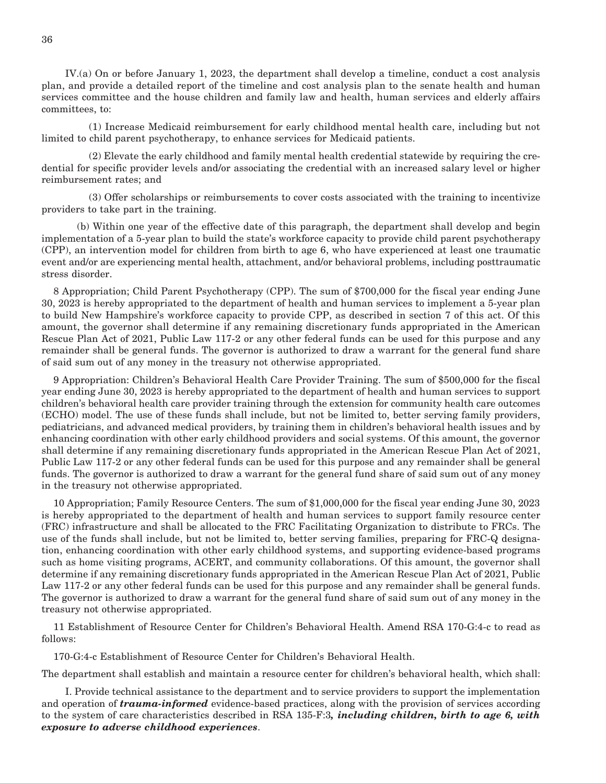IV.(a) On or before January 1, 2023, the department shall develop a timeline, conduct a cost analysis plan, and provide a detailed report of the timeline and cost analysis plan to the senate health and human services committee and the house children and family law and health, human services and elderly affairs committees, to:

 (1) Increase Medicaid reimbursement for early childhood mental health care, including but not limited to child parent psychotherapy, to enhance services for Medicaid patients.

 (2) Elevate the early childhood and family mental health credential statewide by requiring the credential for specific provider levels and/or associating the credential with an increased salary level or higher reimbursement rates; and

 (3) Offer scholarships or reimbursements to cover costs associated with the training to incentivize providers to take part in the training.

 (b) Within one year of the effective date of this paragraph, the department shall develop and begin implementation of a 5-year plan to build the state's workforce capacity to provide child parent psychotherapy (CPP), an intervention model for children from birth to age 6, who have experienced at least one traumatic event and/or are experiencing mental health, attachment, and/or behavioral problems, including posttraumatic stress disorder.

8 Appropriation; Child Parent Psychotherapy (CPP). The sum of \$700,000 for the fiscal year ending June 30, 2023 is hereby appropriated to the department of health and human services to implement a 5-year plan to build New Hampshire's workforce capacity to provide CPP, as described in section 7 of this act. Of this amount, the governor shall determine if any remaining discretionary funds appropriated in the American Rescue Plan Act of 2021, Public Law 117-2 or any other federal funds can be used for this purpose and any remainder shall be general funds. The governor is authorized to draw a warrant for the general fund share of said sum out of any money in the treasury not otherwise appropriated.

9 Appropriation: Children's Behavioral Health Care Provider Training. The sum of \$500,000 for the fiscal year ending June 30, 2023 is hereby appropriated to the department of health and human services to support children's behavioral health care provider training through the extension for community health care outcomes (ECHO) model. The use of these funds shall include, but not be limited to, better serving family providers, pediatricians, and advanced medical providers, by training them in children's behavioral health issues and by enhancing coordination with other early childhood providers and social systems. Of this amount, the governor shall determine if any remaining discretionary funds appropriated in the American Rescue Plan Act of 2021, Public Law 117-2 or any other federal funds can be used for this purpose and any remainder shall be general funds. The governor is authorized to draw a warrant for the general fund share of said sum out of any money in the treasury not otherwise appropriated.

10 Appropriation; Family Resource Centers. The sum of \$1,000,000 for the fiscal year ending June 30, 2023 is hereby appropriated to the department of health and human services to support family resource center (FRC) infrastructure and shall be allocated to the FRC Facilitating Organization to distribute to FRCs. The use of the funds shall include, but not be limited to, better serving families, preparing for FRC-Q designation, enhancing coordination with other early childhood systems, and supporting evidence-based programs such as home visiting programs, ACERT, and community collaborations. Of this amount, the governor shall determine if any remaining discretionary funds appropriated in the American Rescue Plan Act of 2021, Public Law 117-2 or any other federal funds can be used for this purpose and any remainder shall be general funds. The governor is authorized to draw a warrant for the general fund share of said sum out of any money in the treasury not otherwise appropriated.

11 Establishment of Resource Center for Children's Behavioral Health. Amend RSA 170-G:4-c to read as follows:

170-G:4-c Establishment of Resource Center for Children's Behavioral Health.

The department shall establish and maintain a resource center for children's behavioral health, which shall:

 I. Provide technical assistance to the department and to service providers to support the implementation and operation of *trauma-informed* evidence-based practices, along with the provision of services according to the system of care characteristics described in RSA 135-F:3*, including children, birth to age 6, with exposure to adverse childhood experiences*.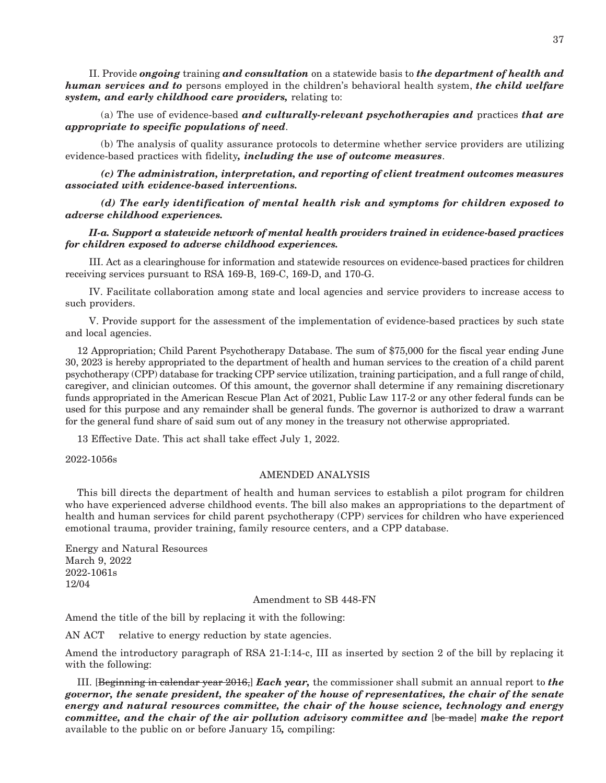II. Provide *ongoing* training *and consultation* on a statewide basis to *the department of health and human services and to* persons employed in the children's behavioral health system, *the child welfare system, and early childhood care providers,* relating to:

 (a) The use of evidence-based *and culturally-relevant psychotherapies and* practices *that are appropriate to specific populations of need*.

 (b) The analysis of quality assurance protocols to determine whether service providers are utilizing evidence-based practices with fidelity*, including the use of outcome measures*.

 *(c) The administration, interpretation, and reporting of client treatment outcomes measures associated with evidence-based interventions.*

 *(d) The early identification of mental health risk and symptoms for children exposed to adverse childhood experiences.*

 *II-a. Support a statewide network of mental health providers trained in evidence-based practices for children exposed to adverse childhood experiences.*

 III. Act as a clearinghouse for information and statewide resources on evidence-based practices for children receiving services pursuant to RSA 169-B, 169-C, 169-D, and 170-G.

 IV. Facilitate collaboration among state and local agencies and service providers to increase access to such providers.

 V. Provide support for the assessment of the implementation of evidence-based practices by such state and local agencies.

12 Appropriation; Child Parent Psychotherapy Database. The sum of \$75,000 for the fiscal year ending June 30, 2023 is hereby appropriated to the department of health and human services to the creation of a child parent psychotherapy (CPP) database for tracking CPP service utilization, training participation, and a full range of child, caregiver, and clinician outcomes. Of this amount, the governor shall determine if any remaining discretionary funds appropriated in the American Rescue Plan Act of 2021, Public Law 117-2 or any other federal funds can be used for this purpose and any remainder shall be general funds. The governor is authorized to draw a warrant for the general fund share of said sum out of any money in the treasury not otherwise appropriated.

13 Effective Date. This act shall take effect July 1, 2022.

2022-1056s

#### AMENDED ANALYSIS

This bill directs the department of health and human services to establish a pilot program for children who have experienced adverse childhood events. The bill also makes an appropriations to the department of health and human services for child parent psychotherapy (CPP) services for children who have experienced emotional trauma, provider training, family resource centers, and a CPP database.

Energy and Natural Resources March 9, 2022 2022-1061s 12/04

Amendment to SB 448-FN

Amend the title of the bill by replacing it with the following:

AN ACT relative to energy reduction by state agencies.

Amend the introductory paragraph of RSA 21-I:14-c, III as inserted by section 2 of the bill by replacing it with the following:

III. [Beginning in calendar year 2016,] *Each year,* the commissioner shall submit an annual report to *the governor, the senate president, the speaker of the house of representatives, the chair of the senate energy and natural resources committee, the chair of the house science, technology and energy committee, and the chair of the air pollution advisory committee and* [be made] *make the report*  available to the public on or before January 15*,* compiling: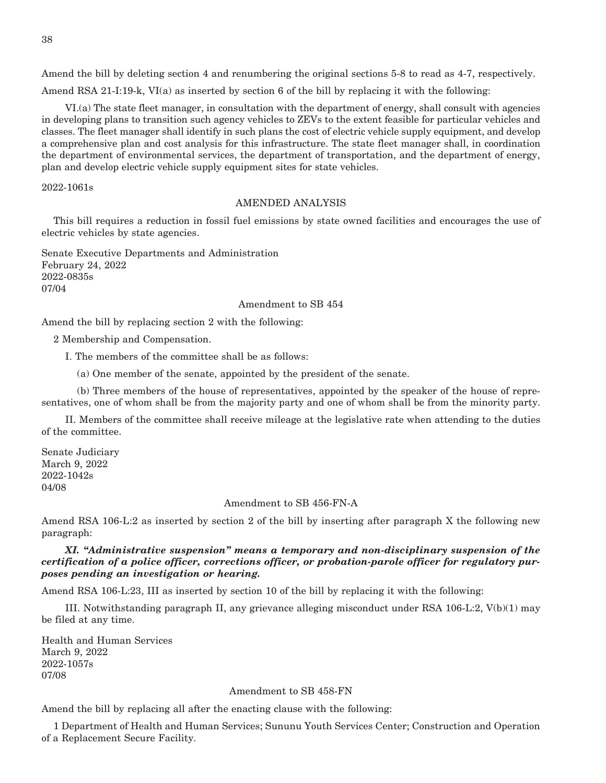Amend the bill by deleting section 4 and renumbering the original sections 5-8 to read as 4-7, respectively.

Amend RSA 21-I:19-k, VI(a) as inserted by section 6 of the bill by replacing it with the following:

 VI.(a) The state fleet manager, in consultation with the department of energy, shall consult with agencies in developing plans to transition such agency vehicles to ZEVs to the extent feasible for particular vehicles and classes. The fleet manager shall identify in such plans the cost of electric vehicle supply equipment, and develop a comprehensive plan and cost analysis for this infrastructure. The state fleet manager shall, in coordination the department of environmental services, the department of transportation, and the department of energy, plan and develop electric vehicle supply equipment sites for state vehicles.

2022-1061s

#### AMENDED ANALYSIS

This bill requires a reduction in fossil fuel emissions by state owned facilities and encourages the use of electric vehicles by state agencies.

Senate Executive Departments and Administration February 24, 2022 2022-0835s 07/04

#### Amendment to SB 454

Amend the bill by replacing section 2 with the following:

2 Membership and Compensation.

I. The members of the committee shall be as follows:

(a) One member of the senate, appointed by the president of the senate.

 (b) Three members of the house of representatives, appointed by the speaker of the house of representatives, one of whom shall be from the majority party and one of whom shall be from the minority party.

 II. Members of the committee shall receive mileage at the legislative rate when attending to the duties of the committee.

Senate Judiciary March 9, 2022 2022-1042s 04/08

#### Amendment to SB 456-FN-A

Amend RSA 106-L:2 as inserted by section 2 of the bill by inserting after paragraph X the following new paragraph:

 *XI. "Administrative suspension" means a temporary and non-disciplinary suspension of the certification of a police officer, corrections officer, or probation-parole officer for regulatory purposes pending an investigation or hearing.*

Amend RSA 106-L:23, III as inserted by section 10 of the bill by replacing it with the following:

 III. Notwithstanding paragraph II, any grievance alleging misconduct under RSA 106-L:2, V(b)(1) may be filed at any time.

Health and Human Services March 9, 2022 2022-1057s 07/08

#### Amendment to SB 458-FN

Amend the bill by replacing all after the enacting clause with the following:

1 Department of Health and Human Services; Sununu Youth Services Center; Construction and Operation of a Replacement Secure Facility.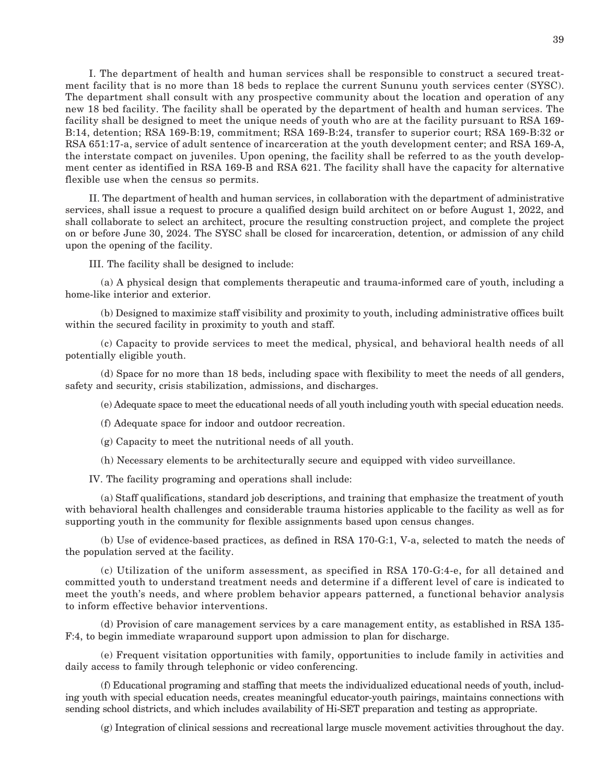I. The department of health and human services shall be responsible to construct a secured treatment facility that is no more than 18 beds to replace the current Sununu youth services center (SYSC). The department shall consult with any prospective community about the location and operation of any new 18 bed facility. The facility shall be operated by the department of health and human services. The facility shall be designed to meet the unique needs of youth who are at the facility pursuant to RSA 169- B:14, detention; RSA 169-B:19, commitment; RSA 169-B:24, transfer to superior court; RSA 169-B:32 or RSA 651:17-a, service of adult sentence of incarceration at the youth development center; and RSA 169-A, the interstate compact on juveniles. Upon opening, the facility shall be referred to as the youth development center as identified in RSA 169-B and RSA 621. The facility shall have the capacity for alternative flexible use when the census so permits.

 II. The department of health and human services, in collaboration with the department of administrative services, shall issue a request to procure a qualified design build architect on or before August 1, 2022, and shall collaborate to select an architect, procure the resulting construction project, and complete the project on or before June 30, 2024. The SYSC shall be closed for incarceration, detention, or admission of any child upon the opening of the facility.

III. The facility shall be designed to include:

 (a) A physical design that complements therapeutic and trauma-informed care of youth, including a home-like interior and exterior.

 (b) Designed to maximize staff visibility and proximity to youth, including administrative offices built within the secured facility in proximity to youth and staff.

 (c) Capacity to provide services to meet the medical, physical, and behavioral health needs of all potentially eligible youth.

 (d) Space for no more than 18 beds, including space with flexibility to meet the needs of all genders, safety and security, crisis stabilization, admissions, and discharges.

(e) Adequate space to meet the educational needs of all youth including youth with special education needs.

(f) Adequate space for indoor and outdoor recreation.

(g) Capacity to meet the nutritional needs of all youth.

(h) Necessary elements to be architecturally secure and equipped with video surveillance.

IV. The facility programing and operations shall include:

 (a) Staff qualifications, standard job descriptions, and training that emphasize the treatment of youth with behavioral health challenges and considerable trauma histories applicable to the facility as well as for supporting youth in the community for flexible assignments based upon census changes.

 (b) Use of evidence-based practices, as defined in RSA 170-G:1, V-a, selected to match the needs of the population served at the facility.

 (c) Utilization of the uniform assessment, as specified in RSA 170-G:4-e, for all detained and committed youth to understand treatment needs and determine if a different level of care is indicated to meet the youth's needs, and where problem behavior appears patterned, a functional behavior analysis to inform effective behavior interventions.

 (d) Provision of care management services by a care management entity, as established in RSA 135- F:4, to begin immediate wraparound support upon admission to plan for discharge.

 (e) Frequent visitation opportunities with family, opportunities to include family in activities and daily access to family through telephonic or video conferencing.

 (f) Educational programing and staffing that meets the individualized educational needs of youth, including youth with special education needs, creates meaningful educator-youth pairings, maintains connections with sending school districts, and which includes availability of Hi-SET preparation and testing as appropriate.

(g) Integration of clinical sessions and recreational large muscle movement activities throughout the day.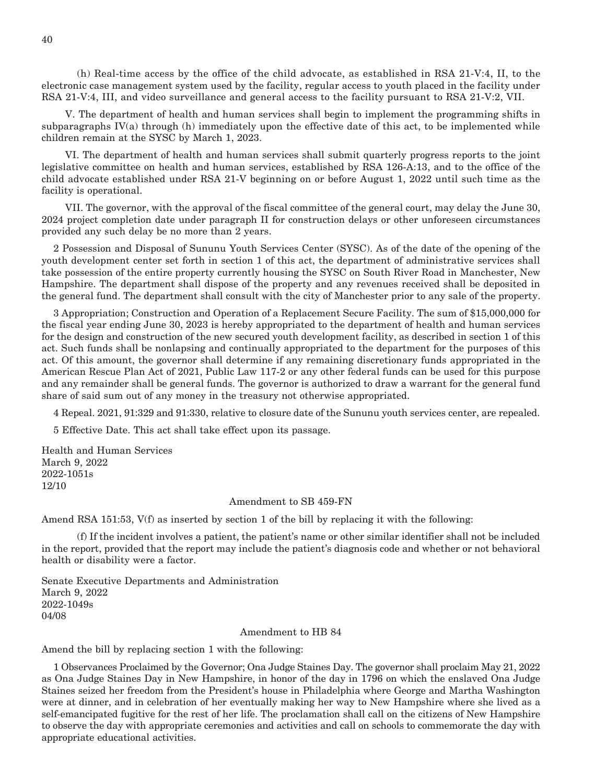(h) Real-time access by the office of the child advocate, as established in RSA 21-V:4, II, to the electronic case management system used by the facility, regular access to youth placed in the facility under RSA 21-V:4, III, and video surveillance and general access to the facility pursuant to RSA 21-V:2, VII.

 V. The department of health and human services shall begin to implement the programming shifts in subparagraphs IV(a) through (h) immediately upon the effective date of this act, to be implemented while children remain at the SYSC by March 1, 2023.

 VI. The department of health and human services shall submit quarterly progress reports to the joint legislative committee on health and human services, established by RSA 126-A:13, and to the office of the child advocate established under RSA 21-V beginning on or before August 1, 2022 until such time as the facility is operational.

 VII. The governor, with the approval of the fiscal committee of the general court, may delay the June 30, 2024 project completion date under paragraph II for construction delays or other unforeseen circumstances provided any such delay be no more than 2 years.

2 Possession and Disposal of Sununu Youth Services Center (SYSC). As of the date of the opening of the youth development center set forth in section 1 of this act, the department of administrative services shall take possession of the entire property currently housing the SYSC on South River Road in Manchester, New Hampshire. The department shall dispose of the property and any revenues received shall be deposited in the general fund. The department shall consult with the city of Manchester prior to any sale of the property.

3 Appropriation; Construction and Operation of a Replacement Secure Facility. The sum of \$15,000,000 for the fiscal year ending June 30, 2023 is hereby appropriated to the department of health and human services for the design and construction of the new secured youth development facility, as described in section 1 of this act. Such funds shall be nonlapsing and continually appropriated to the department for the purposes of this act. Of this amount, the governor shall determine if any remaining discretionary funds appropriated in the American Rescue Plan Act of 2021, Public Law 117-2 or any other federal funds can be used for this purpose and any remainder shall be general funds. The governor is authorized to draw a warrant for the general fund share of said sum out of any money in the treasury not otherwise appropriated.

4 Repeal. 2021, 91:329 and 91:330, relative to closure date of the Sununu youth services center, are repealed.

5 Effective Date. This act shall take effect upon its passage.

Health and Human Services March 9, 2022 2022-1051s 12/10

#### Amendment to SB 459-FN

Amend RSA 151:53, V(f) as inserted by section 1 of the bill by replacing it with the following:

 (f) If the incident involves a patient, the patient's name or other similar identifier shall not be included in the report, provided that the report may include the patient's diagnosis code and whether or not behavioral health or disability were a factor.

Senate Executive Departments and Administration March 9, 2022 2022-1049s 04/08

#### Amendment to HB 84

Amend the bill by replacing section 1 with the following:

1 Observances Proclaimed by the Governor; Ona Judge Staines Day. The governor shall proclaim May 21, 2022 as Ona Judge Staines Day in New Hampshire, in honor of the day in 1796 on which the enslaved Ona Judge Staines seized her freedom from the President's house in Philadelphia where George and Martha Washington were at dinner, and in celebration of her eventually making her way to New Hampshire where she lived as a self-emancipated fugitive for the rest of her life. The proclamation shall call on the citizens of New Hampshire to observe the day with appropriate ceremonies and activities and call on schools to commemorate the day with appropriate educational activities.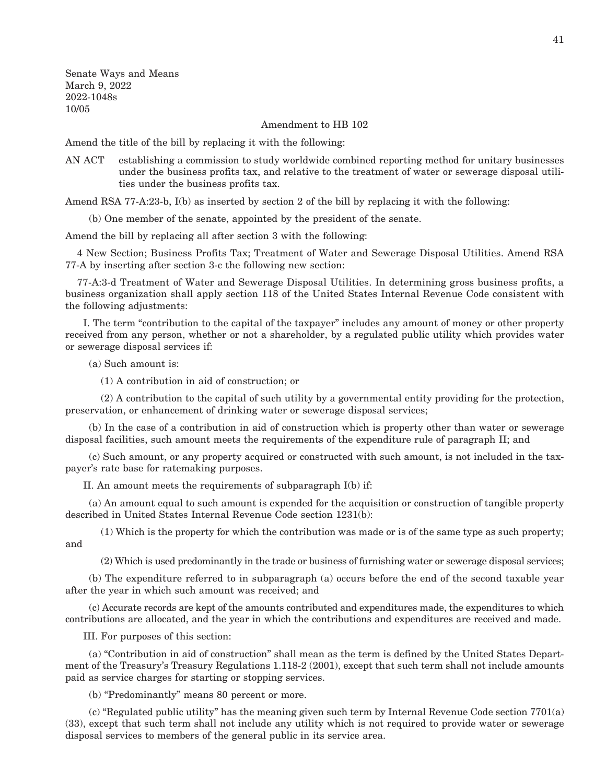Senate Ways and Means March 9, 2022 2022-1048s 10/05

Amendment to HB 102

Amend the title of the bill by replacing it with the following:

AN ACT establishing a commission to study worldwide combined reporting method for unitary businesses under the business profits tax, and relative to the treatment of water or sewerage disposal utilities under the business profits tax.

Amend RSA 77-A:23-b, I(b) as inserted by section 2 of the bill by replacing it with the following:

(b) One member of the senate, appointed by the president of the senate.

Amend the bill by replacing all after section 3 with the following:

4 New Section; Business Profits Tax; Treatment of Water and Sewerage Disposal Utilities. Amend RSA 77-A by inserting after section 3-c the following new section:

77-A:3-d Treatment of Water and Sewerage Disposal Utilities. In determining gross business profits, a business organization shall apply section 118 of the United States Internal Revenue Code consistent with the following adjustments:

 I. The term "contribution to the capital of the taxpayer" includes any amount of money or other property received from any person, whether or not a shareholder, by a regulated public utility which provides water or sewerage disposal services if:

(a) Such amount is:

(1) A contribution in aid of construction; or

 (2) A contribution to the capital of such utility by a governmental entity providing for the protection, preservation, or enhancement of drinking water or sewerage disposal services;

 (b) In the case of a contribution in aid of construction which is property other than water or sewerage disposal facilities, such amount meets the requirements of the expenditure rule of paragraph II; and

 (c) Such amount, or any property acquired or constructed with such amount, is not included in the taxpayer's rate base for ratemaking purposes.

II. An amount meets the requirements of subparagraph I(b) if:

 (a) An amount equal to such amount is expended for the acquisition or construction of tangible property described in United States Internal Revenue Code section 1231(b):

 (1) Which is the property for which the contribution was made or is of the same type as such property; and

(2) Which is used predominantly in the trade or business of furnishing water or sewerage disposal services;

 (b) The expenditure referred to in subparagraph (a) occurs before the end of the second taxable year after the year in which such amount was received; and

 (c) Accurate records are kept of the amounts contributed and expenditures made, the expenditures to which contributions are allocated, and the year in which the contributions and expenditures are received and made.

III. For purposes of this section:

 (a) "Contribution in aid of construction" shall mean as the term is defined by the United States Department of the Treasury's Treasury Regulations 1.118-2 (2001), except that such term shall not include amounts paid as service charges for starting or stopping services.

(b) "Predominantly" means 80 percent or more.

 (c) "Regulated public utility" has the meaning given such term by Internal Revenue Code section 7701(a) (33), except that such term shall not include any utility which is not required to provide water or sewerage disposal services to members of the general public in its service area.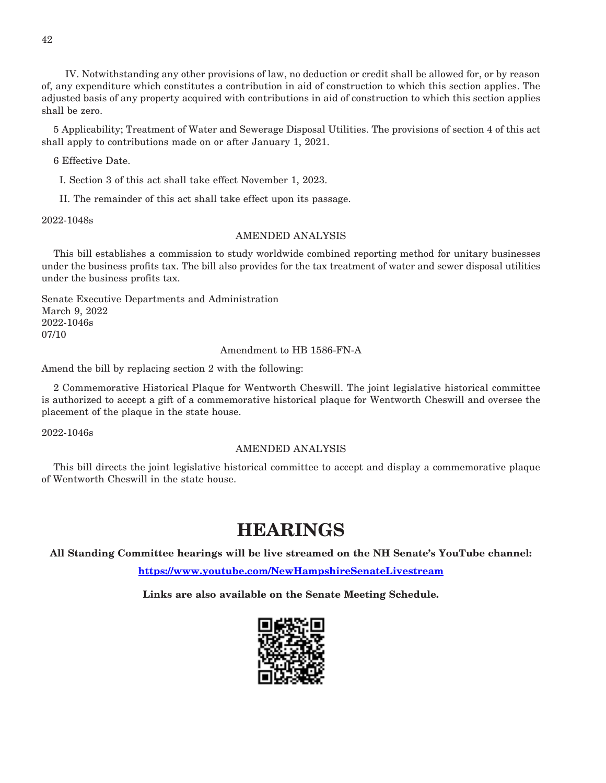IV. Notwithstanding any other provisions of law, no deduction or credit shall be allowed for, or by reason of, any expenditure which constitutes a contribution in aid of construction to which this section applies. The adjusted basis of any property acquired with contributions in aid of construction to which this section applies shall be zero.

5 Applicability; Treatment of Water and Sewerage Disposal Utilities. The provisions of section 4 of this act shall apply to contributions made on or after January 1, 2021.

6 Effective Date.

I. Section 3 of this act shall take effect November 1, 2023.

II. The remainder of this act shall take effect upon its passage.

2022-1048s

#### AMENDED ANALYSIS

This bill establishes a commission to study worldwide combined reporting method for unitary businesses under the business profits tax. The bill also provides for the tax treatment of water and sewer disposal utilities under the business profits tax.

Senate Executive Departments and Administration March 9, 2022 2022-1046s 07/10

Amendment to HB 1586-FN-A

Amend the bill by replacing section 2 with the following:

2 Commemorative Historical Plaque for Wentworth Cheswill. The joint legislative historical committee is authorized to accept a gift of a commemorative historical plaque for Wentworth Cheswill and oversee the placement of the plaque in the state house.

2022-1046s

#### AMENDED ANALYSIS

This bill directs the joint legislative historical committee to accept and display a commemorative plaque of Wentworth Cheswill in the state house.

## **HEARINGS**

**All Standing Committee hearings will be live streamed on the NH Senate's YouTube channel:**

**<https://www.youtube.com/NewHampshireSenateLivestream>**

**Links are also available on the Senate Meeting Schedule.**

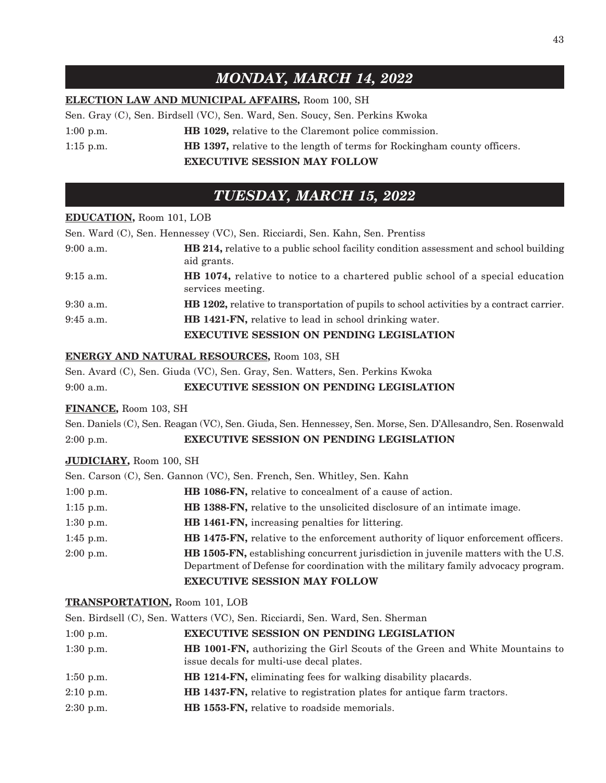## *MONDAY, MARCH 14, 2022*

#### **ELECTION LAW AND MUNICIPAL AFFAIRS,** Room 100, SH

Sen. Gray (C), Sen. Birdsell (VC), Sen. Ward, Sen. Soucy, Sen. Perkins Kwoka

1:00 p.m. **HB 1029,** relative to the Claremont police commission.

1:15 p.m. **HB 1397,** relative to the length of terms for Rockingham county officers.

**EXECUTIVE SESSION MAY FOLLOW**

## *TUESDAY, MARCH 15, 2022*

#### **EDUCATION,** Room 101, LOB

Sen. Ward (C), Sen. Hennessey (VC), Sen. Ricciardi, Sen. Kahn, Sen. Prentiss 9:00 a.m. **HB 214,** relative to a public school facility condition assessment and school building aid grants. 9:15 a.m. **HB 1074,** relative to notice to a chartered public school of a special education services meeting. 9:30 a.m. **HB 1202,** relative to transportation of pupils to school activities by a contract carrier. 9:45 a.m. **HB 1421-FN,** relative to lead in school drinking water. **EXECUTIVE SESSION ON PENDING LEGISLATION**

#### **ENERGY AND NATURAL RESOURCES,** Room 103, SH

Sen. Avard (C), Sen. Giuda (VC), Sen. Gray, Sen. Watters, Sen. Perkins Kwoka

9:00 a.m. **EXECUTIVE SESSION ON PENDING LEGISLATION**

#### **FINANCE,** Room 103, SH

Sen. Daniels (C), Sen. Reagan (VC), Sen. Giuda, Sen. Hennessey, Sen. Morse, Sen. D'Allesandro, Sen. Rosenwald 2:00 p.m. **EXECUTIVE SESSION ON PENDING LEGISLATION**

#### **JUDICIARY,** Room 100, SH

|             | Sen. Carson (C), Sen. Gannon (VC), Sen. French, Sen. Whitley, Sen. Kahn                                                                                                         |
|-------------|---------------------------------------------------------------------------------------------------------------------------------------------------------------------------------|
| $1:00$ p.m. | HB 1086-FN, relative to concealment of a cause of action.                                                                                                                       |
| $1:15$ p.m. | <b>HB 1388-FN,</b> relative to the unsolicited disclosure of an intimate image.                                                                                                 |
| $1:30$ p.m. | HB 1461-FN, increasing penalties for littering.                                                                                                                                 |
| $1:45$ p.m. | HB 1475-FN, relative to the enforcement authority of liquor enforcement officers.                                                                                               |
| $2:00$ p.m. | <b>HB 1505-FN</b> , establishing concurrent jurisdiction in juvenile matters with the U.S.<br>Department of Defense for coordination with the military family advocacy program. |
|             | <b>EXECUTIVE SESSION MAY FOLLOW</b>                                                                                                                                             |

#### **TRANSPORTATION,** Room 101, LOB

Sen. Birdsell (C), Sen. Watters (VC), Sen. Ricciardi, Sen. Ward, Sen. Sherman

| $1:00$ p.m. | <b>EXECUTIVE SESSION ON PENDING LEGISLATION</b>                                                                                |
|-------------|--------------------------------------------------------------------------------------------------------------------------------|
| $1:30$ p.m. | <b>HB 1001-FN,</b> authorizing the Girl Scouts of the Green and White Mountains to<br>issue decals for multi-use decal plates. |
| $1:50$ p.m. | <b>HB 1214-FN,</b> eliminating fees for walking disability placards.                                                           |
| $2:10$ p.m. | HB 1437-FN, relative to registration plates for antique farm tractors.                                                         |
| $2:30$ p.m. | <b>HB 1553-FN, relative to roadside memorials.</b>                                                                             |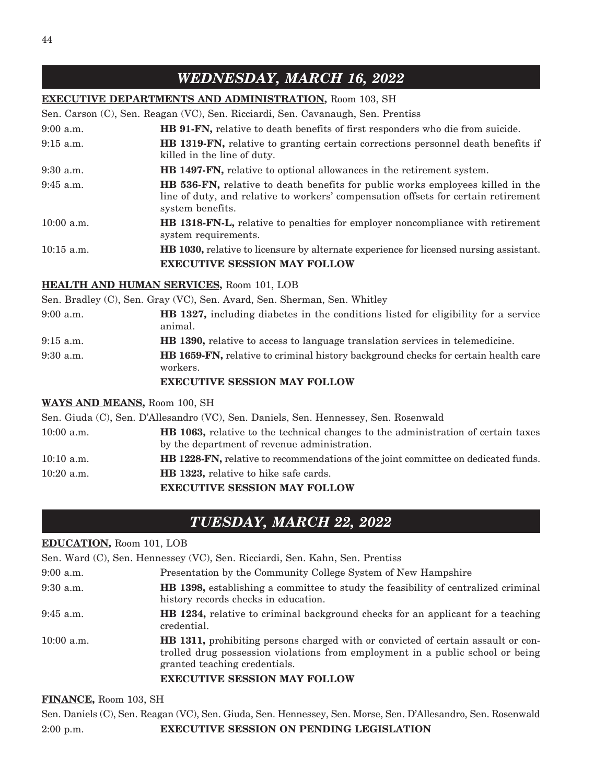#### **EXECUTIVE DEPARTMENTS AND ADMINISTRATION,** Room 103, SH

Sen. Carson (C), Sen. Reagan (VC), Sen. Ricciardi, Sen. Cavanaugh, Sen. Prentiss

| $9:00$ a.m.  | <b>HB 91-FN,</b> relative to death benefits of first responders who die from suicide.                                                                                                           |
|--------------|-------------------------------------------------------------------------------------------------------------------------------------------------------------------------------------------------|
| $9:15$ a.m.  | <b>HB 1319-FN,</b> relative to granting certain corrections personnel death benefits if<br>killed in the line of duty.                                                                          |
| $9:30$ a.m.  | <b>HB 1497-FN,</b> relative to optional allowances in the retirement system.                                                                                                                    |
| $9:45$ a.m.  | <b>HB</b> 536-FN, relative to death benefits for public works employees killed in the<br>line of duty, and relative to workers' compensation offsets for certain retirement<br>system benefits. |
| $10:00$ a.m. | <b>HB 1318-FN-L,</b> relative to penalties for employer noncompliance with retirement<br>system requirements.                                                                                   |
| $10:15$ a.m. | <b>HB 1030</b> , relative to licensure by alternate experience for licensed nursing assistant.                                                                                                  |
|              | <b>EXECUTIVE SESSION MAY FOLLOW</b>                                                                                                                                                             |

#### **HEALTH AND HUMAN SERVICES,** Room 101, LOB

Sen. Bradley (C), Sen. Gray (VC), Sen. Avard, Sen. Sherman, Sen. Whitley

| $9:00$ a.m. | <b>HB 1327, including diabetes in the conditions listed for eligibility for a service</b><br>animal.  |  |
|-------------|-------------------------------------------------------------------------------------------------------|--|
| $9:15$ a.m. | <b>HB</b> 1390, relative to access to language translation services in telemedicine.                  |  |
| $9:30$ a.m. | <b>HB 1659-FN,</b> relative to criminal history background checks for certain health care<br>workers. |  |

#### **EXECUTIVE SESSION MAY FOLLOW**

#### **WAYS AND MEANS,** Room 100, SH

Sen. Giuda (C), Sen. D'Allesandro (VC), Sen. Daniels, Sen. Hennessey, Sen. Rosenwald 10:00 a.m. **HB 1063,** relative to the technical changes to the administration of certain taxes by the department of revenue administration. 10:10 a.m. **HB 1228-FN,** relative to recommendations of the joint committee on dedicated funds. 10:20 a.m. **HB 1323,** relative to hike safe cards. **EXECUTIVE SESSION MAY FOLLOW**

## *TUESDAY, MARCH 22, 2022*

#### **EDUCATION,** Room 101, LOB

|              | Sen. Ward (C), Sen. Hennessey (VC), Sen. Ricciardi, Sen. Kahn, Sen. Prentiss                                                                                                                                                                       |
|--------------|----------------------------------------------------------------------------------------------------------------------------------------------------------------------------------------------------------------------------------------------------|
| $9:00$ a.m.  | Presentation by the Community College System of New Hampshire                                                                                                                                                                                      |
| $9:30$ a.m.  | <b>HB</b> 1398, establishing a committee to study the feasibility of centralized criminal<br>history records checks in education.                                                                                                                  |
| $9:45$ a.m.  | <b>HB</b> 1234, relative to criminal background checks for an applicant for a teaching<br>credential.                                                                                                                                              |
| $10:00$ a.m. | <b>HB</b> 1311, prohibiting persons charged with or convicted of certain assault or con-<br>trolled drug possession violations from employment in a public school or being<br>granted teaching credentials.<br><b>EXECUTIVE SESSION MAY FOLLOW</b> |
|              |                                                                                                                                                                                                                                                    |

#### **FINANCE,** Room 103, SH

Sen. Daniels (C), Sen. Reagan (VC), Sen. Giuda, Sen. Hennessey, Sen. Morse, Sen. D'Allesandro, Sen. Rosenwald 2:00 p.m. **EXECUTIVE SESSION ON PENDING LEGISLATION**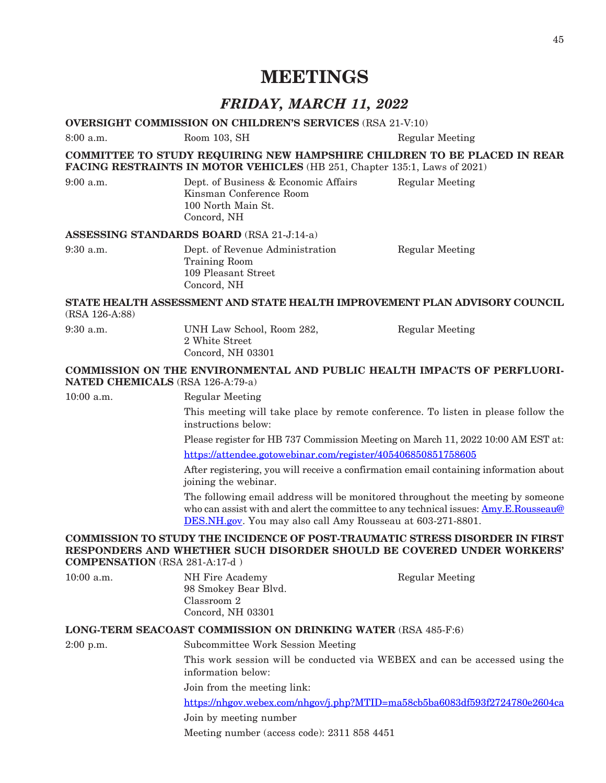## **MEETINGS**

## *FRIDAY, MARCH 11, 2022*

#### **OVERSIGHT COMMISSION ON CHILDREN'S SERVICES** (RSA 21-V:10)

8:00 a.m. Room 103, SH Regular Meeting **COMMITTEE TO STUDY REQUIRING NEW HAMPSHIRE CHILDREN TO BE PLACED IN REAR FACING RESTRAINTS IN MOTOR VEHICLES** (HB 251, Chapter 135:1, Laws of 2021) 9:00 a.m. Dept. of Business & Economic Affairs Regular Meeting Kinsman Conference Room 100 North Main St. Concord, NH **ASSESSING STANDARDS BOARD** (RSA 21-J:14-a) 9:30 a.m. Dept. of Revenue Administration Regular Meeting Training Room 109 Pleasant Street Concord, NH **STATE HEALTH ASSESSMENT AND STATE HEALTH IMPROVEMENT PLAN ADVISORY COUNCIL** (RSA 126-A:88) 9:30 a.m. UNH Law School, Room 282, Regular Meeting 2 White Street Concord, NH 03301 **COMMISSION ON THE ENVIRONMENTAL AND PUBLIC HEALTH IMPACTS OF PERFLUORI-NATED CHEMICALS** (RSA 126-A:79-a)

10:00 a.m. Regular Meeting

This meeting will take place by remote conference. To listen in please follow the instructions below:

Please register for HB 737 Commission Meeting on March 11, 2022 10:00 AM EST at: <https://attendee.gotowebinar.com/register/405406850851758605>

After registering, you will receive a confirmation email containing information about joining the webinar.

The following email address will be monitored throughout the meeting by someone who can assist with and alert the committee to any technical issues: [Amy.E.Rousseau@](mailto:Amy.E.Rousseau@DES.NH.gov) [DES.NH.gov](mailto:Amy.E.Rousseau@DES.NH.gov). You may also call Amy Rousseau at 603-271-8801.

#### **COMMISSION TO STUDY THE INCIDENCE OF POST-TRAUMATIC STRESS DISORDER IN FIRST RESPONDERS AND WHETHER SUCH DISORDER SHOULD BE COVERED UNDER WORKERS' COMPENSATION** (RSA 281-A:17-d )

| $10:00$ a.m. | NH Fire Academy      | <b>Regular Meeting</b> |
|--------------|----------------------|------------------------|
|              | 98 Smokey Bear Blvd. |                        |
|              | Classroom 2          |                        |
|              | Concord, NH 03301    |                        |
|              |                      |                        |

#### **LONG-TERM SEACOAST COMMISSION ON DRINKING WATER** (RSA 485-F:6)

2:00 p.m. Subcommittee Work Session Meeting

This work session will be conducted via WEBEX and can be accessed using the information below:

Join from the meeting link:

<https://nhgov.webex.com/nhgov/j.php?MTID=ma58cb5ba6083df593f2724780e2604ca>

Join by meeting number

Meeting number (access code): 2311 858 4451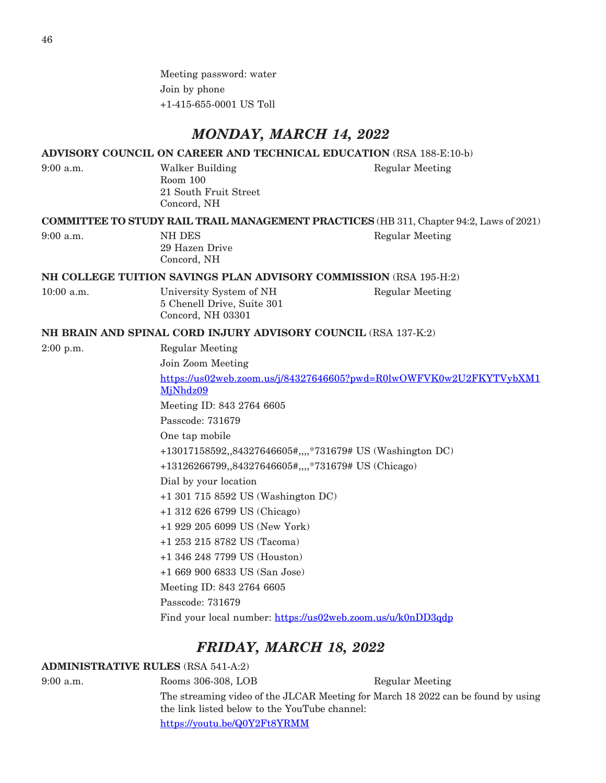Meeting password: water Join by phone +1-415-655-0001 US Toll

### *MONDAY, MARCH 14, 2022*

#### **ADVISORY COUNCIL ON CAREER AND TECHNICAL EDUCATION** (RSA 188-E:10-b)

9:00 a.m. Walker Building Regular Meeting Room 100 21 South Fruit Street Concord, NH

**COMMITTEE TO STUDY RAIL TRAIL MANAGEMENT PRACTICES** (HB 311, Chapter 94:2, Laws of 2021)

9:00 a.m. NH DES Regular Meeting 29 Hazen Drive Concord, NH

#### **NH COLLEGE TUITION SAVINGS PLAN ADVISORY COMMISSION** (RSA 195-H:2)

5 Chenell Drive, Suite 301 Concord, NH 03301

10:00 a.m. **Iniversity System of NH** Regular Meeting

#### **NH BRAIN AND SPINAL CORD INJURY ADVISORY COUNCIL** (RSA 137-K:2)

2:00 p.m. Regular Meeting

Join Zoom Meeting

[https://us02web.zoom.us/j/84327646605?pwd=R0lwOWFVK0w2U2FKYTVybXM1](https://us02web.zoom.us/j/84327646605?pwd=R0lwOWFVK0w2U2FKYTVybXM1MjNhdz09) [MjNhdz09](https://us02web.zoom.us/j/84327646605?pwd=R0lwOWFVK0w2U2FKYTVybXM1MjNhdz09) Meeting ID: 843 2764 6605 Passcode: 731679 One tap mobile

+13017158592,,84327646605#,,,,\*731679# US (Washington DC)

+13126266799,,84327646605#,,,,\*731679# US (Chicago)

Dial by your location

+1 301 715 8592 US (Washington DC)

+1 312 626 6799 US (Chicago)

+1 929 205 6099 US (New York)

- +1 253 215 8782 US (Tacoma)
- +1 346 248 7799 US (Houston)

+1 669 900 6833 US (San Jose)

Meeting ID: 843 2764 6605

Passcode: 731679

Find your local number: <https://us02web.zoom.us/u/k0nDD3qdp>

### *FRIDAY, MARCH 18, 2022*

#### **ADMINISTRATIVE RULES** (RSA 541-A:2)

9:00 a.m. Rooms 306-308, LOB Regular Meeting

The streaming video of the JLCAR Meeting for March 18 2022 can be found by using the link listed below to the YouTube channel: <https://youtu.be/Q0Y2Ft8YRMM>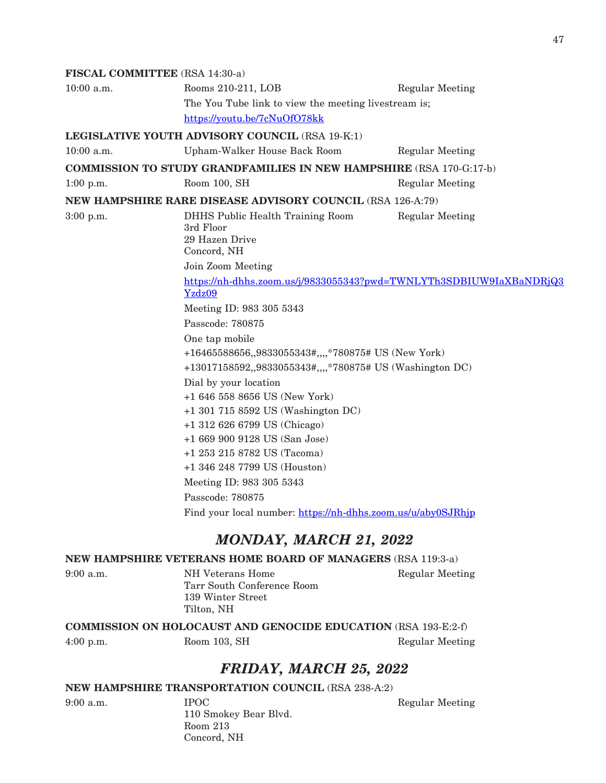#### **FISCAL COMMITTEE** (RSA 14:30-a)

| Rooms 210-211, LOB                                                                                              | <b>Regular Meeting</b>                                                                                                                                   |  |
|-----------------------------------------------------------------------------------------------------------------|----------------------------------------------------------------------------------------------------------------------------------------------------------|--|
| The You Tube link to view the meeting livestream is;                                                            |                                                                                                                                                          |  |
| https://youtu.be/7cNuOfO78kk                                                                                    |                                                                                                                                                          |  |
| LEGISLATIVE YOUTH ADVISORY COUNCIL (RSA 19-K:1)                                                                 |                                                                                                                                                          |  |
| Upham-Walker House Back Room                                                                                    | <b>Regular Meeting</b>                                                                                                                                   |  |
| <b>COMMISSION TO STUDY GRANDFAMILIES IN NEW HAMPSHIRE (RSA 170-G:17-b)</b>                                      |                                                                                                                                                          |  |
| Room 100, SH                                                                                                    | <b>Regular Meeting</b>                                                                                                                                   |  |
| <b>NEW HAMPSHIRE RARE DISEASE ADVISORY COUNCIL (RSA 126-A:79)</b>                                               |                                                                                                                                                          |  |
| <b>DHHS Public Health Training Room</b><br>3rd Floor<br>29 Hazen Drive<br>Concord, NH                           | <b>Regular Meeting</b>                                                                                                                                   |  |
| Join Zoom Meeting                                                                                               |                                                                                                                                                          |  |
| https://nh-dhhs.zoom.us/j/9833055343?pwd=TWNLYTh3SDBIUW9IaXBaNDRjQ3<br>Yzdz09                                   |                                                                                                                                                          |  |
| Meeting ID: 983 305 5343                                                                                        |                                                                                                                                                          |  |
| Passcode: 780875                                                                                                |                                                                                                                                                          |  |
| One tap mobile                                                                                                  |                                                                                                                                                          |  |
| +16465588656,,9833055343#,,,,*780875# US (New York)<br>+13017158592,,9833055343#,,,,*780875# US (Washington DC) |                                                                                                                                                          |  |
| Dial by your location                                                                                           |                                                                                                                                                          |  |
| +1 646 558 8656 US (New York)                                                                                   |                                                                                                                                                          |  |
| +1 301 715 8592 US (Washington DC)                                                                              |                                                                                                                                                          |  |
|                                                                                                                 |                                                                                                                                                          |  |
|                                                                                                                 |                                                                                                                                                          |  |
|                                                                                                                 |                                                                                                                                                          |  |
|                                                                                                                 |                                                                                                                                                          |  |
| Passcode: 780875                                                                                                |                                                                                                                                                          |  |
| Find your local number: https://nh-dhhs.zoom.us/u/aby0SJRhip                                                    |                                                                                                                                                          |  |
|                                                                                                                 | +1 312 626 6799 US (Chicago)<br>+1 669 900 9128 US (San Jose)<br>+1 253 215 8782 US (Tacoma)<br>+1 346 248 7799 US (Houston)<br>Meeting ID: 983 305 5343 |  |

## *MONDAY, MARCH 21, 2022*

### **NEW HAMPSHIRE VETERANS HOME BOARD OF MANAGERS** (RSA 119:3-a)

| $9:00$ a.m. | NH Veterans Home           |  |
|-------------|----------------------------|--|
|             | Tarr South Conference Room |  |
|             | 139 Winter Street          |  |
|             | Tilton, NH                 |  |

Regular Meeting

**COMMISSION ON HOLOCAUST AND GENOCIDE EDUCATION** (RSA 193-E:2-f)

4:00 p.m. Room 103, SH Regular Meeting

## *FRIDAY, MARCH 25, 2022*

#### **NEW HAMPSHIRE TRANSPORTATION COUNCIL** (RSA 238-A:2)

9:00 a.m. **IPOC** Regular Meeting 110 Smokey Bear Blvd. Room 213 Concord, NH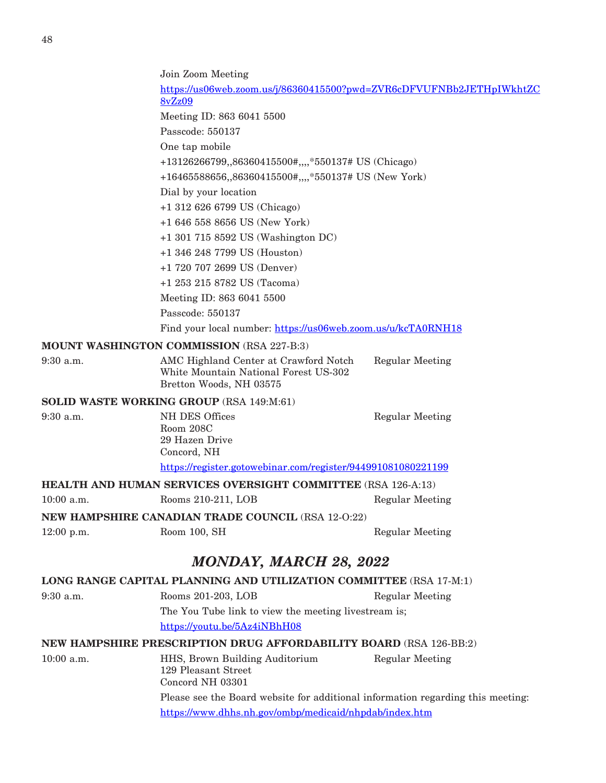|              | Join Zoom Meeting                                                                                         |                        |  |
|--------------|-----------------------------------------------------------------------------------------------------------|------------------------|--|
|              | https://us06web.zoom.us/j/86360415500?pwd=ZVR6cDFVUFNBb2JETHpIWkhtZC<br><b>8vZz09</b>                     |                        |  |
|              | Meeting ID: 863 6041 5500                                                                                 |                        |  |
|              | Passcode: 550137                                                                                          |                        |  |
|              | One tap mobile                                                                                            |                        |  |
|              | +13126266799,,86360415500#,,,,*550137# US (Chicago)                                                       |                        |  |
|              | +16465588656,,86360415500#,,,,*550137# US (New York)                                                      |                        |  |
|              | Dial by your location                                                                                     |                        |  |
|              | +1 312 626 6799 US (Chicago)                                                                              |                        |  |
|              | $+16465588656$ US (New York)                                                                              |                        |  |
|              | $+1$ 301 715 8592 US (Washington DC)                                                                      |                        |  |
|              | +1 346 248 7799 US (Houston)                                                                              |                        |  |
|              | +1 720 707 2699 US (Denver)                                                                               |                        |  |
|              | +1 253 215 8782 US (Tacoma)                                                                               |                        |  |
|              | Meeting ID: 863 6041 5500                                                                                 |                        |  |
|              | Passcode: 550137                                                                                          |                        |  |
|              | Find your local number: https://us06web.zoom.us/u/kcTA0RNH18                                              |                        |  |
|              | <b>MOUNT WASHINGTON COMMISSION (RSA 227-B:3)</b>                                                          |                        |  |
| $9:30$ a.m.  | AMC Highland Center at Crawford Notch<br>White Mountain National Forest US-302<br>Bretton Woods, NH 03575 | <b>Regular Meeting</b> |  |
|              | SOLID WASTE WORKING GROUP (RSA 149:M:61)                                                                  |                        |  |
| 9:30 a.m.    | <b>NH DES Offices</b><br>Room 208C<br>29 Hazen Drive<br>Concord, NH                                       | <b>Regular Meeting</b> |  |
|              | https://register.gotowebinar.com/register/944991081080221199                                              |                        |  |
|              | <b>HEALTH AND HUMAN SERVICES OVERSIGHT COMMITTEE</b> (RSA 126-A:13)                                       |                        |  |
| $10:00$ a.m. | Rooms 210-211, LOB                                                                                        | <b>Regular Meeting</b> |  |
|              | <b>NEW HAMPSHIRE CANADIAN TRADE COUNCIL (RSA 12-0:22)</b>                                                 |                        |  |
| 12:00 p.m.   | Room 100, SH                                                                                              | <b>Regular Meeting</b> |  |
|              |                                                                                                           |                        |  |
|              | <b>MONDAY, MARCH 28, 2022</b>                                                                             |                        |  |
|              | LONG RANGE CAPITAL PLANNING AND UTILIZATION COMMITTEE (RSA 17-M:1)                                        |                        |  |
| $9:30$ a.m.  | Rooms 201-203, LOB                                                                                        | <b>Regular Meeting</b> |  |
|              | The You Tube link to view the meeting livestream is;                                                      |                        |  |
|              | https://youtu.be/5Az4iNBhH08                                                                              |                        |  |
|              | <b>NEW HAMPSHIRE PRESCRIPTION DRUG AFFORDABILITY BOARD (RSA 126-BB:2)</b>                                 |                        |  |
| $10:00$ a.m. | HHS, Brown Building Auditorium<br>129 Pleasant Street<br>Concord NH 03301                                 | <b>Regular Meeting</b> |  |
|              | Please see the Board website for additional information regarding this meeting:                           |                        |  |
|              | https://www.dhhs.nh.gov/ombp/medicaid/nhpdab/index.htm                                                    |                        |  |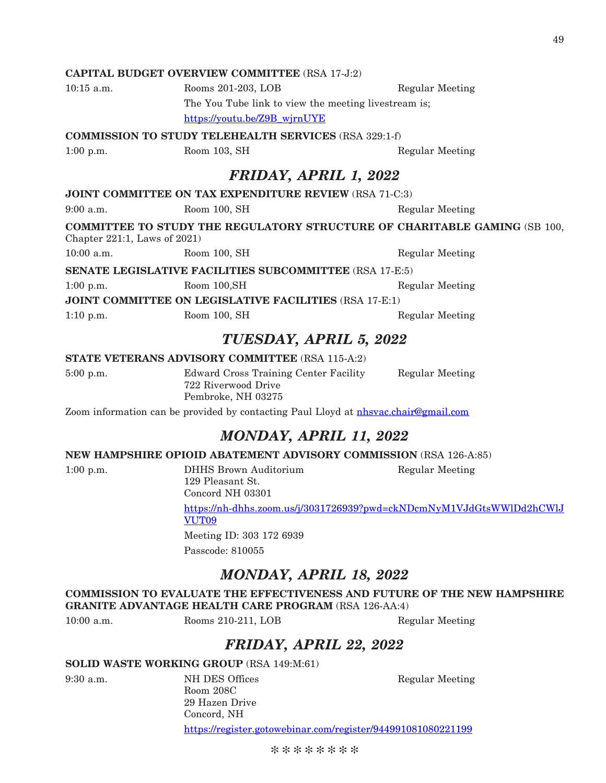#### **CAPITAL BUDGET OVERVIEW COMMITTEE** (RSA 17-J:2)

10:15 a.m. Rooms 201-203, LOB Regular Meeting The You Tube link to view the meeting livestream is; [https://youtu.be/Z9B\\_wjrnUYE](https://youtu.be/Z9B_wjrnUYE)

**COMMISSION TO STUDY TELEHEALTH SERVICES** (RSA 329:1-f)

1:00 p.m. Room 103, SH Regular Meeting

## *FRIDAY, APRIL 1, 2022*

#### **JOINT COMMITTEE ON TAX EXPENDITURE REVIEW** (RSA 71-C:3)

9:00 a.m. Room 100, SH Regular Meeting

**COMMITTEE TO STUDY THE REGULATORY STRUCTURE OF CHARITABLE GAMING** (SB 100, Chapter 221:1, Laws of 2021)

10:00 a.m. Room 100, SH Regular Meeting

**SENATE LEGISLATIVE FACILITIES SUBCOMMITTEE** (RSA 17-E:5) 1:00 p.m. Room 100, SH Regular Meeting

**JOINT COMMITTEE ON LEGISLATIVE FACILITIES** (RSA 17-E:1)

1:10 p.m. Room 100, SH Regular Meeting

## *TUESDAY, APRIL 5, 2022*

#### **STATE VETERANS ADVISORY COMMITTEE** (RSA 115-A:2)

5:00 p.m. Edward Cross Training Center Facility Regular Meeting 722 Riverwood Drive Pembroke, NH 03275

Zoom information can be provided by contacting Paul Lloyd at [nhsvac.chair@gmail.com](mailto:nhsvac.chair@gmail.com)

## *MONDAY, APRIL 11, 2022*

#### **NEW HAMPSHIRE OPIOID ABATEMENT ADVISORY COMMISSION** (RSA 126-A:85)

1:00 p.m. DHHS Brown Auditorium Regular Meeting 129 Pleasant St.

Concord NH 03301 [https://nh-dhhs.zoom.us/j/3031726939?pwd=ckNDcmNyM1VJdGtsWWlDd2hCWlJ](https://nh-dhhs.zoom.us/j/3031726939?pwd=ckNDcmNyM1VJdGtsWWlDd2hCWlJVUT09) [VUT09](https://nh-dhhs.zoom.us/j/3031726939?pwd=ckNDcmNyM1VJdGtsWWlDd2hCWlJVUT09)

Meeting ID: 303 172 6939 Passcode: 810055

## *MONDAY, APRIL 18, 2022*

**COMMISSION TO EVALUATE THE EFFECTIVENESS AND FUTURE OF THE NEW HAMPSHIRE GRANITE ADVANTAGE HEALTH CARE PROGRAM** (RSA 126-AA:4)

10:00 a.m. Rooms 210-211, LOB Regular Meeting

## *FRIDAY, APRIL 22, 2022*

#### **SOLID WASTE WORKING GROUP** (RSA 149:M:61)

9:30 a.m. NH DES Offices Regular Meeting Room 208C 29 Hazen Drive Concord, NH https://register.gotowebinar.com/register/944991081080221199